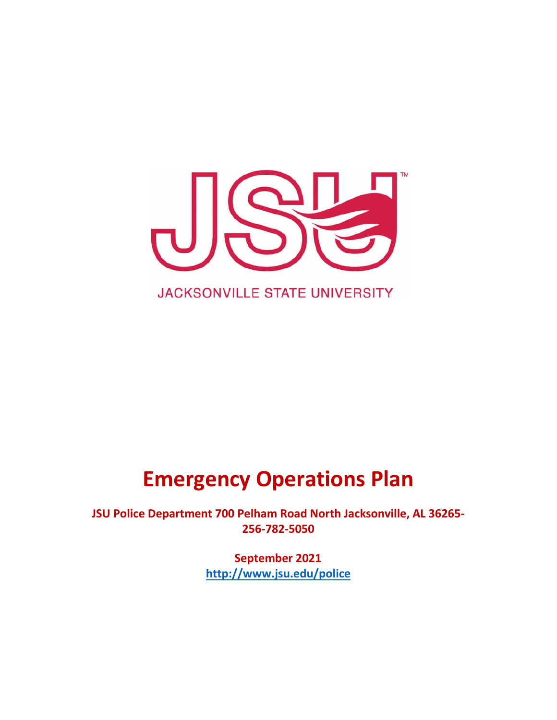

# **Emergency Operations Plan**

**JSU Police Department 700 Pelham Road North Jacksonville, AL 36265- 256-782-5050**

> **September 2021 <http://www.jsu.edu/police>**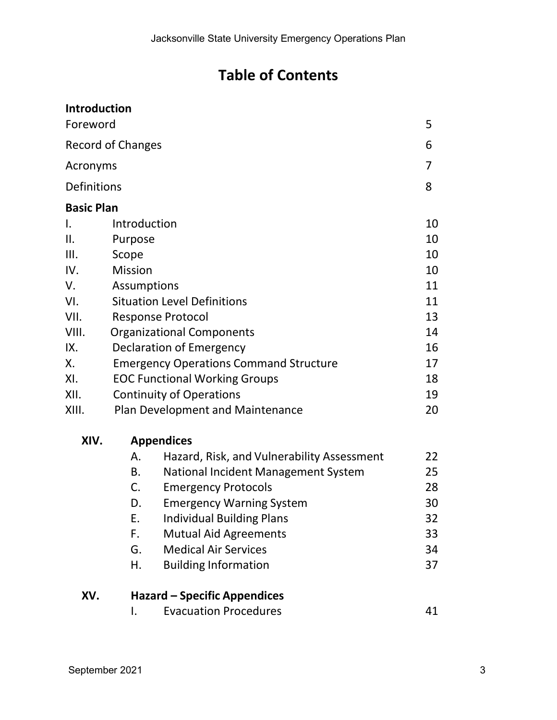# **Table of Contents**

| Introduction             |                                               |                                            |    |  |  |
|--------------------------|-----------------------------------------------|--------------------------------------------|----|--|--|
| Foreword                 |                                               |                                            | 5  |  |  |
| <b>Record of Changes</b> |                                               |                                            |    |  |  |
| Acronyms                 |                                               |                                            |    |  |  |
| Definitions              |                                               |                                            | 8  |  |  |
| <b>Basic Plan</b>        |                                               |                                            |    |  |  |
| Ι.                       | Introduction                                  |                                            |    |  |  |
| II.                      | Purpose                                       |                                            | 10 |  |  |
| III.                     | Scope                                         |                                            |    |  |  |
| IV.                      | <b>Mission</b>                                |                                            |    |  |  |
| V.                       | <b>Assumptions</b>                            |                                            |    |  |  |
| VI.                      | <b>Situation Level Definitions</b>            |                                            |    |  |  |
| VII.                     | <b>Response Protocol</b>                      |                                            |    |  |  |
| VIII.                    | <b>Organizational Components</b><br>14        |                                            |    |  |  |
| IX.                      | Declaration of Emergency<br>16                |                                            |    |  |  |
| Х.                       | <b>Emergency Operations Command Structure</b> |                                            |    |  |  |
| XI.                      | <b>EOC Functional Working Groups</b>          |                                            |    |  |  |
| XII.                     | <b>Continuity of Operations</b>               |                                            |    |  |  |
| XIII.                    |                                               | <b>Plan Development and Maintenance</b>    | 20 |  |  |
| XIV.                     |                                               | <b>Appendices</b>                          |    |  |  |
|                          | Α.                                            | Hazard, Risk, and Vulnerability Assessment | 22 |  |  |
|                          | В.                                            | National Incident Management System        | 25 |  |  |
|                          | C.<br><b>Emergency Protocols</b>              |                                            |    |  |  |
|                          | D.                                            | <b>Emergency Warning System</b>            | 30 |  |  |
|                          | Ε.                                            | <b>Individual Building Plans</b>           | 32 |  |  |
|                          | F.                                            | <b>Mutual Aid Agreements</b>               | 33 |  |  |
|                          | G.                                            | <b>Medical Air Services</b>                | 34 |  |  |
|                          | Η.                                            | <b>Building Information</b>                | 37 |  |  |
| XV.                      |                                               | Hazard – Specific Appendices               |    |  |  |
|                          | I.                                            | <b>Evacuation Procedures</b>               | 41 |  |  |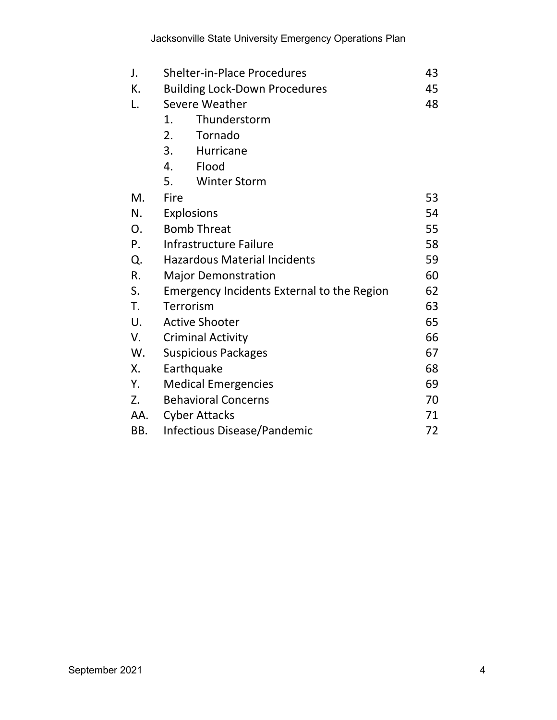| J.  | <b>Shelter-in-Place Procedures</b><br>43                |    |  |
|-----|---------------------------------------------------------|----|--|
| К.  | <b>Building Lock-Down Procedures</b>                    |    |  |
| L.  | Severe Weather                                          | 48 |  |
|     | Thunderstorm<br>1.                                      |    |  |
|     | 2.<br>Tornado                                           |    |  |
|     | 3.<br>Hurricane                                         |    |  |
|     | 4.<br>Flood                                             |    |  |
|     | 5.<br><b>Winter Storm</b>                               |    |  |
| M.  | Fire                                                    | 53 |  |
| N.  | <b>Explosions</b><br>54                                 |    |  |
| 0.  | <b>Bomb Threat</b><br>55                                |    |  |
| P.  | 58<br>Infrastructure Failure                            |    |  |
| Q.  | 59<br><b>Hazardous Material Incidents</b>               |    |  |
| R.  | 60<br><b>Major Demonstration</b>                        |    |  |
| S.  | 62<br><b>Emergency Incidents External to the Region</b> |    |  |
| T.  | Terrorism<br>63                                         |    |  |
| U.  | <b>Active Shooter</b><br>65                             |    |  |
| V.  | 66<br><b>Criminal Activity</b>                          |    |  |
| W.  | 67<br><b>Suspicious Packages</b>                        |    |  |
| Χ.  | 68<br>Earthquake                                        |    |  |
| Y.  | <b>Medical Emergencies</b><br>69                        |    |  |
| Z.  | <b>Behavioral Concerns</b><br>70                        |    |  |
| AA. | <b>Cyber Attacks</b>                                    | 71 |  |
| BB. | <b>Infectious Disease/Pandemic</b>                      | 72 |  |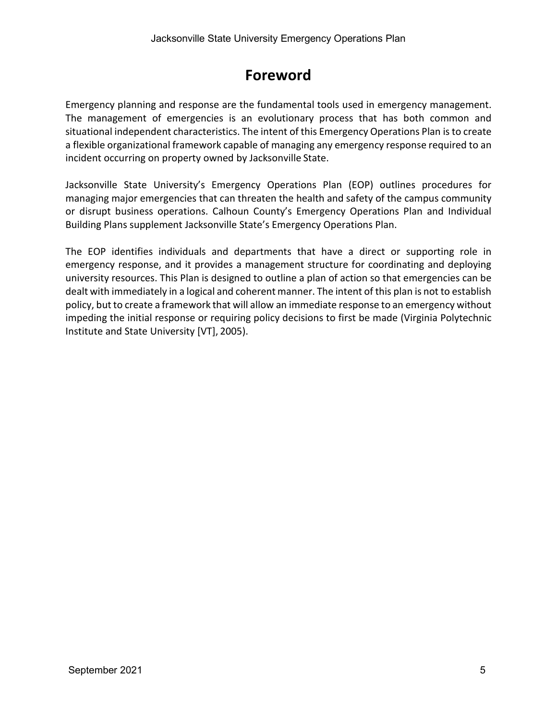# **Foreword**

<span id="page-4-0"></span>Emergency planning and response are the fundamental tools used in emergency management. The management of emergencies is an evolutionary process that has both common and situational independent characteristics. The intent of this Emergency Operations Plan isto create a flexible organizational framework capable of managing any emergency response required to an incident occurring on property owned by Jacksonville State.

Jacksonville State University's Emergency Operations Plan (EOP) outlines procedures for managing major emergencies that can threaten the health and safety of the campus community or disrupt business operations. Calhoun County's Emergency Operations Plan and Individual Building Plans supplement Jacksonville State's Emergency Operations Plan.

The EOP identifies individuals and departments that have a direct or supporting role in emergency response, and it provides a management structure for coordinating and deploying university resources. This Plan is designed to outline a plan of action so that emergencies can be dealt with immediately in a logical and coherent manner. The intent of this plan is not to establish policy, but to create a framework that will allow an immediate response to an emergency without impeding the initial response or requiring policy decisions to first be made (Virginia Polytechnic Institute and State University [VT], 2005).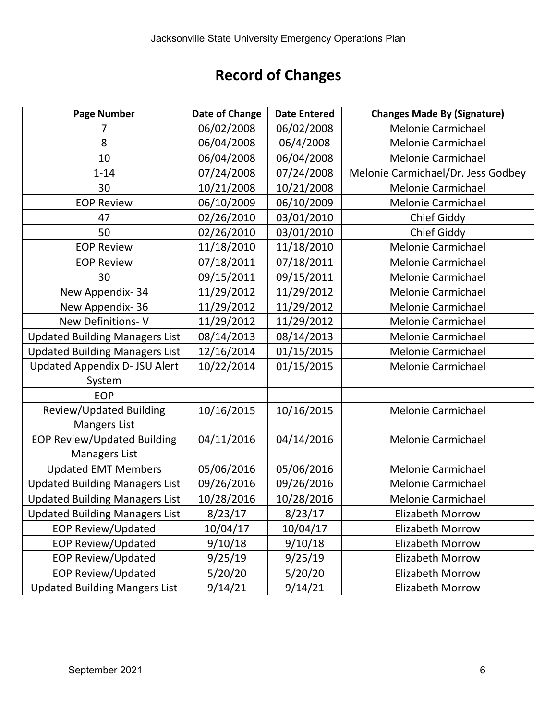# **Record of Changes**

<span id="page-5-0"></span>

| <b>Page Number</b>                    | Date of Change | <b>Date Entered</b> | <b>Changes Made By (Signature)</b> |
|---------------------------------------|----------------|---------------------|------------------------------------|
|                                       | 06/02/2008     | 06/02/2008          | <b>Melonie Carmichael</b>          |
| 8                                     | 06/04/2008     | 06/4/2008           | Melonie Carmichael                 |
| 10                                    | 06/04/2008     | 06/04/2008          | <b>Melonie Carmichael</b>          |
| $1 - 14$                              | 07/24/2008     | 07/24/2008          | Melonie Carmichael/Dr. Jess Godbey |
| 30                                    | 10/21/2008     | 10/21/2008          | Melonie Carmichael                 |
| <b>EOP Review</b>                     | 06/10/2009     | 06/10/2009          | <b>Melonie Carmichael</b>          |
| 47                                    | 02/26/2010     | 03/01/2010          | <b>Chief Giddy</b>                 |
| 50                                    | 02/26/2010     | 03/01/2010          | <b>Chief Giddy</b>                 |
| <b>EOP Review</b>                     | 11/18/2010     | 11/18/2010          | <b>Melonie Carmichael</b>          |
| <b>EOP Review</b>                     | 07/18/2011     | 07/18/2011          | <b>Melonie Carmichael</b>          |
| 30                                    | 09/15/2011     | 09/15/2011          | Melonie Carmichael                 |
| New Appendix-34                       | 11/29/2012     | 11/29/2012          | Melonie Carmichael                 |
| New Appendix-36                       | 11/29/2012     | 11/29/2012          | <b>Melonie Carmichael</b>          |
| New Definitions-V                     | 11/29/2012     | 11/29/2012          | Melonie Carmichael                 |
| <b>Updated Building Managers List</b> | 08/14/2013     | 08/14/2013          | <b>Melonie Carmichael</b>          |
| <b>Updated Building Managers List</b> | 12/16/2014     | 01/15/2015          | Melonie Carmichael                 |
| <b>Updated Appendix D- JSU Alert</b>  | 10/22/2014     | 01/15/2015          | <b>Melonie Carmichael</b>          |
| System                                |                |                     |                                    |
| <b>EOP</b>                            |                |                     |                                    |
| Review/Updated Building               | 10/16/2015     | 10/16/2015          | <b>Melonie Carmichael</b>          |
| <b>Mangers List</b>                   |                |                     |                                    |
| <b>EOP Review/Updated Building</b>    | 04/11/2016     | 04/14/2016          | <b>Melonie Carmichael</b>          |
| Managers List                         |                |                     |                                    |
| <b>Updated EMT Members</b>            | 05/06/2016     | 05/06/2016          | Melonie Carmichael                 |
| <b>Updated Building Managers List</b> | 09/26/2016     | 09/26/2016          | <b>Melonie Carmichael</b>          |
| <b>Updated Building Managers List</b> | 10/28/2016     | 10/28/2016          | Melonie Carmichael                 |
| <b>Updated Building Managers List</b> | 8/23/17        | 8/23/17             | Elizabeth Morrow                   |
| <b>EOP Review/Updated</b>             | 10/04/17       | 10/04/17            | <b>Elizabeth Morrow</b>            |
| <b>EOP Review/Updated</b>             | 9/10/18        | 9/10/18             | <b>Elizabeth Morrow</b>            |
| <b>EOP Review/Updated</b>             | 9/25/19        | 9/25/19             | <b>Elizabeth Morrow</b>            |
| <b>EOP Review/Updated</b>             | 5/20/20        | 5/20/20             | <b>Elizabeth Morrow</b>            |
| <b>Updated Building Mangers List</b>  | 9/14/21        | 9/14/21             | <b>Elizabeth Morrow</b>            |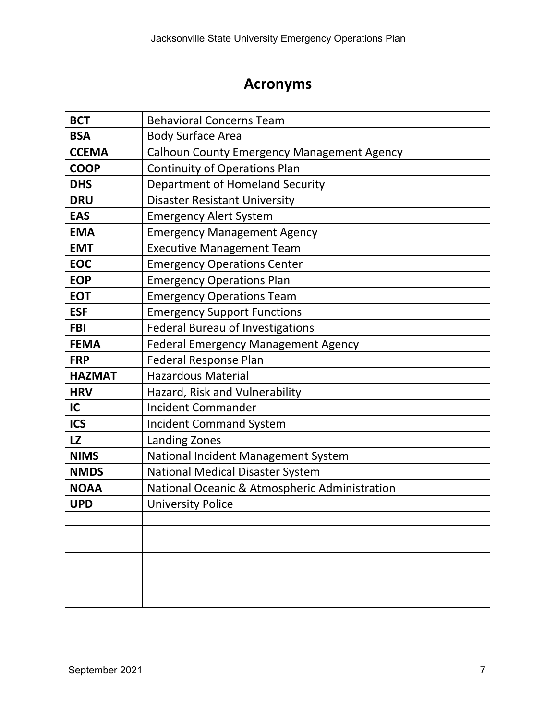# **Acronyms**

<span id="page-6-1"></span><span id="page-6-0"></span>

| <b>BCT</b>    | <b>Behavioral Concerns Team</b>               |  |  |
|---------------|-----------------------------------------------|--|--|
| <b>BSA</b>    | <b>Body Surface Area</b>                      |  |  |
| <b>CCEMA</b>  | Calhoun County Emergency Management Agency    |  |  |
| <b>COOP</b>   | <b>Continuity of Operations Plan</b>          |  |  |
| <b>DHS</b>    | Department of Homeland Security               |  |  |
| <b>DRU</b>    | <b>Disaster Resistant University</b>          |  |  |
| <b>EAS</b>    | <b>Emergency Alert System</b>                 |  |  |
| <b>EMA</b>    | <b>Emergency Management Agency</b>            |  |  |
| <b>EMT</b>    | <b>Executive Management Team</b>              |  |  |
| <b>EOC</b>    | <b>Emergency Operations Center</b>            |  |  |
| <b>EOP</b>    | <b>Emergency Operations Plan</b>              |  |  |
| <b>EOT</b>    | <b>Emergency Operations Team</b>              |  |  |
| <b>ESF</b>    | <b>Emergency Support Functions</b>            |  |  |
| <b>FBI</b>    | <b>Federal Bureau of Investigations</b>       |  |  |
| <b>FEMA</b>   | <b>Federal Emergency Management Agency</b>    |  |  |
| <b>FRP</b>    | <b>Federal Response Plan</b>                  |  |  |
| <b>HAZMAT</b> | <b>Hazardous Material</b>                     |  |  |
| <b>HRV</b>    | Hazard, Risk and Vulnerability                |  |  |
| IC            | <b>Incident Commander</b>                     |  |  |
| <b>ICS</b>    | <b>Incident Command System</b>                |  |  |
| <b>LZ</b>     | Landing Zones                                 |  |  |
| <b>NIMS</b>   | National Incident Management System           |  |  |
| <b>NMDS</b>   | <b>National Medical Disaster System</b>       |  |  |
| <b>NOAA</b>   | National Oceanic & Atmospheric Administration |  |  |
| <b>UPD</b>    | <b>University Police</b>                      |  |  |
|               |                                               |  |  |
|               |                                               |  |  |
|               |                                               |  |  |
|               |                                               |  |  |
|               |                                               |  |  |
|               |                                               |  |  |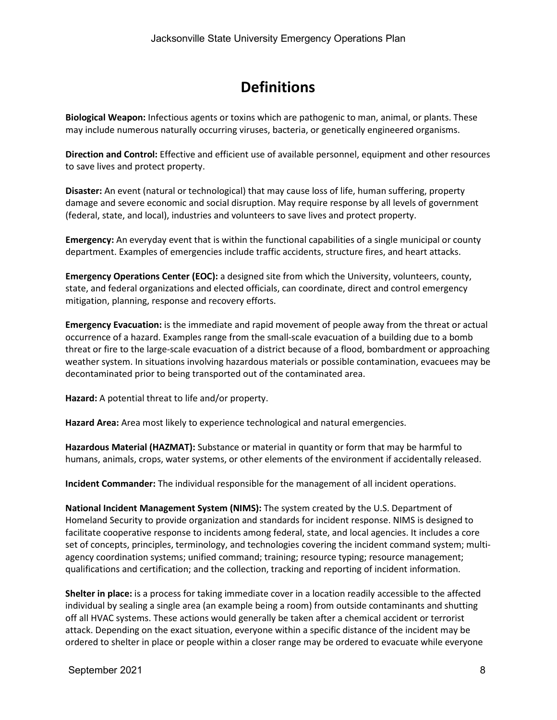# **Definitions**

**Biological Weapon:** Infectious agents or toxins which are pathogenic to man, animal, or plants. These may include numerous naturally occurring viruses, bacteria, or genetically engineered organisms.

**Direction and Control:** Effective and efficient use of available personnel, equipment and other resources to save lives and protect property.

**Disaster:** An event (natural or technological) that may cause loss of life, human suffering, property damage and severe economic and social disruption. May require response by all levels of government (federal, state, and local), industries and volunteers to save lives and protect property.

**Emergency:** An everyday event that is within the functional capabilities of a single municipal or county department. Examples of emergencies include traffic accidents, structure fires, and heart attacks.

**Emergency Operations Center (EOC):** a designed site from which the University, volunteers, county, state, and federal organizations and elected officials, can coordinate, direct and control emergency mitigation, planning, response and recovery efforts.

**Emergency Evacuation:** is the immediate and rapid movement of people away from the threat or actual occurrence of a hazard. Examples range from the small-scale evacuation of a building due to a bomb threat or fire to the large-scale evacuation of a district because of a flood, bombardment or approaching weather system. In situations involving hazardous materials or possible contamination, evacuees may be decontaminated prior to being transported out of the contaminated area.

**Hazard:** A potential threat to life and/or property.

**Hazard Area:** Area most likely to experience technological and natural emergencies.

**Hazardous Material (HAZMAT):** Substance or material in quantity or form that may be harmful to humans, animals, crops, water systems, or other elements of the environment if accidentally released.

**Incident Commander:** The individual responsible for the management of all incident operations.

**National Incident Management System (NIMS):** The system created by the U.S. Department of Homeland Security to provide organization and standards for incident response. NIMS is designed to facilitate cooperative response to incidents among federal, state, and local agencies. It includes a core set of concepts, principles, terminology, and technologies covering the incident command system; multiagency coordination systems; unified command; training; resource typing; resource management; qualifications and certification; and the collection, tracking and reporting of incident information.

**Shelter in place:** is a process for taking immediate cover in a location readily accessible to the affected individual by sealing a single area (an example being a room) from outside contaminants and shutting off all HVAC systems. These actions would generally be taken after a chemical accident or terrorist attack. Depending on the exact situation, everyone within a specific distance of the incident may be ordered to shelter in place or people within a closer range may be ordered to evacuate while everyone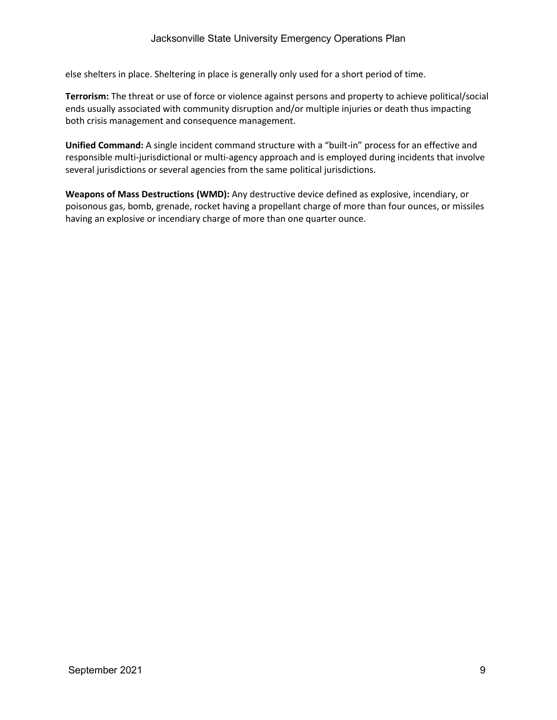else shelters in place. Sheltering in place is generally only used for a short period of time.

**Terrorism:** The threat or use of force or violence against persons and property to achieve political/social ends usually associated with community disruption and/or multiple injuries or death thus impacting both crisis management and consequence management.

**Unified Command:** A single incident command structure with a "built-in" process for an effective and responsible multi-jurisdictional or multi-agency approach and is employed during incidents that involve several jurisdictions or several agencies from the same political jurisdictions.

**Weapons of Mass Destructions (WMD):** Any destructive device defined as explosive, incendiary, or poisonous gas, bomb, grenade, rocket having a propellant charge of more than four ounces, or missiles having an explosive or incendiary charge of more than one quarter ounce.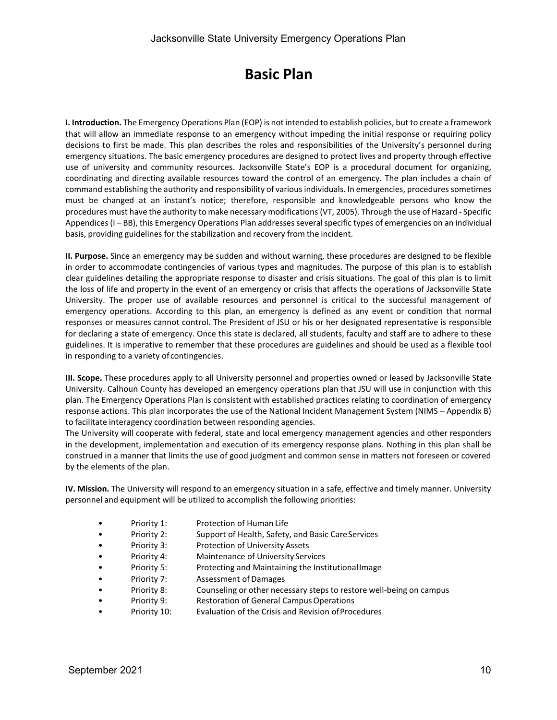# **Basic Plan**

<span id="page-9-0"></span>**I. Introduction.** The Emergency Operations Plan (EOP) is not intended to establish policies, but to create a framework that will allow an immediate response to an emergency without impeding the initial response or requiring policy decisions to first be made. This plan describes the roles and responsibilities of the University's personnel during emergency situations. The basic emergency procedures are designed to protect lives and property through effective use of university and community resources. Jacksonville State's EOP is a procedural document for organizing, coordinating and directing available resources toward the control of an emergency. The plan includes a chain of command establishing the authority and responsibility of various individuals. In emergencies, procedures sometimes must be changed at an instant's notice; therefore, responsible and knowledgeable persons who know the procedures must have the authority to make necessary modifications (VT, 2005). Through the use of Hazard - Specific Appendices (I – BB), this Emergency Operations Plan addresses several specific types of emergencies on an individual basis, providing guidelines for the stabilization and recovery from the incident.

**II. Purpose.** Since an emergency may be sudden and without warning, these procedures are designed to be flexible in order to accommodate contingencies of various types and magnitudes. The purpose of this plan is to establish clear guidelines detailing the appropriate response to disaster and crisis situations. The goal of this plan is to limit the loss of life and property in the event of an emergency or crisis that affects the operations of Jacksonville State University. The proper use of available resources and personnel is critical to the successful management of emergency operations. According to this plan, an emergency is defined as any event or condition that normal responses or measures cannot control. The President of JSU or his or her designated representative is responsible for declaring a state of emergency. Once this state is declared, all students, faculty and staff are to adhere to these guidelines. It is imperative to remember that these procedures are guidelines and should be used as a flexible tool in responding to a variety of contingencies.

**III. Scope.** These procedures apply to all University personnel and properties owned or leased by Jacksonville State University. Calhoun County has developed an emergency operations plan that JSU will use in conjunction with this plan. The Emergency Operations Plan is consistent with established practices relating to coordination of emergency response actions. This plan incorporates the use of the National Incident Management System (NIMS – Appendix B) to facilitate interagency coordination between responding agencies.

The University will cooperate with federal, state and local emergency management agencies and other responders in the development, implementation and execution of its emergency response plans. Nothing in this plan shall be construed in a manner that limits the use of good judgment and common sense in matters not foreseen or covered by the elements of the plan.

**IV. Mission.** The University will respond to an emergency situation in a safe, effective and timely manner. University personnel and equipment will be utilized to accomplish the following priorities:

- Priority 1: Protection of Human Life
- Priority 2: Support of Health, Safety, and Basic CareServices
- Priority 3: Protection of University Assets
- Priority 4: Maintenance of University Services
- Priority 5: Protecting and Maintaining the InstitutionalImage
- Priority 7: Assessment of Damages
- Priority 8: Counseling or other necessary steps to restore well-being on campus
- Priority 9: Restoration of General Campus Operations
- Priority 10: Evaluation of the Crisis and Revision ofProcedures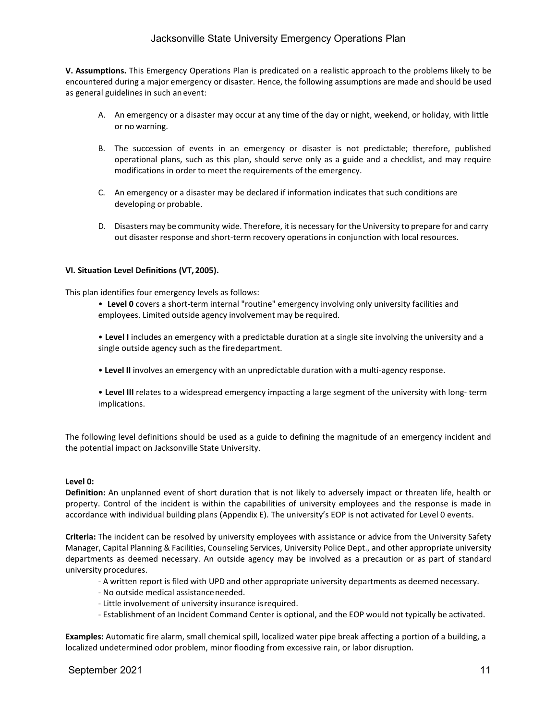# Jacksonville State University Emergency Operations Plan

**V. Assumptions.** This Emergency Operations Plan is predicated on a realistic approach to the problems likely to be encountered during a major emergency or disaster. Hence, the following assumptions are made and should be used as general guidelines in such an event:

- A. An emergency or a disaster may occur at any time of the day or night, weekend, or holiday, with little or no warning.
- B. The succession of events in an emergency or disaster is not predictable; therefore, published operational plans, such as this plan, should serve only as a guide and a checklist, and may require modifications in order to meet the requirements of the emergency.
- C. An emergency or a disaster may be declared if information indicates that such conditions are developing or probable.
- D. Disasters may be community wide. Therefore, it is necessary for the University to prepare for and carry out disaster response and short-term recovery operations in conjunction with local resources.

#### **VI. Situation Level Definitions (VT, 2005).**

This plan identifies four emergency levels as follows:

- **Level 0** covers a short-term internal "routine" emergency involving only university facilities and employees. Limited outside agency involvement may be required.
- **Level I** includes an emergency with a predictable duration at a single site involving the university and a single outside agency such as the firedepartment.
- **Level II** involves an emergency with an unpredictable duration with a multi-agency response.
- **Level III** relates to a widespread emergency impacting a large segment of the university with long- term implications.

The following level definitions should be used as a guide to defining the magnitude of an emergency incident and the potential impact on Jacksonville State University.

#### **Level 0:**

**Definition:** An unplanned event of short duration that is not likely to adversely impact or threaten life, health or property. Control of the incident is within the capabilities of university employees and the response is made in accordance with individual building plans (Appendix E). The university's EOP is not activated for Level 0 events.

**Criteria:** The incident can be resolved by university employees with assistance or advice from the University Safety Manager, Capital Planning & Facilities, Counseling Services, University Police Dept., and other appropriate university departments as deemed necessary. An outside agency may be involved as a precaution or as part of standard university procedures.

- A written report is filed with UPD and other appropriate university departments as deemed necessary.
- No outside medical assistanceneeded.
- Little involvement of university insurance isrequired.
- Establishment of an Incident Command Center is optional, and the EOP would not typically be activated.

**Examples:** Automatic fire alarm, small chemical spill, localized water pipe break affecting a portion of a building, a localized undetermined odor problem, minor flooding from excessive rain, or labor disruption.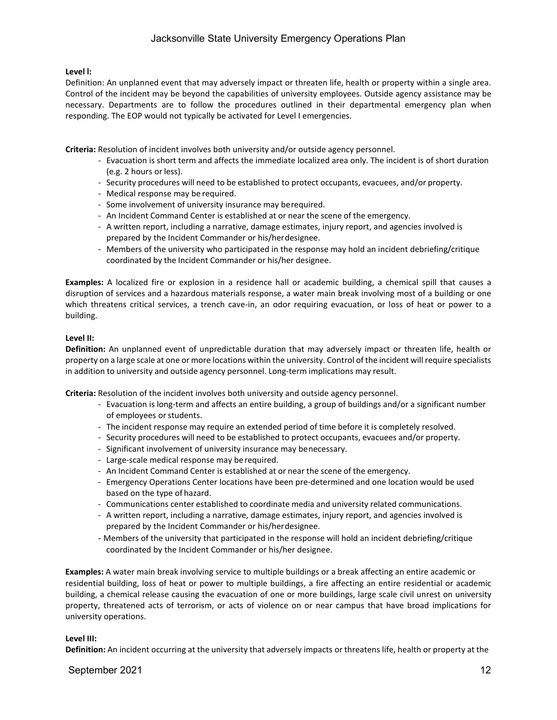### **Level l:**

Definition: An unplanned event that may adversely impact or threaten life, health or property within a single area. Control of the incident may be beyond the capabilities of university employees. Outside agency assistance may be necessary. Departments are to follow the procedures outlined in their departmental emergency plan when responding. The EOP would not typically be activated for Level I emergencies.

**Criteria:** Resolution of incident involves both university and/or outside agency personnel.

- Evacuation is short term and affects the immediate localized area only. The incident is of short duration (e.g. 2 hours or less).
- Security procedures will need to be established to protect occupants, evacuees, and/or property.
- Medical response may be required.
- Some involvement of university insurance may berequired.
- An Incident Command Center is established at or near the scene of the emergency.
- A written report, including a narrative, damage estimates, injury report, and agencies involved is prepared by the Incident Commander or his/herdesignee.
- Members of the university who participated in the response may hold an incident debriefing/critique coordinated by the Incident Commander or his/her designee.

**Examples:** A localized fire or explosion in a residence hall or academic building, a chemical spill that causes a disruption of services and a hazardous materials response, a water main break involving most of a building or one which threatens critical services, a trench cave-in, an odor requiring evacuation, or loss of heat or power to a building.

### **Level II:**

**Definition:** An unplanned event of unpredictable duration that may adversely impact or threaten life, health or property on a large scale at one or more locations within the university. Control of the incident will require specialists in addition to university and outside agency personnel. Long-term implications may result.

**Criteria:** Resolution of the incident involves both university and outside agency personnel.

- Evacuation is long-term and affects an entire building, a group of buildings and/or a significant number of employees or students.
- The incident response may require an extended period of time before it is completely resolved.
- Security procedures will need to be established to protect occupants, evacuees and/or property.
- Significant involvement of university insurance may benecessary.
- Large-scale medical response may berequired.
- An Incident Command Center is established at or near the scene of the emergency.
- Emergency Operations Center locations have been pre-determined and one location would be used based on the type of hazard.
- Communications center established to coordinate media and university related communications.
- A written report, including a narrative, damage estimates, injury report, and agencies involved is prepared by the Incident Commander or his/herdesignee.
- Members of the university that participated in the response will hold an incident debriefing/critique coordinated by the Incident Commander or his/her designee.

**Examples:** A water main break involving service to multiple buildings or a break affecting an entire academic or residential building, loss of heat or power to multiple buildings, a fire affecting an entire residential or academic building, a chemical release causing the evacuation of one or more buildings, large scale civil unrest on university property, threatened acts of terrorism, or acts of violence on or near campus that have broad implications for university operations.

### **Level III:**

**Definition:** An incident occurring at the university that adversely impacts or threatens life, health or property at the

### September 2021 12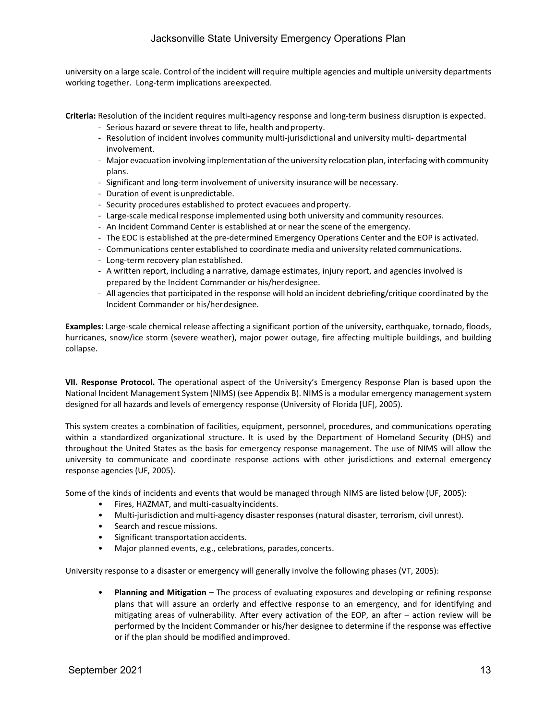# Jacksonville State University Emergency Operations Plan

university on a large scale. Control of the incident will require multiple agencies and multiple university departments working together. Long-term implications areexpected.

**Criteria:** Resolution of the incident requires multi-agency response and long-term business disruption is expected.

- Serious hazard or severe threat to life, health and property.
- Resolution of incident involves community multi-jurisdictional and university multi- departmental involvement.
- Major evacuation involving implementation of the university relocation plan, interfacing with community plans.
- Significant and long-term involvement of university insurance will be necessary.
- Duration of event is unpredictable.
- Security procedures established to protect evacuees andproperty.
- Large-scale medical response implemented using both university and community resources.
- An Incident Command Center is established at or near the scene of the emergency.
- The EOC is established at the pre-determined Emergency Operations Center and the EOP is activated.
- Communications center established to coordinate media and university related communications.
- Long-term recovery plan established.
- A written report, including a narrative, damage estimates, injury report, and agencies involved is prepared by the Incident Commander or his/herdesignee.
- All agencies that participated in the response will hold an incident debriefing/critique coordinated by the Incident Commander or his/herdesignee.

**Examples:** Large-scale chemical release affecting a significant portion of the university, earthquake, tornado, floods, hurricanes, snow/ice storm (severe weather), major power outage, fire affecting multiple buildings, and building collapse.

**VII. Response Protocol.** The operational aspect of the University's Emergency Response Plan is based upon the National Incident Management System (NIMS) (see Appendix B). NIMS is a modular emergency management system designed for all hazards and levels of emergency response (University of Florida [UF], 2005).

This system creates a combination of facilities, equipment, personnel, procedures, and communications operating within a standardized organizational structure. It is used by the Department of Homeland Security (DHS) and throughout the United States as the basis for emergency response management. The use of NIMS will allow the university to communicate and coordinate response actions with other jurisdictions and external emergency response agencies (UF, 2005).

Some of the kinds of incidents and events that would be managed through NIMS are listed below (UF, 2005):

- Fires, HAZMAT, and multi-casualtyincidents.
- Multi-jurisdiction and multi-agency disaster responses (natural disaster, terrorism, civil unrest).
- Search and rescue missions.
- Significant transportation accidents.
- Major planned events, e.g., celebrations, parades,concerts.

University response to a disaster or emergency will generally involve the following phases (VT, 2005):

• **Planning and Mitigation** – The process of evaluating exposures and developing or refining response plans that will assure an orderly and effective response to an emergency, and for identifying and mitigating areas of vulnerability. After every activation of the EOP, an after – action review will be performed by the Incident Commander or his/her designee to determine if the response was effective or if the plan should be modified andimproved.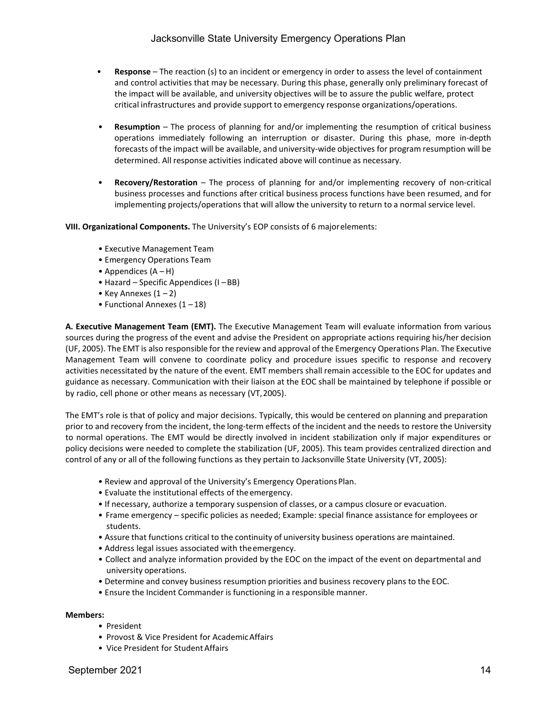- **Response** The reaction (s) to an incident or emergency in order to assess the level of containment and control activities that may be necessary. During this phase, generally only preliminary forecast of the impact will be available, and university objectives will be to assure the public welfare, protect critical infrastructures and provide support to emergency response organizations/operations.
- **Resumption**  The process of planning for and/or implementing the resumption of critical business operations immediately following an interruption or disaster. During this phase, more in-depth forecasts of the impact will be available, and university-wide objectives for program resumption will be determined. All response activities indicated above will continue as necessary.
- **Recovery/Restoration**  The process of planning for and/or implementing recovery of non-critical business processes and functions after critical business process functions have been resumed, and for implementing projects/operations that will allow the university to return to a normal service level.

**VIII. Organizational Components.** The University's EOP consists of 6 majorelements:

- Executive Management Team
- Emergency Operations Team
- Appendices  $(A H)$
- Hazard Specific Appendices (I –BB)
- Key Annexes  $(1 2)$
- Functional Annexes  $(1 18)$

**A. Executive Management Team (EMT).** The Executive Management Team will evaluate information from various sources during the progress of the event and advise the President on appropriate actions requiring his/her decision (UF, 2005). The EMT is also responsible for the review and approval of the Emergency Operations Plan. The Executive Management Team will convene to coordinate policy and procedure issues specific to response and recovery activities necessitated by the nature of the event. EMT members shall remain accessible to the EOC for updates and guidance as necessary. Communication with their liaison at the EOC shall be maintained by telephone if possible or by radio, cell phone or other means as necessary (VT,2005).

The EMT's role is that of policy and major decisions. Typically, this would be centered on planning and preparation prior to and recovery from the incident, the long-term effects of the incident and the needs to restore the University to normal operations. The EMT would be directly involved in incident stabilization only if major expenditures or policy decisions were needed to complete the stabilization (UF, 2005). This team provides centralized direction and control of any or all of the following functions as they pertain to Jacksonville State University (VT, 2005):

- Review and approval of the University's Emergency OperationsPlan.
- Evaluate the institutional effects of theemergency.
- If necessary, authorize a temporary suspension of classes, or a campus closure or evacuation.
- Frame emergency specific policies as needed; Example: special finance assistance for employees or students.
- Assure that functions critical to the continuity of university business operations are maintained.
- Address legal issues associated with theemergency.
- Collect and analyze information provided by the EOC on the impact of the event on departmental and university operations.
- Determine and convey business resumption priorities and business recovery plans to the EOC.
- Ensure the Incident Commander is functioning in a responsible manner.

### **Members:**

- President
- Provost & Vice President for AcademicAffairs
- Vice President for Student Affairs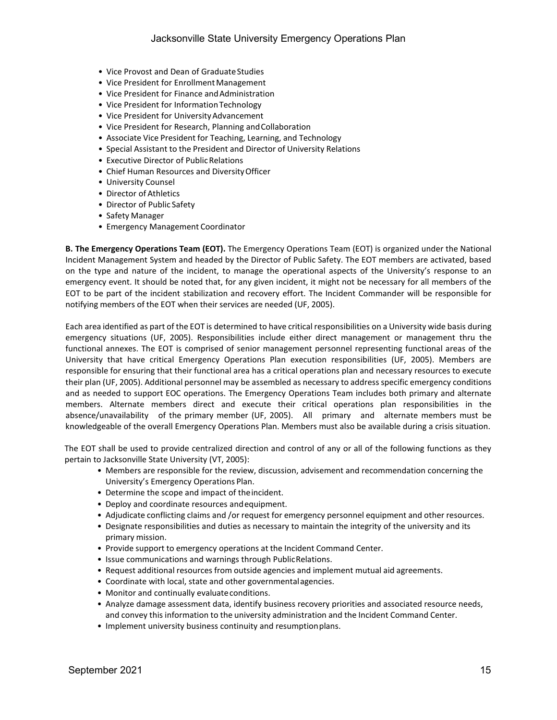- Vice Provost and Dean of Graduate Studies
- Vice President for Enrollment Management
- Vice President for Finance and Administration
- Vice President for Information Technology
- Vice President for UniversityAdvancement
- Vice President for Research, Planning and Collaboration
- Associate Vice President for Teaching, Learning, and Technology
- Special Assistant to the President and Director of University Relations
- Executive Director of Public Relations
- Chief Human Resources and DiversityOfficer
- University Counsel
- Director of Athletics
- Director of Public Safety
- Safety Manager
- Emergency Management Coordinator

**B. The Emergency Operations Team (EOT).** The Emergency Operations Team (EOT) is organized under the National Incident Management System and headed by the Director of Public Safety. The EOT members are activated, based on the type and nature of the incident, to manage the operational aspects of the University's response to an emergency event. It should be noted that, for any given incident, it might not be necessary for all members of the EOT to be part of the incident stabilization and recovery effort. The Incident Commander will be responsible for notifying members of the EOT when their services are needed (UF, 2005).

Each area identified as part of the EOT is determined to have critical responsibilities on a University wide basis during emergency situations (UF, 2005). Responsibilities include either direct management or management thru the functional annexes. The EOT is comprised of senior management personnel representing functional areas of the University that have critical Emergency Operations Plan execution responsibilities (UF, 2005). Members are responsible for ensuring that their functional area has a critical operations plan and necessary resources to execute their plan (UF, 2005). Additional personnel may be assembled as necessary to addressspecific emergency conditions and as needed to support EOC operations. The Emergency Operations Team includes both primary and alternate members. Alternate members direct and execute their critical operations plan responsibilities in the absence/unavailability of the primary member (UF, 2005). All primary and alternate members must be knowledgeable of the overall Emergency Operations Plan. Members must also be available during a crisis situation.

The EOT shall be used to provide centralized direction and control of any or all of the following functions as they pertain to Jacksonville State University (VT, 2005):

- Members are responsible for the review, discussion, advisement and recommendation concerning the University's Emergency Operations Plan.
- Determine the scope and impact of theincident.
- Deploy and coordinate resources andequipment.
- Adjudicate conflicting claims and /or request for emergency personnel equipment and other resources.
- Designate responsibilities and duties as necessary to maintain the integrity of the university and its primary mission.
- Provide support to emergency operations at the Incident Command Center.
- Issue communications and warnings through PublicRelations.
- Request additional resources from outside agencies and implement mutual aid agreements.
- Coordinate with local, state and other governmentalagencies.
- Monitor and continually evaluateconditions.
- Analyze damage assessment data, identify business recovery priorities and associated resource needs, and convey this information to the university administration and the Incident Command Center.
- Implement university business continuity and resumptionplans.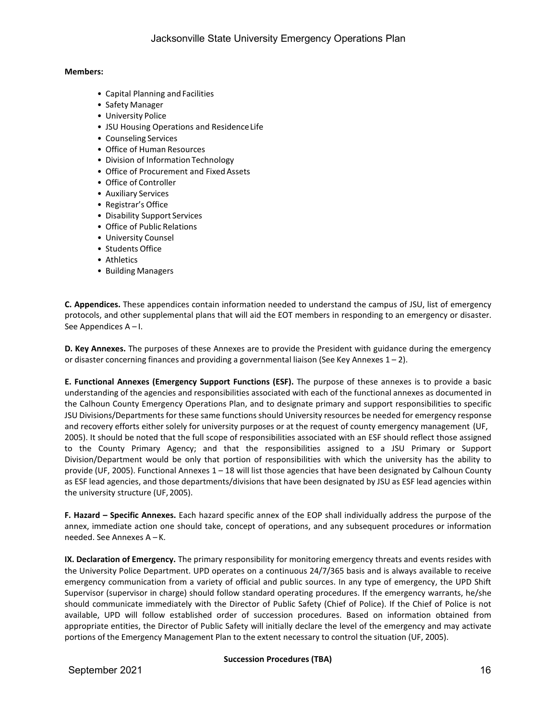### **Members:**

- Capital Planning and Facilities
- Safety Manager
- University Police
- JSU Housing Operations and ResidenceLife
- Counseling Services
- Office of Human Resources
- Division of Information Technology
- Office of Procurement and Fixed Assets
- Office of Controller
- Auxiliary Services
- Registrar's Office
- Disability Support Services
- Office of Public Relations
- University Counsel
- Students Office
- Athletics
- Building Managers

**C. Appendices.** These appendices contain information needed to understand the campus of JSU, list of emergency protocols, and other supplemental plans that will aid the EOT members in responding to an emergency or disaster. See Appendices A – I.

**D. Key Annexes.** The purposes of these Annexes are to provide the President with guidance during the emergency or disaster concerning finances and providing a governmental liaison (See Key Annexes  $1 - 2$ ).

**E. Functional Annexes (Emergency Support Functions (ESF).** The purpose of these annexes is to provide a basic understanding of the agencies and responsibilities associated with each of the functional annexes as documented in the Calhoun County Emergency Operations Plan, and to designate primary and support responsibilities to specific JSU Divisions/Departments for these same functions should University resources be needed for emergency response and recovery efforts either solely for university purposes or at the request of county emergency management (UF, 2005). It should be noted that the full scope of responsibilities associated with an ESF should reflect those assigned to the County Primary Agency; and that the responsibilities assigned to a JSU Primary or Support Division/Department would be only that portion of responsibilities with which the university has the ability to provide (UF, 2005). Functional Annexes 1 – 18 will list those agencies that have been designated by Calhoun County as ESF lead agencies, and those departments/divisions that have been designated by JSU as ESF lead agencies within the university structure (UF, 2005).

**F. Hazard – Specific Annexes.** Each hazard specific annex of the EOP shall individually address the purpose of the annex, immediate action one should take, concept of operations, and any subsequent procedures or information needed. See Annexes A – K.

**IX. Declaration of Emergency.** The primary responsibility for monitoring emergency threats and events resides with the University Police Department. UPD operates on a continuous 24/7/365 basis and is always available to receive emergency communication from a variety of official and public sources. In any type of emergency, the UPD Shift Supervisor (supervisor in charge) should follow standard operating procedures. If the emergency warrants, he/she should communicate immediately with the Director of Public Safety (Chief of Police). If the Chief of Police is not available, UPD will follow established order of succession procedures. Based on information obtained from appropriate entities, the Director of Public Safety will initially declare the level of the emergency and may activate portions of the Emergency Management Plan to the extent necessary to control the situation (UF, 2005).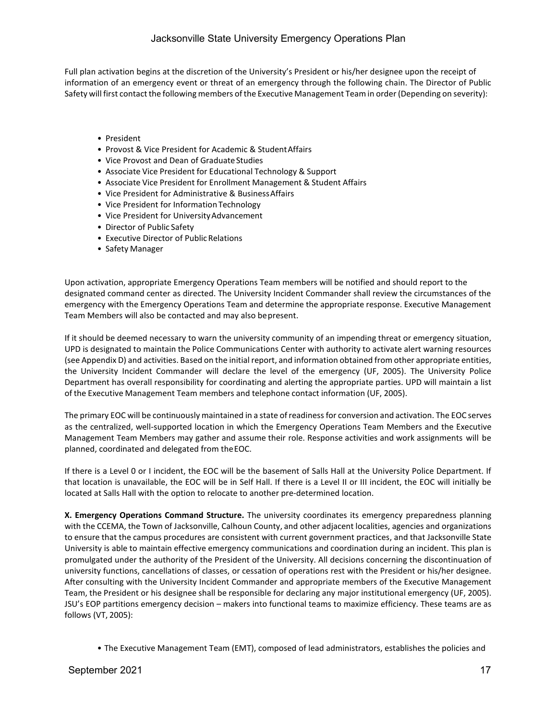Full plan activation begins at the discretion of the University's President or his/her designee upon the receipt of information of an emergency event or threat of an emergency through the following chain. The Director of Public Safety will first contact the following members of the Executive Management Team in order (Depending on severity):

- President
- Provost & Vice President for Academic & StudentAffairs
- Vice Provost and Dean of GraduateStudies
- Associate Vice President for Educational Technology & Support
- Associate Vice President for Enrollment Management & Student Affairs
- Vice President for Administrative & BusinessAffairs
- Vice President for Information Technology
- Vice President for UniversityAdvancement
- Director of Public Safety
- Executive Director of Public Relations
- Safety Manager

Upon activation, appropriate Emergency Operations Team members will be notified and should report to the designated command center as directed. The University Incident Commander shall review the circumstances of the emergency with the Emergency Operations Team and determine the appropriate response. Executive Management Team Members will also be contacted and may also bepresent.

If it should be deemed necessary to warn the university community of an impending threat or emergency situation, UPD is designated to maintain the Police Communications Center with authority to activate alert warning resources (see Appendix D) and activities. Based on the initial report, and information obtained from other appropriate entities, the University Incident Commander will declare the level of the emergency (UF, 2005). The University Police Department has overall responsibility for coordinating and alerting the appropriate parties. UPD will maintain a list of the Executive Management Team members and telephone contact information (UF, 2005).

The primary EOC will be continuously maintained in a state of readiness for conversion and activation. The EOC serves as the centralized, well-supported location in which the Emergency Operations Team Members and the Executive Management Team Members may gather and assume their role. Response activities and work assignments will be planned, coordinated and delegated from theEOC.

If there is a Level 0 or I incident, the EOC will be the basement of Salls Hall at the University Police Department. If that location is unavailable, the EOC will be in Self Hall. If there is a Level II or III incident, the EOC will initially be located at Salls Hall with the option to relocate to another pre-determined location.

**X. Emergency Operations Command Structure.** The university coordinates its emergency preparedness planning with the CCEMA, the Town of Jacksonville, Calhoun County, and other adjacent localities, agencies and organizations to ensure that the campus procedures are consistent with current government practices, and that Jacksonville State University is able to maintain effective emergency communications and coordination during an incident. This plan is promulgated under the authority of the President of the University. All decisions concerning the discontinuation of university functions, cancellations of classes, or cessation of operations rest with the President or his/her designee. After consulting with the University Incident Commander and appropriate members of the Executive Management Team, the President or his designee shall be responsible for declaring any major institutional emergency (UF, 2005). JSU's EOP partitions emergency decision – makers into functional teams to maximize efficiency. These teams are as follows (VT, 2005):

• The Executive Management Team (EMT), composed of lead administrators, establishes the policies and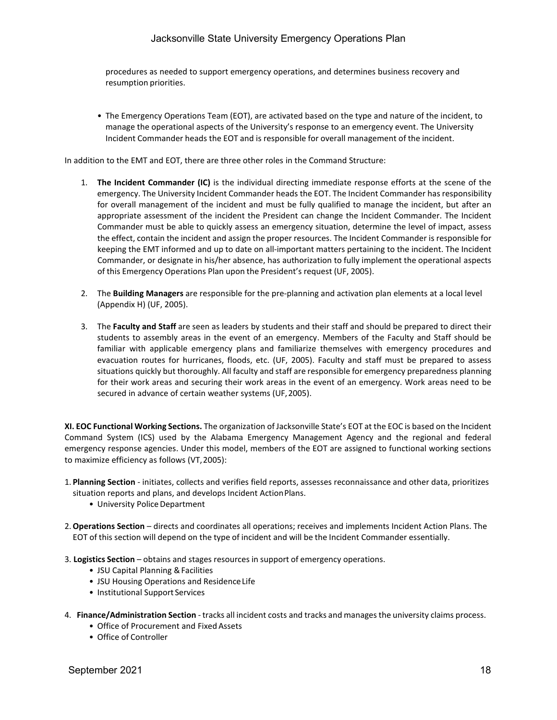# Jacksonville State University Emergency Operations Plan

procedures as needed to support emergency operations, and determines business recovery and resumption priorities.

• The Emergency Operations Team (EOT), are activated based on the type and nature of the incident, to manage the operational aspects of the University's response to an emergency event. The University Incident Commander heads the EOT and is responsible for overall management of the incident.

In addition to the EMT and EOT, there are three other roles in the Command Structure:

- 1. **The Incident Commander (IC)** is the individual directing immediate response efforts at the scene of the emergency. The University Incident Commander heads the EOT. The Incident Commander has responsibility for overall management of the incident and must be fully qualified to manage the incident, but after an appropriate assessment of the incident the President can change the Incident Commander. The Incident Commander must be able to quickly assess an emergency situation, determine the level of impact, assess the effect, contain the incident and assign the proper resources. The Incident Commander is responsible for keeping the EMT informed and up to date on all-important matters pertaining to the incident. The Incident Commander, or designate in his/her absence, has authorization to fully implement the operational aspects of this Emergency Operations Plan upon the President's request (UF, 2005).
- 2. The **Building Managers** are responsible for the pre-planning and activation plan elements at a local level (Appendix H) (UF, 2005).
- 3. The **Faculty and Staff** are seen as leaders by students and their staff and should be prepared to direct their students to assembly areas in the event of an emergency. Members of the Faculty and Staff should be familiar with applicable emergency plans and familiarize themselves with emergency procedures and evacuation routes for hurricanes, floods, etc. (UF, 2005). Faculty and staff must be prepared to assess situations quickly but thoroughly. All faculty and staff are responsible for emergency preparedness planning for their work areas and securing their work areas in the event of an emergency. Work areas need to be secured in advance of certain weather systems (UF,2005).

**XI. EOC Functional Working Sections.** The organization of Jacksonville State's EOT at the EOC is based on the Incident Command System (ICS) used by the Alabama Emergency Management Agency and the regional and federal emergency response agencies. Under this model, members of the EOT are assigned to functional working sections to maximize efficiency as follows (VT,2005):

- 1. **Planning Section**  initiates, collects and verifies field reports, assesses reconnaissance and other data, prioritizes situation reports and plans, and develops Incident ActionPlans.
	- University Police Department
- 2.**Operations Section**  directs and coordinates all operations; receives and implements Incident Action Plans. The EOT of this section will depend on the type of incident and will be the Incident Commander essentially.
- 3. **Logistics Section** obtains and stages resources in support of emergency operations.
	- JSU Capital Planning &Facilities
	- JSU Housing Operations and ResidenceLife
	- Institutional Support Services
- 4. **Finance/Administration Section** tracks all incident costs and tracks and manages the university claims process.
	- Office of Procurement and Fixed Assets
	- Office of Controller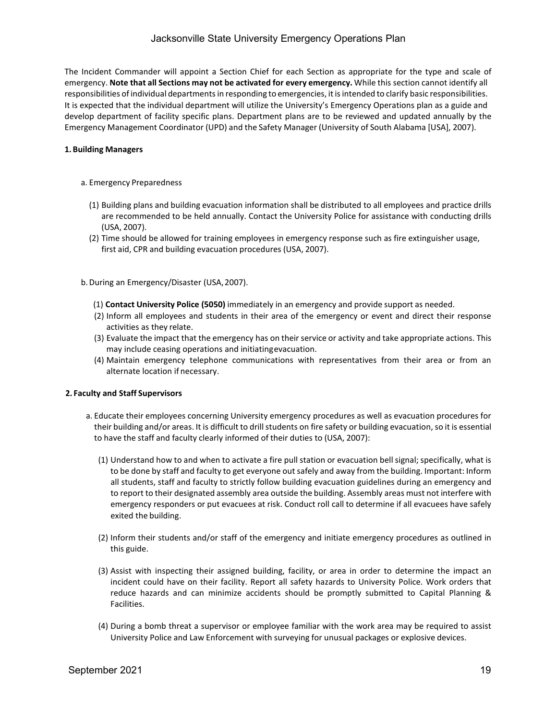# Jacksonville State University Emergency Operations Plan

The Incident Commander will appoint a Section Chief for each Section as appropriate for the type and scale of emergency. **Note that all Sections may not be activated for every emergency.** While this section cannot identify all responsibilities of individual departments in responding to emergencies, it is intended to clarify basic responsibilities. It is expected that the individual department will utilize the University's Emergency Operations plan as a guide and develop department of facility specific plans. Department plans are to be reviewed and updated annually by the Emergency Management Coordinator (UPD) and the Safety Manager (University of South Alabama [USA], 2007).

### **1. Building Managers**

#### a. Emergency Preparedness

- (1) Building plans and building evacuation information shall be distributed to all employees and practice drills are recommended to be held annually. Contact the University Police for assistance with conducting drills (USA, 2007).
- (2) Time should be allowed for training employees in emergency response such as fire extinguisher usage, first aid, CPR and building evacuation procedures (USA, 2007).

b.During an Emergency/Disaster (USA,2007).

- (1) **Contact University Police (5050)** immediately in an emergency and provide support as needed.
- (2) Inform all employees and students in their area of the emergency or event and direct their response activities as they relate.
- (3) Evaluate the impact that the emergency has on their service or activity and take appropriate actions. This may include ceasing operations and initiatingevacuation.
- (4) Maintain emergency telephone communications with representatives from their area or from an alternate location if necessary.

#### **2. Faculty and Staff Supervisors**

- a. Educate their employees concerning University emergency procedures as well as evacuation procedures for their building and/or areas. It is difficult to drill students on fire safety or building evacuation, so it is essential to have the staff and faculty clearly informed of their duties to (USA, 2007):
	- (1) Understand how to and when to activate a fire pull station or evacuation bell signal; specifically, what is to be done by staff and faculty to get everyone out safely and away from the building. Important: Inform all students, staff and faculty to strictly follow building evacuation guidelines during an emergency and to report to their designated assembly area outside the building. Assembly areas must not interfere with emergency responders or put evacuees at risk. Conduct roll call to determine if all evacuees have safely exited the building.
	- (2) Inform their students and/or staff of the emergency and initiate emergency procedures as outlined in this guide.
	- (3) Assist with inspecting their assigned building, facility, or area in order to determine the impact an incident could have on their facility. Report all safety hazards to University Police. Work orders that reduce hazards and can minimize accidents should be promptly submitted to Capital Planning & Facilities.
	- (4) During a bomb threat a supervisor or employee familiar with the work area may be required to assist University Police and Law Enforcement with surveying for unusual packages or explosive devices.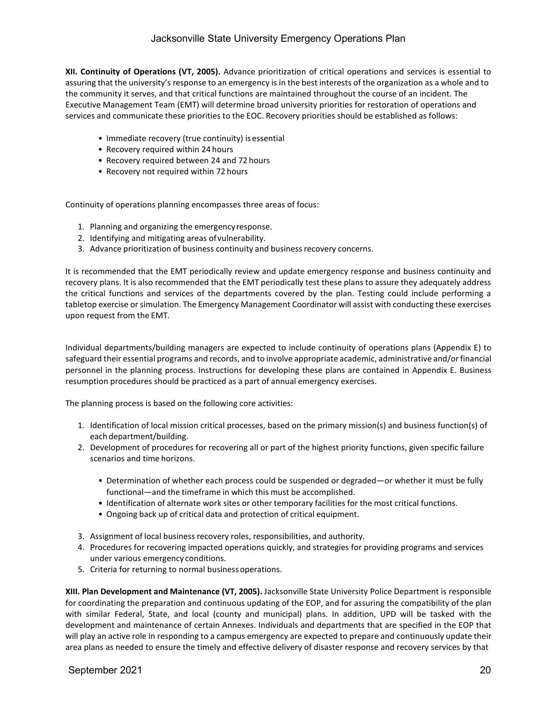**XII. Continuity of Operations (VT, 2005).** Advance prioritization of critical operations and services is essential to assuring that the university's response to an emergency is in the best interests of the organization as a whole and to the community it serves, and that critical functions are maintained throughout the course of an incident. The Executive Management Team (EMT) will determine broad university priorities for restoration of operations and services and communicate these priorities to the EOC. Recovery priorities should be established as follows:

- Immediate recovery (true continuity) is essential
- Recovery required within 24 hours
- Recovery required between 24 and 72 hours
- Recovery not required within 72 hours

Continuity of operations planning encompasses three areas of focus:

- 1. Planning and organizing the emergencyresponse.
- 2. Identifying and mitigating areas ofvulnerability.
- 3. Advance prioritization of business continuity and business recovery concerns.

It is recommended that the EMT periodically review and update emergency response and business continuity and recovery plans. It is also recommended that the EMT periodically test these plans to assure they adequately address the critical functions and services of the departments covered by the plan. Testing could include performing a tabletop exercise orsimulation. The Emergency Management Coordinator will assist with conducting these exercises upon request from the EMT.

Individual departments/building managers are expected to include continuity of operations plans (Appendix E) to safeguard their essential programs and records, and to involve appropriate academic, administrative and/orfinancial personnel in the planning process. Instructions for developing these plans are contained in Appendix E. Business resumption procedures should be practiced as a part of annual emergency exercises.

The planning process is based on the following core activities:

- 1. Identification of local mission critical processes, based on the primary mission(s) and business function(s) of each department/building.
- 2. Development of procedures for recovering all or part of the highest priority functions, given specific failure scenarios and time horizons.
	- Determination of whether each process could be suspended or degraded—or whether it must be fully functional—and the timeframe in which this must be accomplished.
	- Identification of alternate work sites or other temporary facilities for the most critical functions.
	- Ongoing back up of critical data and protection of critical equipment.
- 3. Assignment of local business recovery roles, responsibilities, and authority.
- 4. Procedures for recovering impacted operations quickly, and strategies for providing programs and services under various emergency conditions.
- 5. Criteria for returning to normal businessoperations.

**XIII. Plan Development and Maintenance (VT, 2005).** Jacksonville State University Police Department is responsible for coordinating the preparation and continuous updating of the EOP, and for assuring the compatibility of the plan with similar Federal, State, and local (county and municipal) plans. In addition, UPD will be tasked with the development and maintenance of certain Annexes. Individuals and departments that are specified in the EOP that will play an active role in responding to a campus emergency are expected to prepare and continuously update their area plans as needed to ensure the timely and effective delivery of disaster response and recovery services by that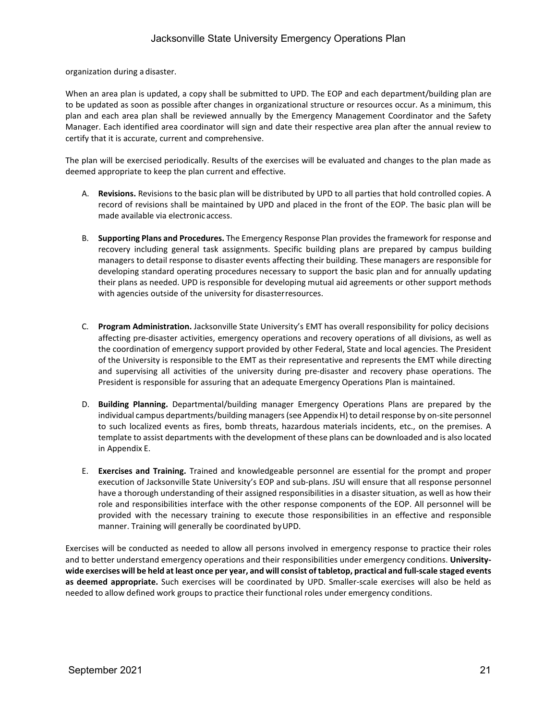organization during a disaster.

When an area plan is updated, a copy shall be submitted to UPD. The EOP and each department/building plan are to be updated as soon as possible after changes in organizational structure or resources occur. As a minimum, this plan and each area plan shall be reviewed annually by the Emergency Management Coordinator and the Safety Manager. Each identified area coordinator will sign and date their respective area plan after the annual review to certify that it is accurate, current and comprehensive.

The plan will be exercised periodically. Results of the exercises will be evaluated and changes to the plan made as deemed appropriate to keep the plan current and effective.

- A. **Revisions.** Revisions to the basic plan will be distributed by UPD to all parties that hold controlled copies. A record of revisions shall be maintained by UPD and placed in the front of the EOP. The basic plan will be made available via electronic access.
- B. **Supporting Plans and Procedures.** The Emergency Response Plan provides the framework for response and recovery including general task assignments. Specific building plans are prepared by campus building managers to detail response to disaster events affecting their building. These managers are responsible for developing standard operating procedures necessary to support the basic plan and for annually updating their plans as needed. UPD is responsible for developing mutual aid agreements or other support methods with agencies outside of the university for disasterresources.
- C. **Program Administration.** Jacksonville State University's EMT has overall responsibility for policy decisions affecting pre-disaster activities, emergency operations and recovery operations of all divisions, as well as the coordination of emergency support provided by other Federal, State and local agencies. The President of the University is responsible to the EMT as their representative and represents the EMT while directing and supervising all activities of the university during pre-disaster and recovery phase operations. The President is responsible for assuring that an adequate Emergency Operations Plan is maintained.
- D. **Building Planning.** Departmental/building manager Emergency Operations Plans are prepared by the individual campus departments/building managers (see Appendix H) to detail response by on-site personnel to such localized events as fires, bomb threats, hazardous materials incidents, etc., on the premises. A template to assist departments with the development of these plans can be downloaded and is also located in Appendix E.
- E. **Exercises and Training.** Trained and knowledgeable personnel are essential for the prompt and proper execution of Jacksonville State University's EOP and sub-plans. JSU will ensure that all response personnel have a thorough understanding of their assigned responsibilities in a disaster situation, as well as how their role and responsibilities interface with the other response components of the EOP. All personnel will be provided with the necessary training to execute those responsibilities in an effective and responsible manner. Training will generally be coordinated byUPD.

Exercises will be conducted as needed to allow all persons involved in emergency response to practice their roles and to better understand emergency operations and their responsibilities under emergency conditions. **University**wide exercises will be held at least once per year, and will consist of tabletop, practical and full-scale staged events **as deemed appropriate.** Such exercises will be coordinated by UPD. Smaller-scale exercises will also be held as needed to allow defined work groups to practice their functional roles under emergency conditions.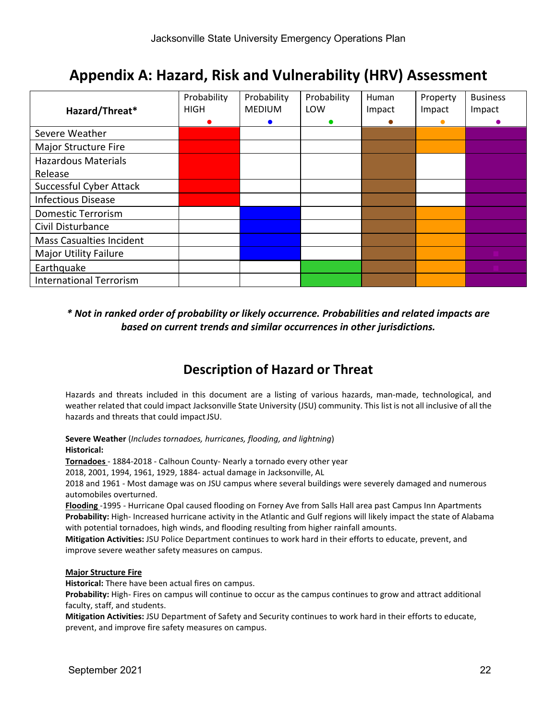# **Appendix A: Hazard, Risk and Vulnerability (HRV) Assessment**

|                                 | Probability | Probability   | Probability | Human  | Property | <b>Business</b> |
|---------------------------------|-------------|---------------|-------------|--------|----------|-----------------|
| Hazard/Threat*                  | <b>HIGH</b> | <b>MEDIUM</b> | LOW         | Impact | Impact   | Impact          |
|                                 |             |               |             |        |          |                 |
| Severe Weather                  |             |               |             |        |          |                 |
| Major Structure Fire            |             |               |             |        |          |                 |
| <b>Hazardous Materials</b>      |             |               |             |        |          |                 |
| Release                         |             |               |             |        |          |                 |
| Successful Cyber Attack         |             |               |             |        |          |                 |
| <b>Infectious Disease</b>       |             |               |             |        |          |                 |
| <b>Domestic Terrorism</b>       |             |               |             |        |          |                 |
| Civil Disturbance               |             |               |             |        |          |                 |
| <b>Mass Casualties Incident</b> |             |               |             |        |          |                 |
| <b>Major Utility Failure</b>    |             |               |             |        |          |                 |
| Earthquake                      |             |               |             |        |          |                 |
| <b>International Terrorism</b>  |             |               |             |        |          |                 |

# *\* Not in ranked order of probability or likely occurrence. Probabilities and related impacts are based on current trends and similar occurrences in other jurisdictions.*

# **Description of Hazard or Threat**

Hazards and threats included in this document are a listing of various hazards, man-made, technological, and weather related that could impact Jacksonville State University (JSU) community. This list is not all inclusive of all the hazards and threats that could impactJSU.

**Severe Weather** (*Includes tornadoes, hurricanes, flooding, and lightning*) **Historical:**

**Tornadoes** - 1884-2018 - Calhoun County- Nearly a tornado every other year

2018, 2001, 1994, 1961, 1929, 1884- actual damage in Jacksonville, AL

2018 and 1961 - Most damage was on JSU campus where several buildings were severely damaged and numerous automobiles overturned.

**Flooding** -1995 - Hurricane Opal caused flooding on Forney Ave from Salls Hall area past Campus Inn Apartments **Probability:** High- Increased hurricane activity in the Atlantic and Gulf regions will likely impact the state of Alabama with potential tornadoes, high winds, and flooding resulting from higher rainfall amounts.

**Mitigation Activities:** JSU Police Department continues to work hard in their efforts to educate, prevent, and improve severe weather safety measures on campus.

# **Major Structure Fire**

**Historical:** There have been actual fires on campus.

**Probability:** High- Fires on campus will continue to occur as the campus continues to grow and attract additional faculty, staff, and students.

**Mitigation Activities:** JSU Department of Safety and Security continues to work hard in their efforts to educate, prevent, and improve fire safety measures on campus.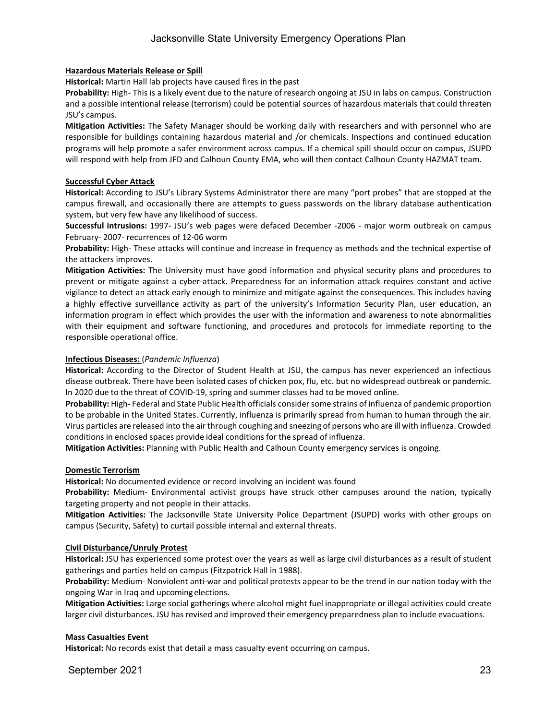### **Hazardous Materials Release or Spill**

**Historical:** Martin Hall lab projects have caused fires in the past

**Probability:** High- This is a likely event due to the nature of research ongoing at JSU in labs on campus. Construction and a possible intentional release (terrorism) could be potential sources of hazardous materials that could threaten JSU's campus.

**Mitigation Activities:** The Safety Manager should be working daily with researchers and with personnel who are responsible for buildings containing hazardous material and /or chemicals. Inspections and continued education programs will help promote a safer environment across campus. If a chemical spill should occur on campus, JSUPD will respond with help from JFD and Calhoun County EMA, who will then contact Calhoun County HAZMAT team.

### **Successful Cyber Attack**

**Historical:** According to JSU's Library Systems Administrator there are many "port probes" that are stopped at the campus firewall, and occasionally there are attempts to guess passwords on the library database authentication system, but very few have any likelihood of success.

**Successful intrusions:** 1997- JSU's web pages were defaced December -2006 - major worm outbreak on campus February- 2007- recurrences of 12-06 worm

**Probability:** High- These attacks will continue and increase in frequency as methods and the technical expertise of the attackers improves.

**Mitigation Activities:** The University must have good information and physical security plans and procedures to prevent or mitigate against a cyber-attack. Preparedness for an information attack requires constant and active vigilance to detect an attack early enough to minimize and mitigate against the consequences. This includes having a highly effective surveillance activity as part of the university's Information Security Plan, user education, an information program in effect which provides the user with the information and awareness to note abnormalities with their equipment and software functioning, and procedures and protocols for immediate reporting to the responsible operational office.

#### **Infectious Diseases:** (*Pandemic Influenza*)

**Historical:** According to the Director of Student Health at JSU, the campus has never experienced an infectious disease outbreak. There have been isolated cases of chicken pox, flu, etc. but no widespread outbreak or pandemic. In 2020 due to the threat of COVID-19, spring and summer classes had to be moved online.

**Probability:** High- Federal and State Public Health officials considersome strains of influenza of pandemic proportion to be probable in the United States. Currently, influenza is primarily spread from human to human through the air. Virus particles are released into the air through coughing and sneezing of persons who are ill with influenza. Crowded conditions in enclosed spaces provide ideal conditions for the spread of influenza.

**Mitigation Activities:** Planning with Public Health and Calhoun County emergency services is ongoing.

### **Domestic Terrorism**

**Historical:** No documented evidence or record involving an incident was found

**Probability:** Medium- Environmental activist groups have struck other campuses around the nation, typically targeting property and not people in their attacks.

**Mitigation Activities:** The Jacksonville State University Police Department (JSUPD) works with other groups on campus (Security, Safety) to curtail possible internal and external threats.

#### **Civil Disturbance/Unruly Protest**

**Historical:** JSU has experienced some protest over the years as well as large civil disturbances as a result of student gatherings and parties held on campus (Fitzpatrick Hall in 1988).

**Probability:** Medium- Nonviolent anti-war and political protests appear to be the trend in our nation today with the ongoing War in Iraq and upcomingelections.

**Mitigation Activities:** Large social gatherings where alcohol might fuel inappropriate or illegal activities could create larger civil disturbances. JSU has revised and improved their emergency preparedness plan to include evacuations.

#### **Mass Casualties Event**

**Historical:** No records exist that detail a mass casualty event occurring on campus.

September 2021 23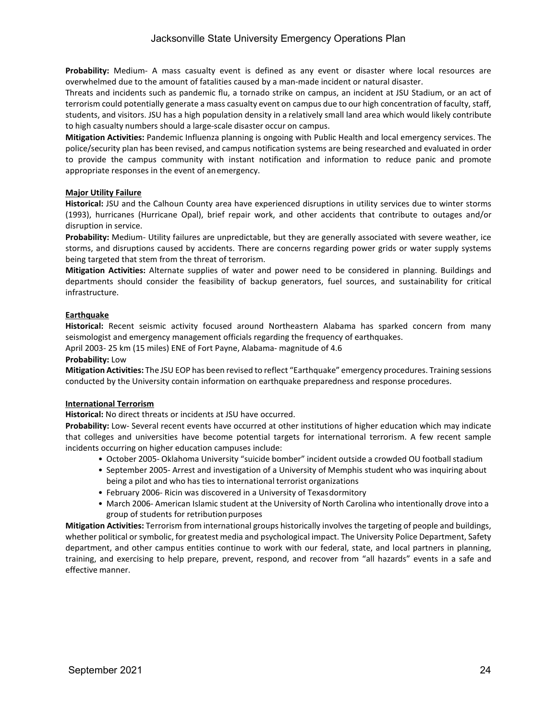**Probability:** Medium- A mass casualty event is defined as any event or disaster where local resources are overwhelmed due to the amount of fatalities caused by a man-made incident or natural disaster.

Threats and incidents such as pandemic flu, a tornado strike on campus, an incident at JSU Stadium, or an act of terrorism could potentially generate a mass casualty event on campus due to our high concentration of faculty, staff, students, and visitors. JSU has a high population density in a relatively small land area which would likely contribute to high casualty numbers should a large-scale disaster occur on campus.

**Mitigation Activities:** Pandemic Influenza planning is ongoing with Public Health and local emergency services. The police/security plan has been revised, and campus notification systems are being researched and evaluated in order to provide the campus community with instant notification and information to reduce panic and promote appropriate responses in the event of anemergency.

# **Major Utility Failure**

**Historical:** JSU and the Calhoun County area have experienced disruptions in utility services due to winter storms (1993), hurricanes (Hurricane Opal), brief repair work, and other accidents that contribute to outages and/or disruption in service.

**Probability:** Medium- Utility failures are unpredictable, but they are generally associated with severe weather, ice storms, and disruptions caused by accidents. There are concerns regarding power grids or water supply systems being targeted that stem from the threat of terrorism.

**Mitigation Activities:** Alternate supplies of water and power need to be considered in planning. Buildings and departments should consider the feasibility of backup generators, fuel sources, and sustainability for critical infrastructure.

# **Earthquake**

**Historical:** Recent seismic activity focused around Northeastern Alabama has sparked concern from many seismologist and emergency management officials regarding the frequency of earthquakes.

April 2003- 25 km (15 miles) ENE of Fort Payne, Alabama- magnitude of 4.6

### **Probability:** Low

**Mitigation Activities:** The JSU EOP has been revised to reflect "Earthquake" emergency procedures. Training sessions conducted by the University contain information on earthquake preparedness and response procedures.

### **International Terrorism**

**Historical:** No direct threats or incidents at JSU have occurred.

**Probability:** Low- Several recent events have occurred at other institutions of higher education which may indicate that colleges and universities have become potential targets for international terrorism. A few recent sample incidents occurring on higher education campuses include:

- October 2005- Oklahoma University "suicide bomber" incident outside a crowded OU football stadium
- September 2005- Arrest and investigation of a University of Memphis student who was inquiring about being a pilot and who has ties to international terrorist organizations
- February 2006- Ricin was discovered in a University of Texasdormitory
- March 2006- American Islamic student at the University of North Carolina who intentionally drove into a group of students for retribution purposes

**Mitigation Activities:** Terrorism from international groups historically involves the targeting of people and buildings, whether political or symbolic, for greatest media and psychological impact. The University Police Department, Safety department, and other campus entities continue to work with our federal, state, and local partners in planning, training, and exercising to help prepare, prevent, respond, and recover from "all hazards" events in a safe and effective manner.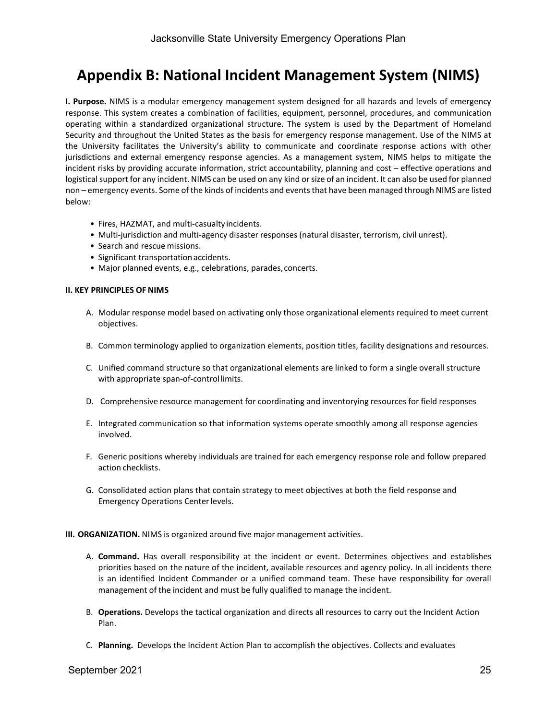# **Appendix B: National Incident Management System (NIMS)**

**I. Purpose.** NIMS is a modular emergency management system designed for all hazards and levels of emergency response. This system creates a combination of facilities, equipment, personnel, procedures, and communication operating within a standardized organizational structure. The system is used by the Department of Homeland Security and throughout the United States as the basis for emergency response management. Use of the NIMS at the University facilitates the University's ability to communicate and coordinate response actions with other jurisdictions and external emergency response agencies. As a management system, NIMS helps to mitigate the incident risks by providing accurate information, strict accountability, planning and cost – effective operations and logistical support for any incident. NIMS can be used on any kind or size of an incident. It can also be used for planned non – emergency events. Some of the kinds of incidents and eventsthat have been managed through NIMS are listed below:

- Fires, HAZMAT, and multi-casualtyincidents.
- Multi-jurisdiction and multi-agency disaster responses (natural disaster, terrorism, civil unrest).
- Search and rescue missions.
- Significant transportation accidents.
- Major planned events, e.g., celebrations, parades,concerts.

#### **II. KEY PRINCIPLES OF NIMS**

- A. Modular response model based on activating only those organizational elements required to meet current objectives.
- B. Common terminology applied to organization elements, position titles, facility designations and resources.
- C. Unified command structure so that organizational elements are linked to form a single overall structure with appropriate span-of-controllimits.
- D. Comprehensive resource management for coordinating and inventorying resources for field responses
- E. Integrated communication so that information systems operate smoothly among all response agencies involved.
- F. Generic positions whereby individuals are trained for each emergency response role and follow prepared action checklists.
- G. Consolidated action plans that contain strategy to meet objectives at both the field response and Emergency Operations Centerlevels.

#### **III. ORGANIZATION.** NIMS is organized around five major management activities.

- A. **Command.** Has overall responsibility at the incident or event. Determines objectives and establishes priorities based on the nature of the incident, available resources and agency policy. In all incidents there is an identified Incident Commander or a unified command team. These have responsibility for overall management of the incident and must be fully qualified to manage the incident.
- B. **Operations.** Develops the tactical organization and directs all resources to carry out the Incident Action Plan.
- C. **Planning.** Develops the Incident Action Plan to accomplish the objectives. Collects and evaluates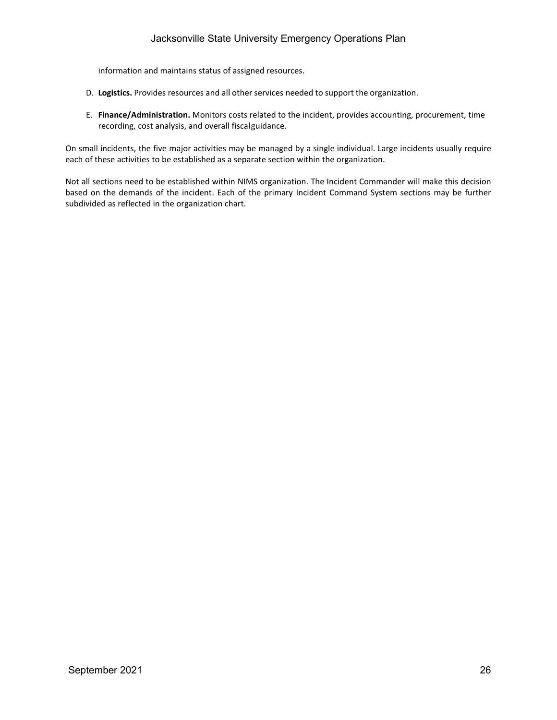information and maintains status of assigned resources.

- D. **Logistics.** Provides resources and all other services needed to support the organization.
- E. **Finance/Administration.** Monitors costs related to the incident, provides accounting, procurement, time recording, cost analysis, and overall fiscalguidance.

On small incidents, the five major activities may be managed by a single individual. Large incidents usually require each of these activities to be established as a separate section within the organization.

Not all sections need to be established within NIMS organization. The Incident Commander will make this decision based on the demands of the incident. Each of the primary Incident Command System sections may be further subdivided as reflected in the organization chart.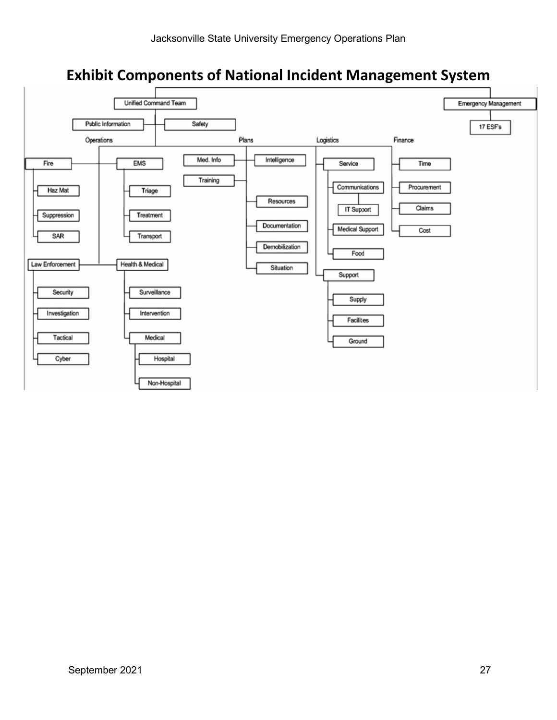# **Exhibit Components of National Incident Management System**

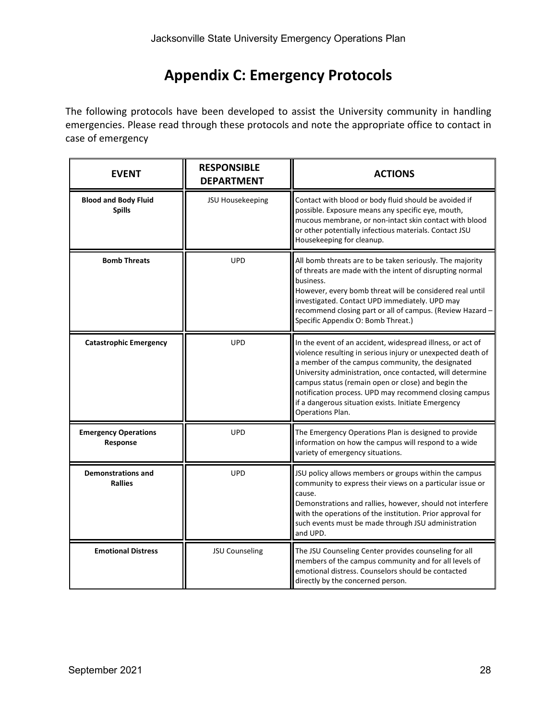# **Appendix C: Emergency Protocols**

The following protocols have been developed to assist the University community in handling emergencies. Please read through these protocols and note the appropriate office to contact in case of emergency

| <b>EVENT</b>                                 | <b>RESPONSIBLE</b><br><b>DEPARTMENT</b> | <b>ACTIONS</b>                                                                                                                                                                                                                                                                                                                                                                                                                        |
|----------------------------------------------|-----------------------------------------|---------------------------------------------------------------------------------------------------------------------------------------------------------------------------------------------------------------------------------------------------------------------------------------------------------------------------------------------------------------------------------------------------------------------------------------|
| <b>Blood and Body Fluid</b><br><b>Spills</b> | JSU Housekeeping                        | Contact with blood or body fluid should be avoided if<br>possible. Exposure means any specific eye, mouth,<br>mucous membrane, or non-intact skin contact with blood<br>or other potentially infectious materials. Contact JSU<br>Housekeeping for cleanup.                                                                                                                                                                           |
| <b>Bomb Threats</b>                          | <b>UPD</b>                              | All bomb threats are to be taken seriously. The majority<br>of threats are made with the intent of disrupting normal<br>business.<br>However, every bomb threat will be considered real until<br>investigated. Contact UPD immediately. UPD may<br>recommend closing part or all of campus. (Review Hazard -<br>Specific Appendix O: Bomb Threat.)                                                                                    |
| <b>Catastrophic Emergency</b>                | <b>UPD</b>                              | In the event of an accident, widespread illness, or act of<br>violence resulting in serious injury or unexpected death of<br>a member of the campus community, the designated<br>University administration, once contacted, will determine<br>campus status (remain open or close) and begin the<br>notification process. UPD may recommend closing campus<br>if a dangerous situation exists. Initiate Emergency<br>Operations Plan. |
| <b>Emergency Operations</b><br>Response      | <b>UPD</b>                              | The Emergency Operations Plan is designed to provide<br>information on how the campus will respond to a wide<br>variety of emergency situations.                                                                                                                                                                                                                                                                                      |
| <b>Demonstrations and</b><br><b>Rallies</b>  | <b>UPD</b>                              | JSU policy allows members or groups within the campus<br>community to express their views on a particular issue or<br>cause.<br>Demonstrations and rallies, however, should not interfere<br>with the operations of the institution. Prior approval for<br>such events must be made through JSU administration<br>and UPD.                                                                                                            |
| <b>Emotional Distress</b>                    | JSU Counseling                          | The JSU Counseling Center provides counseling for all<br>members of the campus community and for all levels of<br>emotional distress. Counselors should be contacted<br>directly by the concerned person.                                                                                                                                                                                                                             |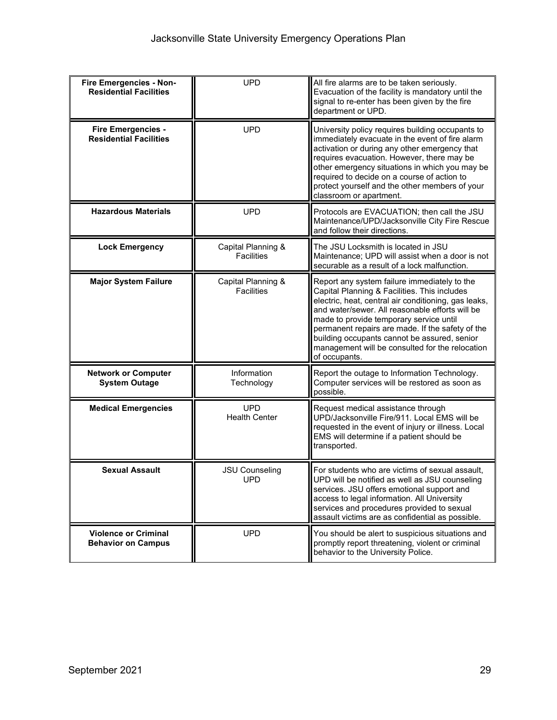| Fire Emergencies - Non-<br><b>Residential Facilities</b>   | <b>UPD</b>                              | All fire alarms are to be taken seriously.<br>Evacuation of the facility is mandatory until the<br>signal to re-enter has been given by the fire<br>department or UPD.                                                                                                                                                                                                                                                     |
|------------------------------------------------------------|-----------------------------------------|----------------------------------------------------------------------------------------------------------------------------------------------------------------------------------------------------------------------------------------------------------------------------------------------------------------------------------------------------------------------------------------------------------------------------|
| <b>Fire Emergencies -</b><br><b>Residential Facilities</b> | <b>UPD</b>                              | University policy requires building occupants to<br>immediately evacuate in the event of fire alarm<br>activation or during any other emergency that<br>requires evacuation. However, there may be<br>other emergency situations in which you may be<br>required to decide on a course of action to<br>protect yourself and the other members of your<br>classroom or apartment.                                           |
| <b>Hazardous Materials</b>                                 | <b>UPD</b>                              | Protocols are EVACUATION; then call the JSU<br>Maintenance/UPD/Jacksonville City Fire Rescue<br>and follow their directions.                                                                                                                                                                                                                                                                                               |
| <b>Lock Emergency</b>                                      | Capital Planning &<br><b>Facilities</b> | The JSU Locksmith is located in JSU<br>Maintenance; UPD will assist when a door is not<br>securable as a result of a lock malfunction.                                                                                                                                                                                                                                                                                     |
| <b>Major System Failure</b>                                | Capital Planning &<br><b>Facilities</b> | Report any system failure immediately to the<br>Capital Planning & Facilities. This includes<br>electric, heat, central air conditioning, gas leaks,<br>and water/sewer. All reasonable efforts will be<br>made to provide temporary service until<br>permanent repairs are made. If the safety of the<br>building occupants cannot be assured, senior<br>management will be consulted for the relocation<br>of occupants. |
| <b>Network or Computer</b><br><b>System Outage</b>         | Information<br>Technology               | Report the outage to Information Technology.<br>Computer services will be restored as soon as<br>possible.                                                                                                                                                                                                                                                                                                                 |
| <b>Medical Emergencies</b>                                 | <b>UPD</b><br><b>Health Center</b>      | Request medical assistance through<br>UPD/Jacksonville Fire/911. Local EMS will be<br>requested in the event of injury or illness. Local<br>EMS will determine if a patient should be<br>transported.                                                                                                                                                                                                                      |
| <b>Sexual Assault</b>                                      | <b>JSU Counseling</b><br><b>UPD</b>     | For students who are victims of sexual assault,<br>UPD will be notified as well as JSU counseling<br>services. JSU offers emotional support and<br>access to legal information. All University<br>services and procedures provided to sexual<br>assault victims are as confidential as possible.                                                                                                                           |
| <b>Violence or Criminal</b><br><b>Behavior on Campus</b>   | <b>UPD</b>                              | You should be alert to suspicious situations and<br>promptly report threatening, violent or criminal<br>behavior to the University Police.                                                                                                                                                                                                                                                                                 |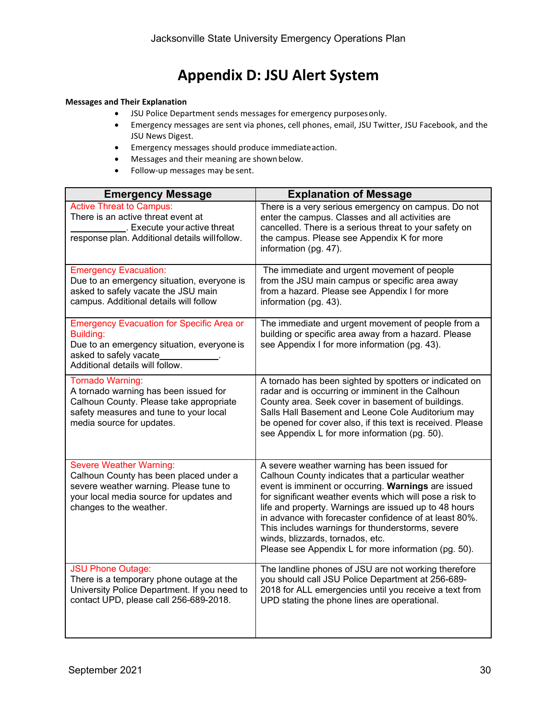# **Appendix D: JSU Alert System**

# **Messages and Their Explanation**

- JSU Police Department sends messages for emergency purposesonly.
- Emergency messages are sent via phones, cell phones, email, JSU Twitter, JSU Facebook, and the JSU News Digest.
- Emergency messages should produce immediateaction.
- Messages and their meaning are shownbelow.
- Follow-up messages may be sent.

| <b>Emergency Message</b>                                                                                                                                                                 | <b>Explanation of Message</b>                                                                                                                                                                                                                                                                                                                                                                                                                                                            |
|------------------------------------------------------------------------------------------------------------------------------------------------------------------------------------------|------------------------------------------------------------------------------------------------------------------------------------------------------------------------------------------------------------------------------------------------------------------------------------------------------------------------------------------------------------------------------------------------------------------------------------------------------------------------------------------|
| <b>Active Threat to Campus:</b><br>There is an active threat event at<br>. Execute your active threat<br>response plan. Additional details willfollow.                                   | There is a very serious emergency on campus. Do not<br>enter the campus. Classes and all activities are<br>cancelled. There is a serious threat to your safety on<br>the campus. Please see Appendix K for more<br>information (pg. 47).                                                                                                                                                                                                                                                 |
|                                                                                                                                                                                          |                                                                                                                                                                                                                                                                                                                                                                                                                                                                                          |
| <b>Emergency Evacuation:</b><br>Due to an emergency situation, everyone is<br>asked to safely vacate the JSU main<br>campus. Additional details will follow                              | The immediate and urgent movement of people<br>from the JSU main campus or specific area away<br>from a hazard. Please see Appendix I for more<br>information (pg. 43).                                                                                                                                                                                                                                                                                                                  |
| <b>Emergency Evacuation for Specific Area or</b><br><b>Building:</b><br>Due to an emergency situation, everyone is<br>asked to safely vacate<br>Additional details will follow.          | The immediate and urgent movement of people from a<br>building or specific area away from a hazard. Please<br>see Appendix I for more information (pg. 43).                                                                                                                                                                                                                                                                                                                              |
| Tornado Warning:<br>A tornado warning has been issued for<br>Calhoun County. Please take appropriate<br>safety measures and tune to your local<br>media source for updates.              | A tornado has been sighted by spotters or indicated on<br>radar and is occurring or imminent in the Calhoun<br>County area. Seek cover in basement of buildings.<br>Salls Hall Basement and Leone Cole Auditorium may<br>be opened for cover also, if this text is received. Please<br>see Appendix L for more information (pg. 50).                                                                                                                                                     |
| <b>Severe Weather Warning:</b><br>Calhoun County has been placed under a<br>severe weather warning. Please tune to<br>your local media source for updates and<br>changes to the weather. | A severe weather warning has been issued for<br>Calhoun County indicates that a particular weather<br>event is imminent or occurring. Warnings are issued<br>for significant weather events which will pose a risk to<br>life and property. Warnings are issued up to 48 hours<br>in advance with forecaster confidence of at least 80%.<br>This includes warnings for thunderstorms, severe<br>winds, blizzards, tornados, etc.<br>Please see Appendix L for more information (pg. 50). |
| <b>JSU Phone Outage:</b><br>There is a temporary phone outage at the<br>University Police Department. If you need to<br>contact UPD, please call 256-689-2018.                           | The landline phones of JSU are not working therefore<br>you should call JSU Police Department at 256-689-<br>2018 for ALL emergencies until you receive a text from<br>UPD stating the phone lines are operational.                                                                                                                                                                                                                                                                      |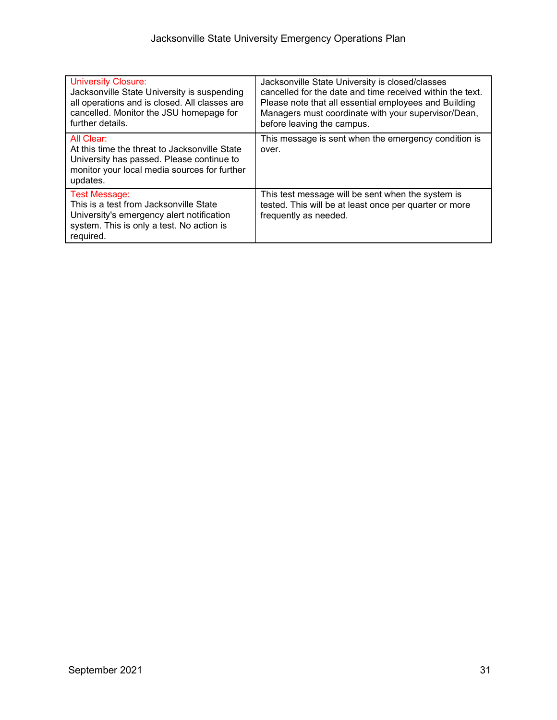| <b>University Closure:</b><br>Jacksonville State University is suspending<br>all operations and is closed. All classes are<br>cancelled. Monitor the JSU homepage for<br>further details. | Jacksonville State University is closed/classes<br>cancelled for the date and time received within the text.<br>Please note that all essential employees and Building<br>Managers must coordinate with your supervisor/Dean,<br>before leaving the campus. |
|-------------------------------------------------------------------------------------------------------------------------------------------------------------------------------------------|------------------------------------------------------------------------------------------------------------------------------------------------------------------------------------------------------------------------------------------------------------|
| All Clear:<br>At this time the threat to Jacksonville State<br>University has passed. Please continue to<br>monitor your local media sources for further<br>updates.                      | This message is sent when the emergency condition is<br>over.                                                                                                                                                                                              |
| <b>Test Message:</b><br>This is a test from Jacksonville State<br>University's emergency alert notification<br>system. This is only a test. No action is<br>required.                     | This test message will be sent when the system is<br>tested. This will be at least once per quarter or more<br>frequently as needed.                                                                                                                       |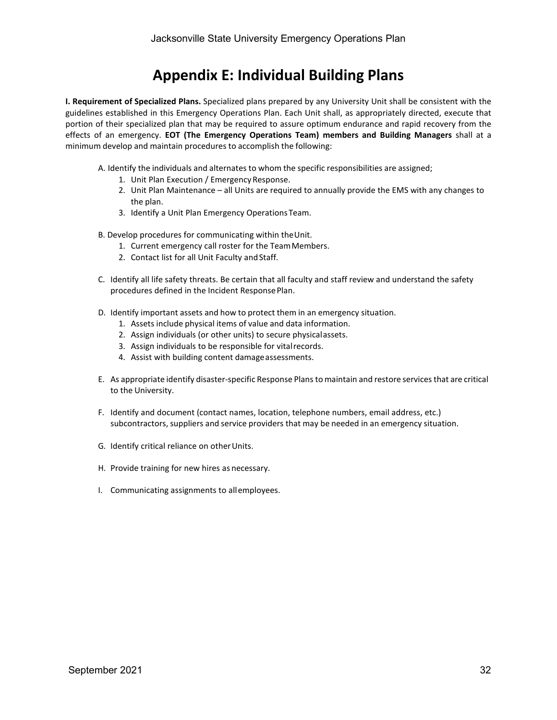# **Appendix E: Individual Building Plans**

**I. Requirement of Specialized Plans.** Specialized plans prepared by any University Unit shall be consistent with the guidelines established in this Emergency Operations Plan. Each Unit shall, as appropriately directed, execute that portion of their specialized plan that may be required to assure optimum endurance and rapid recovery from the effects of an emergency. **EOT (The Emergency Operations Team) members and Building Managers** shall at a minimum develop and maintain procedures to accomplish the following:

A. Identify the individuals and alternates to whom the specific responsibilities are assigned;

- 1. Unit Plan Execution / Emergency Response.
- 2. Unit Plan Maintenance all Units are required to annually provide the EMS with any changes to the plan.
- 3. Identify a Unit Plan Emergency OperationsTeam.
- B. Develop procedures for communicating within theUnit.
	- 1. Current emergency call roster for the TeamMembers.
	- 2. Contact list for all Unit Faculty and Staff.
- C. Identify all life safety threats. Be certain that all faculty and staff review and understand the safety procedures defined in the Incident ResponsePlan.
- D. Identify important assets and how to protect them in an emergency situation.
	- 1. Assets include physical items of value and data information.
	- 2. Assign individuals (or other units) to secure physicalassets.
	- 3. Assign individuals to be responsible for vitalrecords.
	- 4. Assist with building content damage assessments.
- E. As appropriate identify disaster-specific Response Plansto maintain and restore services that are critical to the University.
- F. Identify and document (contact names, location, telephone numbers, email address, etc.) subcontractors, suppliers and service providers that may be needed in an emergency situation.
- G. Identify critical reliance on otherUnits.
- H. Provide training for new hires as necessary.
- I. Communicating assignments to allemployees.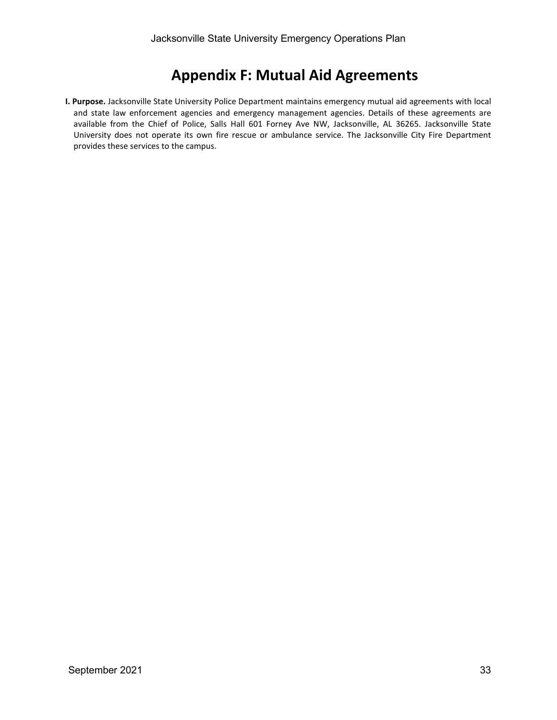# **Appendix F: Mutual Aid Agreements**

**I. Purpose.** Jacksonville State University Police Department maintains emergency mutual aid agreements with local and state law enforcement agencies and emergency management agencies. Details of these agreements are available from the Chief of Police, Salls Hall 601 Forney Ave NW, Jacksonville, AL 36265. Jacksonville State University does not operate its own fire rescue or ambulance service. The Jacksonville City Fire Department provides these services to the campus.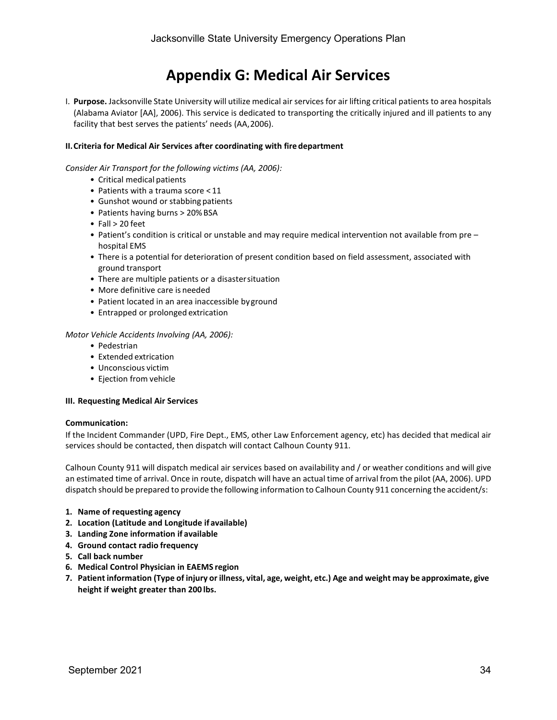# **Appendix G: Medical Air Services**

I. **Purpose.** Jacksonville State University will utilize medical air services for air lifting critical patients to area hospitals (Alabama Aviator [AA], 2006). This service is dedicated to transporting the critically injured and ill patients to any facility that best serves the patients' needs (AA,2006).

### **II.Criteria for Medical Air Services after coordinating with fire department**

*Consider Air Transport for the following victims (AA, 2006):*

- Critical medical patients
- Patients with a trauma score < 11
- Gunshot wound or stabbing patients
- Patients having burns > 20% BSA
- Fall > 20 feet
- Patient's condition is critical or unstable and may require medical intervention not available from pre hospital EMS
- There is a potential for deterioration of present condition based on field assessment, associated with ground transport
- There are multiple patients or a disastersituation
- More definitive care is needed
- Patient located in an area inaccessible byground
- Entrapped or prolonged extrication

#### *Motor Vehicle Accidents Involving (AA, 2006):*

- Pedestrian
- Extended extrication
- Unconscious victim
- Ejection from vehicle

#### **III. Requesting Medical Air Services**

#### **Communication:**

If the Incident Commander (UPD, Fire Dept., EMS, other Law Enforcement agency, etc) has decided that medical air services should be contacted, then dispatch will contact Calhoun County 911.

Calhoun County 911 will dispatch medical air services based on availability and / or weather conditions and will give an estimated time of arrival. Once in route, dispatch will have an actual time of arrival from the pilot (AA, 2006). UPD dispatch should be prepared to provide the following information to Calhoun County 911 concerning the accident/s:

- **1. Name of requesting agency**
- **2. Location (Latitude and Longitude if available)**
- **3. Landing Zone information if available**
- **4. Ground contact radio frequency**
- **5. Call back number**
- **6. Medical Control Physician in EAEMS region**
- 7. Patient information (Type of injury or illness, vital, age, weight, etc.) Age and weight may be approximate, give **height if weight greater than 200 lbs.**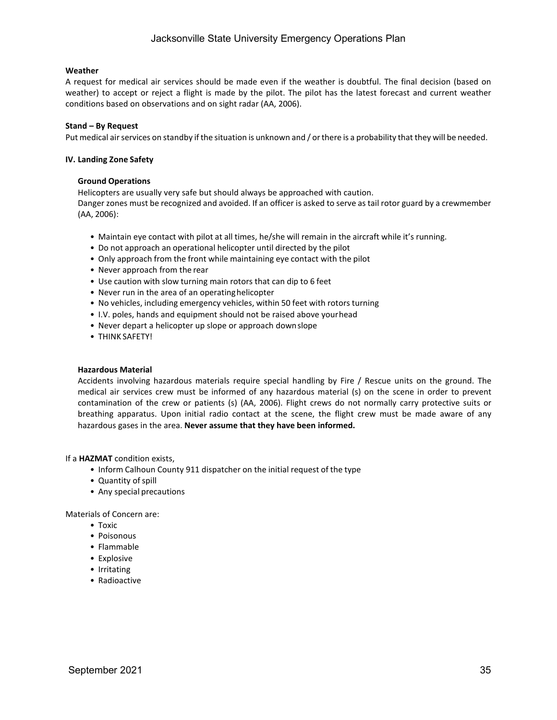### **Weather**

A request for medical air services should be made even if the weather is doubtful. The final decision (based on weather) to accept or reject a flight is made by the pilot. The pilot has the latest forecast and current weather conditions based on observations and on sight radar (AA, 2006).

#### **Stand – By Request**

Put medical air services on standby if the situation is unknown and / or there is a probability that they will be needed.

#### **IV. Landing Zone Safety**

#### **Ground Operations**

Helicopters are usually very safe but should always be approached with caution. Danger zones must be recognized and avoided. If an officer is asked to serve as tail rotor guard by a crewmember (AA, 2006):

- Maintain eye contact with pilot at all times, he/she will remain in the aircraft while it's running.
- Do not approach an operational helicopter until directed by the pilot
- Only approach from the front while maintaining eye contact with the pilot
- Never approach from the rear
- Use caution with slow turning main rotors that can dip to 6 feet
- Never run in the area of an operating helicopter
- No vehicles, including emergency vehicles, within 50 feet with rotors turning
- I.V. poles, hands and equipment should not be raised above yourhead
- Never depart a helicopter up slope or approach downslope
- THINK SAFETY!

#### **Hazardous Material**

Accidents involving hazardous materials require special handling by Fire / Rescue units on the ground. The medical air services crew must be informed of any hazardous material (s) on the scene in order to prevent contamination of the crew or patients (s) (AA, 2006). Flight crews do not normally carry protective suits or breathing apparatus. Upon initial radio contact at the scene, the flight crew must be made aware of any hazardous gases in the area. **Never assume that they have been informed.**

#### If a **HAZMAT** condition exists,

- Inform Calhoun County 911 dispatcher on the initial request of the type
- Quantity of spill
- Any special precautions

Materials of Concern are:

- Toxic
- Poisonous
- Flammable
- Explosive
- Irritating
- Radioactive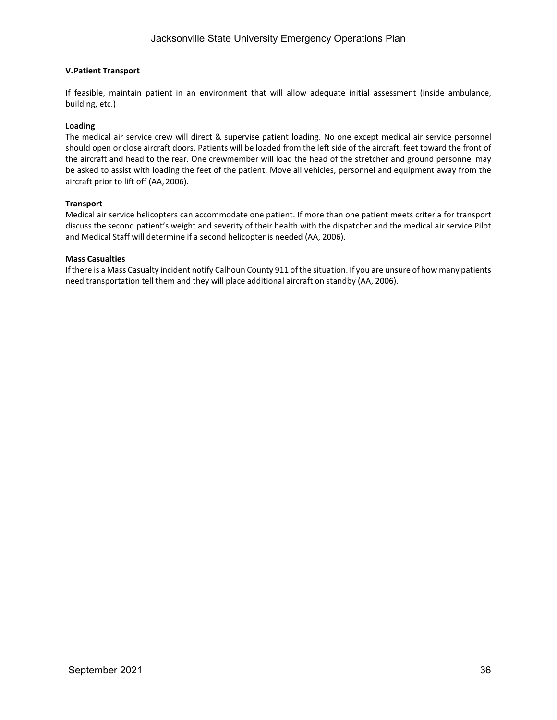### **V.Patient Transport**

If feasible, maintain patient in an environment that will allow adequate initial assessment (inside ambulance, building, etc.)

### **Loading**

The medical air service crew will direct & supervise patient loading. No one except medical air service personnel should open or close aircraft doors. Patients will be loaded from the left side of the aircraft, feet toward the front of the aircraft and head to the rear. One crewmember will load the head of the stretcher and ground personnel may be asked to assist with loading the feet of the patient. Move all vehicles, personnel and equipment away from the aircraft prior to lift off (AA, 2006).

### **Transport**

Medical air service helicopters can accommodate one patient. If more than one patient meets criteria for transport discuss the second patient's weight and severity of their health with the dispatcher and the medical air service Pilot and Medical Staff will determine if a second helicopter is needed (AA, 2006).

### **Mass Casualties**

Ifthere is a Mass Casualty incident notify Calhoun County 911 ofthe situation. If you are unsure of how many patients need transportation tell them and they will place additional aircraft on standby (AA, 2006).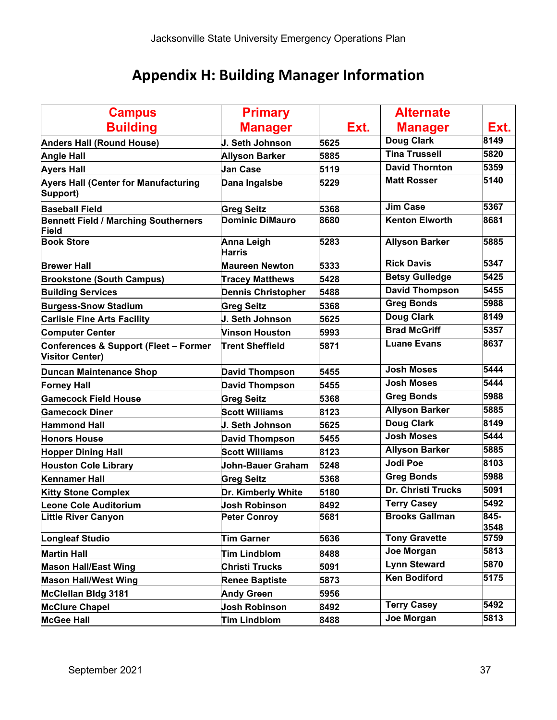# **Appendix H: Building Manager Information**

| <b>Campus</b>                                                              | <b>Primary</b>              |      | <b>Alternate</b>          |              |
|----------------------------------------------------------------------------|-----------------------------|------|---------------------------|--------------|
| <b>Building</b>                                                            | <b>Manager</b>              | Ext. | <b>Manager</b>            | Ext.         |
| <b>Anders Hall (Round House)</b>                                           | J. Seth Johnson             | 5625 | <b>Doug Clark</b>         | 8149         |
| <b>Angle Hall</b>                                                          | <b>Allyson Barker</b>       | 5885 | <b>Tina Trussell</b>      | 5820         |
| <b>Ayers Hall</b>                                                          | Jan Case                    | 5119 | <b>David Thornton</b>     | 5359         |
| <b>Ayers Hall (Center for Manufacturing</b><br>Support)                    | Dana Ingalsbe               | 5229 | <b>Matt Rosser</b>        | 5140         |
| <b>Baseball Field</b>                                                      | <b>Greg Seitz</b>           | 5368 | <b>Jim Case</b>           | 5367         |
| <b>Bennett Field / Marching Southerners</b><br><b>Field</b>                | <b>Dominic DiMauro</b>      | 8680 | <b>Kenton Elworth</b>     | 8681         |
| <b>Book Store</b>                                                          | Anna Leigh<br><b>Harris</b> | 5283 | <b>Allyson Barker</b>     | 5885         |
| <b>Brewer Hall</b>                                                         | <b>Maureen Newton</b>       | 5333 | <b>Rick Davis</b>         | 5347         |
| <b>Brookstone (South Campus)</b>                                           | <b>Tracey Matthews</b>      | 5428 | <b>Betsy Gulledge</b>     | 5425         |
| <b>Building Services</b>                                                   | <b>Dennis Christopher</b>   | 5488 | <b>David Thompson</b>     | 5455         |
| <b>Burgess-Snow Stadium</b>                                                | <b>Greg Seitz</b>           | 5368 | <b>Greg Bonds</b>         | 5988         |
| <b>Carlisle Fine Arts Facility</b>                                         | J. Seth Johnson             | 5625 | <b>Doug Clark</b>         | 8149         |
| <b>Computer Center</b>                                                     | <b>Vinson Houston</b>       | 5993 | <b>Brad McGriff</b>       | 5357         |
| <b>Conferences &amp; Support (Fleet - Former</b><br><b>Visitor Center)</b> | <b>Trent Sheffield</b>      | 5871 | <b>Luane Evans</b>        | 8637         |
| <b>Duncan Maintenance Shop</b>                                             | <b>David Thompson</b>       | 5455 | <b>Josh Moses</b>         | 5444         |
| <b>Forney Hall</b>                                                         | <b>David Thompson</b>       | 5455 | <b>Josh Moses</b>         | 5444         |
| <b>Gamecock Field House</b>                                                | <b>Greg Seitz</b>           | 5368 | <b>Greg Bonds</b>         | 5988         |
| <b>Gamecock Diner</b>                                                      | <b>Scott Williams</b>       | 8123 | <b>Allyson Barker</b>     | 5885         |
| <b>Hammond Hall</b>                                                        | J. Seth Johnson             | 5625 | <b>Doug Clark</b>         | 8149         |
| <b>Honors House</b>                                                        | <b>David Thompson</b>       | 5455 | <b>Josh Moses</b>         | 5444         |
| <b>Hopper Dining Hall</b>                                                  | <b>Scott Williams</b>       | 8123 | <b>Allyson Barker</b>     | 5885         |
| <b>Houston Cole Library</b>                                                | <b>John-Bauer Graham</b>    | 5248 | <b>Jodi Poe</b>           | 8103         |
| <b>Kennamer Hall</b>                                                       | <b>Greg Seitz</b>           | 5368 | <b>Greg Bonds</b>         | 5988         |
| <b>Kitty Stone Complex</b>                                                 | Dr. Kimberly White          | 5180 | <b>Dr. Christi Trucks</b> | 5091         |
| Leone Cole Auditorium                                                      | Josh Robinson               | 8492 | <b>Terry Casey</b>        | 5492         |
| <b>Little River Canyon</b>                                                 | <b>Peter Conroy</b>         | 5681 | <b>Brooks Gallman</b>     | 845-<br>3548 |
| Longleaf Studio                                                            | <b>Tim Garner</b>           | 5636 | <b>Tony Gravette</b>      | 5759         |
| <b>Martin Hall</b>                                                         | <b>Tim Lindblom</b>         | 8488 | Joe Morgan                | 5813         |
| <b>Mason Hall/East Wing</b>                                                | <b>Christi Trucks</b>       | 5091 | <b>Lynn Steward</b>       | 5870         |
| <b>Mason Hall/West Wing</b>                                                | <b>Renee Baptiste</b>       | 5873 | <b>Ken Bodiford</b>       | 5175         |
| McClellan Bldg 3181                                                        | <b>Andy Green</b>           | 5956 |                           |              |
| <b>McClure Chapel</b>                                                      | <b>Josh Robinson</b>        | 8492 | <b>Terry Casey</b>        | 5492         |
| <b>McGee Hall</b>                                                          | Tim Lindblom                | 8488 | Joe Morgan                | 5813         |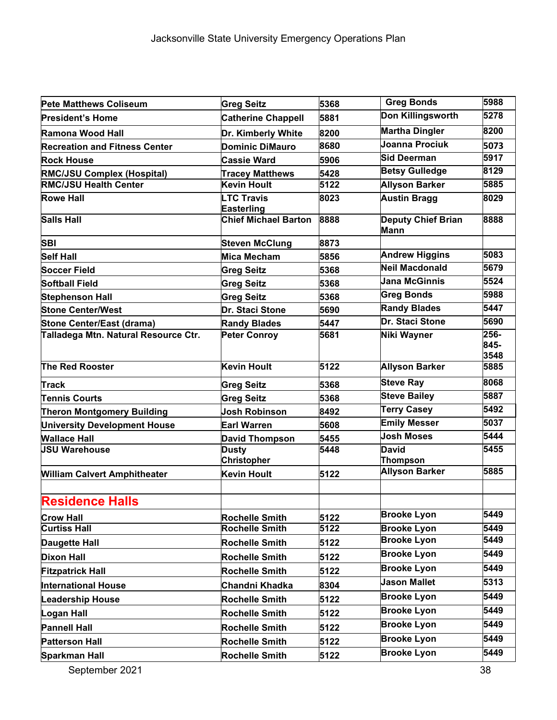| <b>Pete Matthews Coliseum</b>        | <b>Greg Seitz</b>                      | 5368 | <b>Greg Bonds</b>                 | 5988                 |
|--------------------------------------|----------------------------------------|------|-----------------------------------|----------------------|
| <b>President's Home</b>              | <b>Catherine Chappell</b>              | 5881 | Don Killingsworth                 | 5278                 |
| Ramona Wood Hall                     | Dr. Kimberly White                     | 8200 | <b>Martha Dingler</b>             | 8200                 |
| <b>Recreation and Fitness Center</b> | <b>Dominic DiMauro</b>                 | 8680 | Joanna Prociuk                    | 5073                 |
| <b>Rock House</b>                    | <b>Cassie Ward</b>                     | 5906 | Sid Deerman                       | 5917                 |
| <b>RMC/JSU Complex (Hospital)</b>    | <b>Tracey Matthews</b>                 | 5428 | <b>Betsy Gulledge</b>             | 8129                 |
| <b>RMC/JSU Health Center</b>         | <b>Kevin Hoult</b>                     | 5122 | <b>Allyson Barker</b>             | 5885                 |
| <b>Rowe Hall</b>                     | <b>LTC Travis</b><br><b>Easterling</b> | 8023 | <b>Austin Bragg</b>               | 8029                 |
| <b>Salls Hall</b>                    | <b>Chief Michael Barton</b>            | 8888 | <b>Deputy Chief Brian</b><br>Mann | 8888                 |
| <b>SBI</b>                           | <b>Steven McClung</b>                  | 8873 |                                   |                      |
| <b>Self Hall</b>                     | <b>Mica Mecham</b>                     | 5856 | <b>Andrew Higgins</b>             | 5083                 |
| Soccer Field                         | <b>Greg Seitz</b>                      | 5368 | <b>Neil Macdonald</b>             | 5679                 |
| <b>Softball Field</b>                | <b>Greg Seitz</b>                      | 5368 | <b>Jana McGinnis</b>              | 5524                 |
| <b>Stephenson Hall</b>               | <b>Greg Seitz</b>                      | 5368 | <b>Greg Bonds</b>                 | 5988                 |
| <b>Stone Center/West</b>             | Dr. Staci Stone                        | 5690 | <b>Randy Blades</b>               | 5447                 |
| Stone Center/East (drama)            | <b>Randy Blades</b>                    | 5447 | Dr. Staci Stone                   | 5690                 |
| Talladega Mtn. Natural Resource Ctr. | <b>Peter Conroy</b>                    | 5681 | Niki Wayner                       | 256-<br>845-<br>3548 |
| <b>The Red Rooster</b>               | Kevin Hoult                            | 5122 | <b>Allyson Barker</b>             | 5885                 |
| Track                                | <b>Greg Seitz</b>                      | 5368 | <b>Steve Ray</b>                  | 8068                 |
| <b>Tennis Courts</b>                 | <b>Greg Seitz</b>                      | 5368 | <b>Steve Bailey</b>               | 5887                 |
| <b>Theron Montgomery Building</b>    | <b>Josh Robinson</b>                   | 8492 | <b>Terry Casey</b>                | 5492                 |
| <b>University Development House</b>  | <b>Earl Warren</b>                     | 5608 | <b>Emily Messer</b>               | 5037                 |
| <b>Wallace Hall</b>                  | <b>David Thompson</b>                  | 5455 | <b>Josh Moses</b>                 | 5444                 |
| <b>JSU Warehouse</b>                 | <b>Dusty</b><br><b>Christopher</b>     | 5448 | <b>David</b><br><b>Thompson</b>   | 5455                 |
| <b>William Calvert Amphitheater</b>  | <b>Kevin Hoult</b>                     | 5122 | <b>Allyson Barker</b>             | 5885                 |
| <b>Residence Halls</b>               |                                        |      |                                   |                      |
| <b>Crow Hall</b>                     | <b>Rochelle Smith</b>                  | 5122 | <b>Brooke Lyon</b>                | 5449                 |
| <b>Curtiss Hall</b>                  | <b>Rochelle Smith</b>                  | 5122 | <b>Brooke Lyon</b>                | 5449                 |
| Daugette Hall                        | <b>Rochelle Smith</b>                  | 5122 | <b>Brooke Lyon</b>                | 5449                 |
| <b>Dixon Hall</b>                    | <b>Rochelle Smith</b>                  | 5122 | <b>Brooke Lyon</b>                | 5449                 |
| <b>Fitzpatrick Hall</b>              | <b>Rochelle Smith</b>                  | 5122 | <b>Brooke Lyon</b>                | 5449                 |
| <b>International House</b>           | Chandni Khadka                         | 8304 | <b>Jason Mallet</b>               | 5313                 |
| <b>Leadership House</b>              | <b>Rochelle Smith</b>                  | 5122 | <b>Brooke Lyon</b>                | 5449                 |
| Logan Hall                           | <b>Rochelle Smith</b>                  | 5122 | <b>Brooke Lyon</b>                | 5449                 |
| <b>Pannell Hall</b>                  | <b>Rochelle Smith</b>                  | 5122 | <b>Brooke Lyon</b>                | 5449                 |
| <b>Patterson Hall</b>                | <b>Rochelle Smith</b>                  | 5122 | <b>Brooke Lyon</b>                | 5449                 |
| Sparkman Hall                        | Rochelle Smith                         | 5122 | <b>Brooke Lyon</b>                | 5449                 |
| September 2021                       |                                        |      |                                   | 38                   |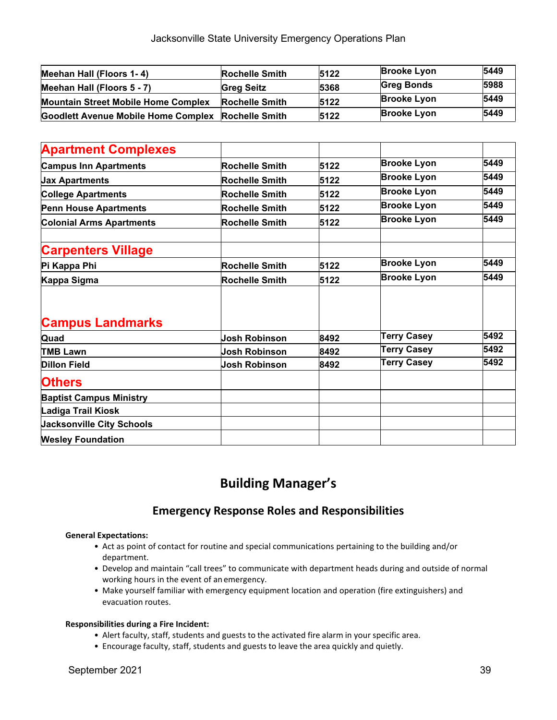| Meehan Hall (Floors 1-4)                           | <b>Rochelle Smith</b> | 5122 | <b>Brooke Lyon</b> | 5449 |
|----------------------------------------------------|-----------------------|------|--------------------|------|
| Meehan Hall (Floors 5 - 7)                         | <b>Greg Seitz</b>     | 5368 | <b>Greg Bonds</b>  | 5988 |
| <b>Mountain Street Mobile Home Complex</b>         | <b>Rochelle Smith</b> | 5122 | <b>Brooke Lyon</b> | 5449 |
| Goodlett Avenue Mobile Home Complex Rochelle Smith |                       | 5122 | <b>Brooke Lyon</b> | 5449 |

| <b>Apartment Complexes</b>       |                       |      |                    |      |
|----------------------------------|-----------------------|------|--------------------|------|
| <b>Campus Inn Apartments</b>     | Rochelle Smith        | 5122 | <b>Brooke Lyon</b> | 5449 |
| <b>Jax Apartments</b>            | <b>Rochelle Smith</b> | 5122 | <b>Brooke Lyon</b> | 5449 |
| <b>College Apartments</b>        | <b>Rochelle Smith</b> | 5122 | <b>Brooke Lyon</b> | 5449 |
| <b>Penn House Apartments</b>     | <b>Rochelle Smith</b> | 5122 | <b>Brooke Lyon</b> | 5449 |
| <b>Colonial Arms Apartments</b>  | <b>Rochelle Smith</b> | 5122 | <b>Brooke Lyon</b> | 5449 |
| <b>Carpenters Village</b>        |                       |      |                    |      |
| Pi Kappa Phi                     | <b>Rochelle Smith</b> | 5122 | <b>Brooke Lyon</b> | 5449 |
| Kappa Sigma                      | Rochelle Smith        | 5122 | <b>Brooke Lyon</b> | 5449 |
|                                  |                       |      |                    |      |
| <b>Campus Landmarks</b>          |                       |      |                    |      |
| Quad                             | <b>Josh Robinson</b>  | 8492 | <b>Terry Casey</b> | 5492 |
| <b>TMB Lawn</b>                  | Josh Robinson         | 8492 | <b>Terry Casey</b> | 5492 |
| <b>Dillon Field</b>              | Josh Robinson         | 8492 | <b>Terry Casey</b> | 5492 |
| <b>Others</b>                    |                       |      |                    |      |
| <b>Baptist Campus Ministry</b>   |                       |      |                    |      |
| Ladiga Trail Kiosk               |                       |      |                    |      |
| <b>Jacksonville City Schools</b> |                       |      |                    |      |
| <b>Wesley Foundation</b>         |                       |      |                    |      |

### **Building Manager's**

### **Emergency Response Roles and Responsibilities**

### **General Expectations:**

- Act as point of contact for routine and special communications pertaining to the building and/or department.
- Develop and maintain "call trees" to communicate with department heads during and outside of normal working hours in the event of an emergency.
- Make yourself familiar with emergency equipment location and operation (fire extinguishers) and evacuation routes.

### **Responsibilities during a Fire Incident:**

- Alert faculty, staff, students and guests to the activated fire alarm in your specific area.
- Encourage faculty, staff, students and guests to leave the area quickly and quietly.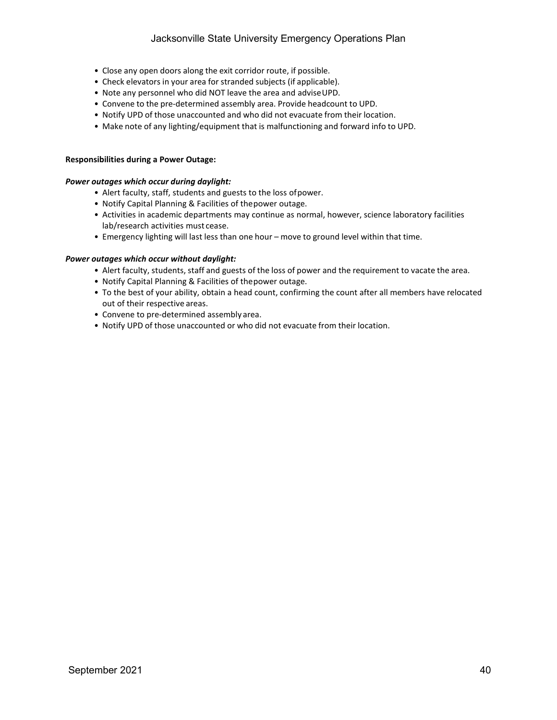- Close any open doors along the exit corridor route, if possible.
- Check elevators in your area for stranded subjects (if applicable).
- Note any personnel who did NOT leave the area and adviseUPD.
- Convene to the pre-determined assembly area. Provide headcount to UPD.
- Notify UPD of those unaccounted and who did not evacuate from their location.
- Make note of any lighting/equipment that is malfunctioning and forward info to UPD.

### **Responsibilities during a Power Outage:**

#### *Power outages which occur during daylight:*

- Alert faculty, staff, students and guests to the loss ofpower.
- Notify Capital Planning & Facilities of thepower outage.
- Activities in academic departments may continue as normal, however, science laboratory facilities lab/research activities must cease.
- Emergency lighting will last less than one hour move to ground level within that time.

#### *Power outages which occur without daylight:*

- Alert faculty, students, staff and guests of the loss of power and the requirement to vacate the area.
- Notify Capital Planning & Facilities of thepower outage.
- To the best of your ability, obtain a head count, confirming the count after all members have relocated out of their respective areas.
- Convene to pre-determined assembly area.
- Notify UPD of those unaccounted or who did not evacuate from their location.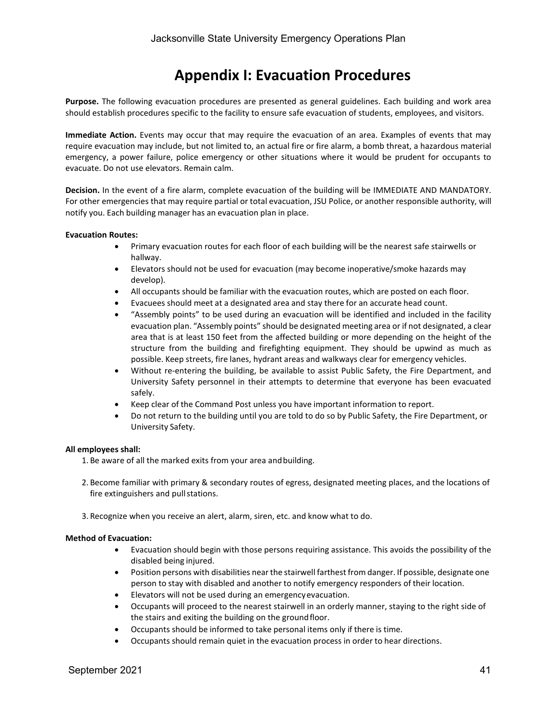### **Appendix I: Evacuation Procedures**

**Purpose.** The following evacuation procedures are presented as general guidelines. Each building and work area should establish procedures specific to the facility to ensure safe evacuation of students, employees, and visitors.

**Immediate Action.** Events may occur that may require the evacuation of an area. Examples of events that may require evacuation may include, but not limited to, an actual fire or fire alarm, a bomb threat, a hazardous material emergency, a power failure, police emergency or other situations where it would be prudent for occupants to evacuate. Do not use elevators. Remain calm.

**Decision.** In the event of a fire alarm, complete evacuation of the building will be IMMEDIATE AND MANDATORY. For other emergencies that may require partial or total evacuation, JSU Police, or another responsible authority, will notify you. Each building manager has an evacuation plan in place.

### **Evacuation Routes:**

- Primary evacuation routes for each floor of each building will be the nearest safe stairwells or hallway.
- Elevators should not be used for evacuation (may become inoperative/smoke hazards may develop).
- All occupants should be familiar with the evacuation routes, which are posted on each floor.
- Evacuees should meet at a designated area and stay there for an accurate head count.
- "Assembly points" to be used during an evacuation will be identified and included in the facility evacuation plan. "Assembly points" should be designated meeting area or if not designated, a clear area that is at least 150 feet from the affected building or more depending on the height of the structure from the building and firefighting equipment. They should be upwind as much as possible. Keep streets, fire lanes, hydrant areas and walkways clear for emergency vehicles.
- Without re-entering the building, be available to assist Public Safety, the Fire Department, and University Safety personnel in their attempts to determine that everyone has been evacuated safely.
- Keep clear of the Command Post unless you have important information to report.
- Do not return to the building until you are told to do so by Public Safety, the Fire Department, or University Safety.

#### **All employees shall:**

- 1. Be aware of all the marked exits from your area andbuilding.
- 2. Become familiar with primary & secondary routes of egress, designated meeting places, and the locations of fire extinguishers and pullstations.
- 3. Recognize when you receive an alert, alarm, siren, etc. and know what to do.

#### **Method of Evacuation:**

- Evacuation should begin with those persons requiring assistance. This avoids the possibility of the disabled being injured.
- Position persons with disabilities near the stairwell farthest from danger. If possible, designate one person to stay with disabled and another to notify emergency responders of their location.
- Elevators will not be used during an emergencyevacuation.
- Occupants will proceed to the nearest stairwell in an orderly manner, staying to the right side of the stairs and exiting the building on the groundfloor.
- Occupants should be informed to take personal items only if there is time.
- Occupants should remain quiet in the evacuation process in order to hear directions.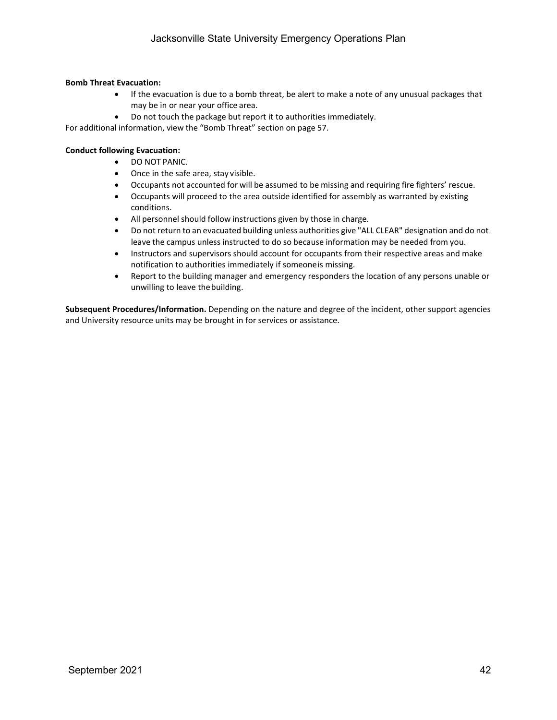### **Bomb Threat Evacuation:**

- If the evacuation is due to a bomb threat, be alert to make a note of any unusual packages that may be in or near your office area.
- Do not touch the package but report it to authorities immediately.
- For additional information, view the "Bomb Threat" section on page 57.

### **Conduct following Evacuation:**

- DO NOT PANIC.
- Once in the safe area, stay visible.
- Occupants not accounted for will be assumed to be missing and requiring fire fighters' rescue.
- Occupants will proceed to the area outside identified for assembly as warranted by existing conditions.
- All personnel should follow instructions given by those in charge.
- Do not return to an evacuated building unless authorities give "ALL CLEAR" designation and do not leave the campus unless instructed to do so because information may be needed from you.
- Instructors and supervisors should account for occupants from their respective areas and make notification to authorities immediately if someoneis missing.
- Report to the building manager and emergency responders the location of any persons unable or unwilling to leave thebuilding.

**Subsequent Procedures/Information.** Depending on the nature and degree of the incident, other support agencies and University resource units may be brought in for services or assistance.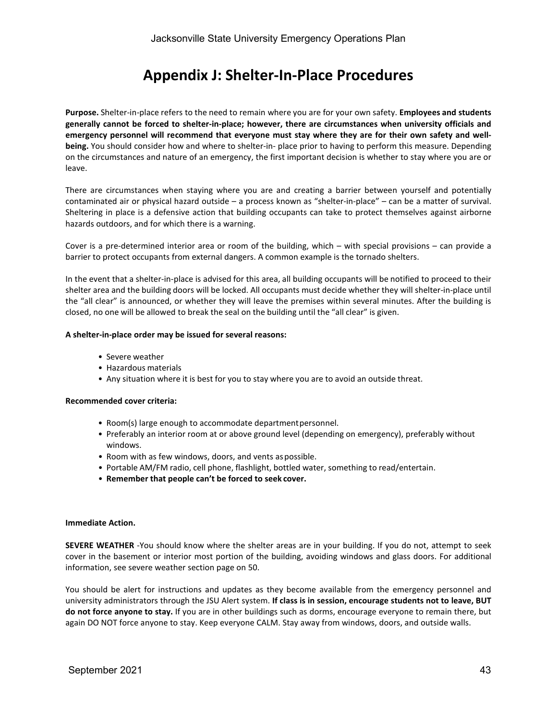### **Appendix J: Shelter-In-Place Procedures**

**Purpose.** Shelter-in-place refers to the need to remain where you are for your own safety. **Employees and students generally cannot be forced to shelter-in-place; however, there are circumstances when university officials and emergency personnel will recommend that everyone must stay where they are for their own safety and wellbeing.** You should consider how and where to shelter-in- place prior to having to perform this measure. Depending on the circumstances and nature of an emergency, the first important decision is whether to stay where you are or leave.

There are circumstances when staying where you are and creating a barrier between yourself and potentially contaminated air or physical hazard outside – a process known as "shelter-in-place" – can be a matter of survival. Sheltering in place is a defensive action that building occupants can take to protect themselves against airborne hazards outdoors, and for which there is a warning.

Cover is a pre-determined interior area or room of the building, which – with special provisions – can provide a barrier to protect occupants from external dangers. A common example is the tornado shelters.

In the event that a shelter-in-place is advised for this area, all building occupants will be notified to proceed to their shelter area and the building doors will be locked. All occupants must decide whether they will shelter-in-place until the "all clear" is announced, or whether they will leave the premises within several minutes. After the building is closed, no one will be allowed to break the seal on the building until the "all clear" is given.

### **A shelter-in-place order may be issued for several reasons:**

- Severe weather
- Hazardous materials
- Any situation where it is best for you to stay where you are to avoid an outside threat.

#### **Recommended cover criteria:**

- Room(s) large enough to accommodate departmentpersonnel.
- Preferably an interior room at or above ground level (depending on emergency), preferably without windows.
- Room with as few windows, doors, and vents aspossible.
- Portable AM/FM radio, cell phone, flashlight, bottled water, something to read/entertain.
- **Remember that people can't be forced to seek cover.**

#### **Immediate Action.**

**SEVERE WEATHER** -You should know where the shelter areas are in your building. If you do not, attempt to seek cover in the basement or interior most portion of the building, avoiding windows and glass doors. For additional information, see severe weather section page on 50.

You should be alert for instructions and updates as they become available from the emergency personnel and university administrators through the JSU Alert system. **If class is in session, encourage students not to leave, BUT do not force anyone to stay.** If you are in other buildings such as dorms, encourage everyone to remain there, but again DO NOT force anyone to stay. Keep everyone CALM. Stay away from windows, doors, and outside walls.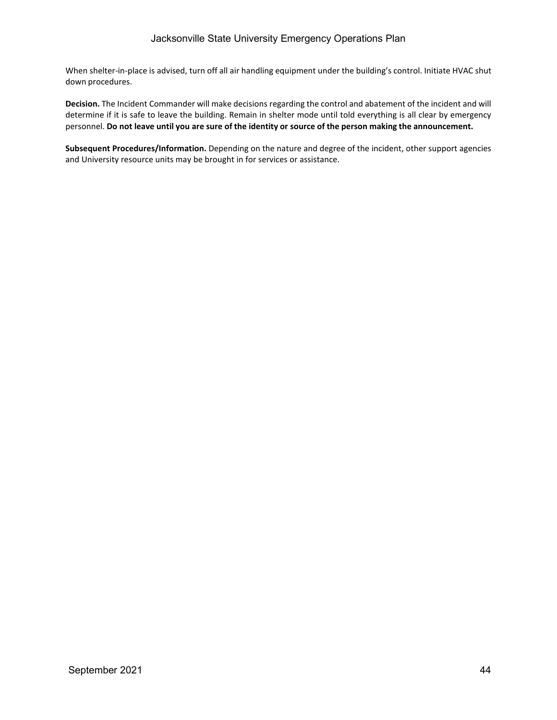When shelter-in-place is advised, turn off all air handling equipment under the building's control. Initiate HVAC shut down procedures.

**Decision.** The Incident Commander will make decisions regarding the control and abatement of the incident and will determine if it is safe to leave the building. Remain in shelter mode until told everything is all clear by emergency personnel. Do not leave until you are sure of the identity or source of the person making the announcement.

**Subsequent Procedures/Information.** Depending on the nature and degree of the incident, other support agencies and University resource units may be brought in for services or assistance.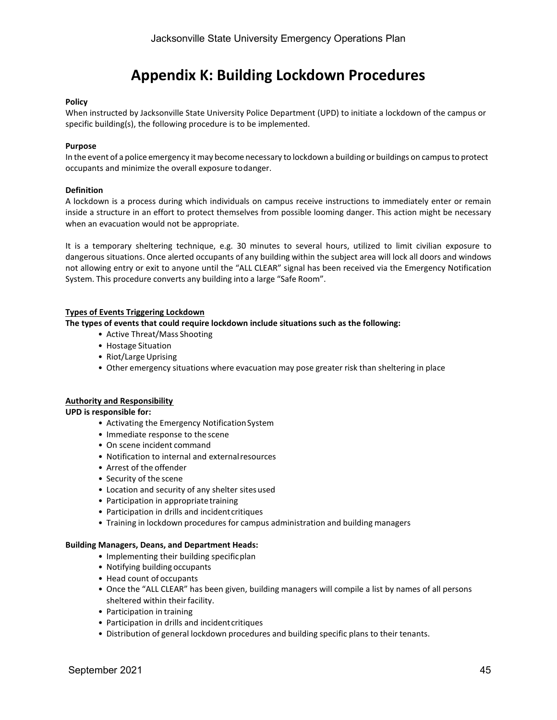### **Appendix K: Building Lockdown Procedures**

### **Policy**

When instructed by Jacksonville State University Police Department (UPD) to initiate a lockdown of the campus or specific building(s), the following procedure is to be implemented.

#### **Purpose**

In the event of a police emergency itmay become necessary to lockdown a building or buildings on campusto protect occupants and minimize the overall exposure todanger.

### **Definition**

A lockdown is a process during which individuals on campus receive instructions to immediately enter or remain inside a structure in an effort to protect themselves from possible looming danger. This action might be necessary when an evacuation would not be appropriate.

It is a temporary sheltering technique, e.g. 30 minutes to several hours, utilized to limit civilian exposure to dangerous situations. Once alerted occupants of any building within the subject area will lock all doors and windows not allowing entry or exit to anyone until the "ALL CLEAR" signal has been received via the Emergency Notification System. This procedure converts any building into a large "Safe Room".

### **Types of Events Triggering Lockdown**

**The types of events that could require lockdown include situations such as the following:**

- Active Threat/Mass Shooting
- Hostage Situation
- Riot/Large Uprising
- Other emergency situations where evacuation may pose greater risk than sheltering in place

#### **Authority and Responsibility**

### **UPD is responsible for:**

- Activating the Emergency Notification System
- Immediate response to the scene
- On scene incident command
- Notification to internal and externalresources
- Arrest of the offender
- Security of the scene
- Location and security of any shelter sitesused
- Participation in appropriate training
- Participation in drills and incident critiques
- Training in lockdown procedures for campus administration and building managers

#### **Building Managers, Deans, and Department Heads:**

- Implementing their building specificplan
- Notifying building occupants
- Head count of occupants
- Once the "ALL CLEAR" has been given, building managers will compile a list by names of all persons sheltered within their facility.
- Participation in training
- Participation in drills and incident critiques
- Distribution of general lockdown procedures and building specific plans to their tenants.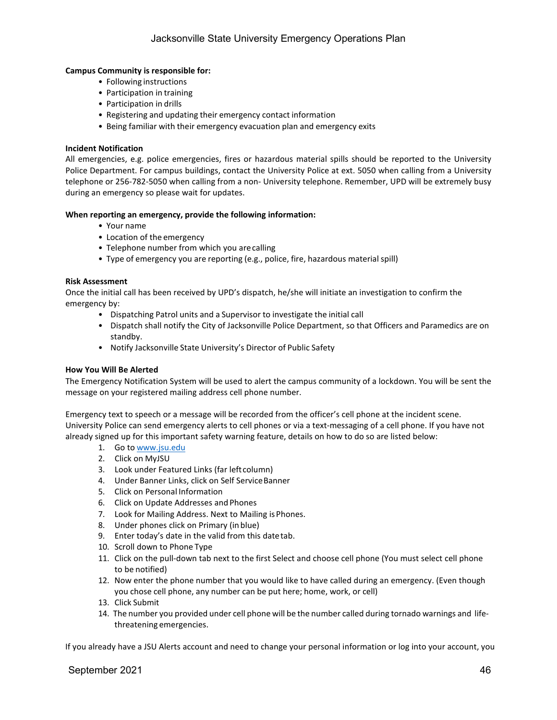### **Campus Community is responsible for:**

- Following instructions
- Participation in training
- Participation in drills
- Registering and updating their emergency contact information
- Being familiar with their emergency evacuation plan and emergency exits

### **Incident Notification**

All emergencies, e.g. police emergencies, fires or hazardous material spills should be reported to the University Police Department. For campus buildings, contact the University Police at ext. 5050 when calling from a University telephone or 256-782-5050 when calling from a non- University telephone. Remember, UPD will be extremely busy during an emergency so please wait for updates.

### **When reporting an emergency, provide the following information:**

- Your name
- Location of the emergency
- Telephone number from which you arecalling
- Type of emergency you are reporting (e.g., police, fire, hazardous material spill)

### **Risk Assessment**

Once the initial call has been received by UPD's dispatch, he/she will initiate an investigation to confirm the emergency by:

- Dispatching Patrol units and a Supervisor to investigate the initial call
- Dispatch shall notify the City of Jacksonville Police Department, so that Officers and Paramedics are on standby.
- Notify Jacksonville State University's Director of Public Safety

### **How You Will Be Alerted**

The Emergency Notification System will be used to alert the campus community of a lockdown. You will be sent the message on your registered mailing address cell phone number.

Emergency text to speech or a message will be recorded from the officer's cell phone at the incident scene. University Police can send emergency alerts to cell phones or via a text-messaging of a cell phone. If you have not already signed up for this important safety warning feature, details on how to do so are listed below:

- 1. Go to [www.jsu.edu](http://www.jsu.edu/)
- 2. Click on MyJSU
- 3. Look under Featured Links (far left column)
- 4. Under Banner Links, click on Self ServiceBanner
- 5. Click on Personal Information
- 6. Click on Update Addresses and Phones
- 7. Look for Mailing Address. Next to Mailing is Phones.
- 8. Under phones click on Primary (in blue)
- 9. Enter today's date in the valid from this datetab.
- 10. Scroll down to Phone Type
- 11. Click on the pull-down tab next to the first Select and choose cell phone (You must select cell phone to be notified)
- 12. Now enter the phone number that you would like to have called during an emergency. (Even though you chose cell phone, any number can be put here; home, work, or cell)
- 13. Click Submit
- 14. The number you provided under cell phone will be the number called during tornado warnings and lifethreatening emergencies.

If you already have a JSU Alerts account and need to change your personal information or log into your account, you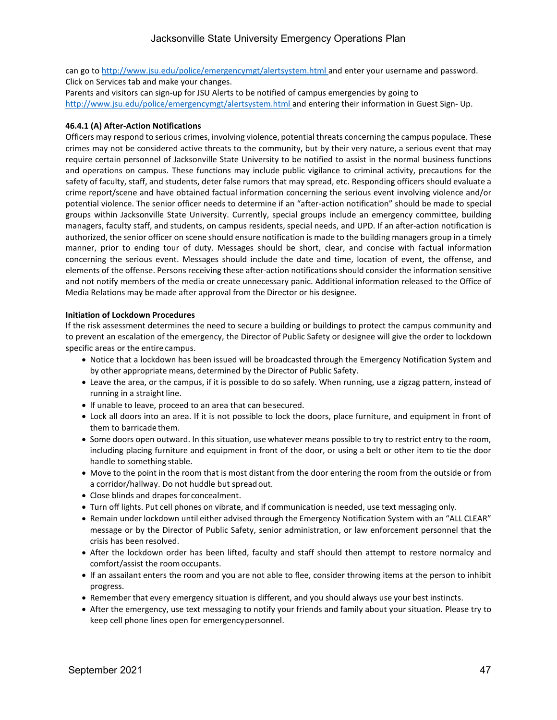can go t[o http://www.jsu.edu/police/emergencymgt/alertsystem.html](http://www.jsu.edu/police/emergencymgt/alertsystem.html) and enter your username and password. Click on Services tab and make your changes.

Parents and visitors can sign-up for JSU Alerts to be notified of campus emergencies by going to [http://www.jsu.edu/police/emergencymgt/alertsystem.html a](http://www.jsu.edu/police/emergencymgt/alertsystem.html)nd entering their information in Guest Sign- Up.

### **46.4.1 (A) After-Action Notifications**

Officers may respond to serious crimes, involving violence, potential threats concerning the campus populace. These crimes may not be considered active threats to the community, but by their very nature, a serious event that may require certain personnel of Jacksonville State University to be notified to assist in the normal business functions and operations on campus. These functions may include public vigilance to criminal activity, precautions for the safety of faculty, staff, and students, deter false rumors that may spread, etc. Responding officers should evaluate a crime report/scene and have obtained factual information concerning the serious event involving violence and/or potential violence. The senior officer needs to determine if an "after-action notification" should be made to special groups within Jacksonville State University. Currently, special groups include an emergency committee, building managers, faculty staff, and students, on campus residents, special needs, and UPD. If an after-action notification is authorized, the senior officer on scene should ensure notification is made to the building managers group in a timely manner, prior to ending tour of duty. Messages should be short, clear, and concise with factual information concerning the serious event. Messages should include the date and time, location of event, the offense, and elements of the offense. Persons receiving these after-action notifications should consider the information sensitive and not notify members of the media or create unnecessary panic. Additional information released to the Office of Media Relations may be made after approval from the Director or his designee.

### **Initiation of Lockdown Procedures**

If the risk assessment determines the need to secure a building or buildings to protect the campus community and to prevent an escalation of the emergency, the Director of Public Safety or designee will give the order to lockdown specific areas or the entire campus.

- Notice that a lockdown has been issued will be broadcasted through the Emergency Notification System and by other appropriate means, determined by the Director of Public Safety.
- Leave the area, or the campus, if it is possible to do so safely. When running, use a zigzag pattern, instead of running in a straight line.
- If unable to leave, proceed to an area that can besecured.
- Lock all doors into an area. If it is not possible to lock the doors, place furniture, and equipment in front of them to barricade them.
- Some doors open outward. In this situation, use whatever means possible to try to restrict entry to the room, including placing furniture and equipment in front of the door, or using a belt or other item to tie the door handle to something stable.
- Move to the point in the room that is most distant from the door entering the room from the outside or from a corridor/hallway. Do not huddle but spreadout.
- Close blinds and drapes for concealment.
- Turn off lights. Put cell phones on vibrate, and if communication is needed, use text messaging only.
- Remain under lockdown until either advised through the Emergency Notification System with an "ALL CLEAR" message or by the Director of Public Safety, senior administration, or law enforcement personnel that the crisis has been resolved.
- After the lockdown order has been lifted, faculty and staff should then attempt to restore normalcy and comfort/assist the roomoccupants.
- If an assailant enters the room and you are not able to flee, consider throwing items at the person to inhibit progress.
- Remember that every emergency situation is different, and you should always use your best instincts.
- After the emergency, use text messaging to notify your friends and family about your situation. Please try to keep cell phone lines open for emergencypersonnel.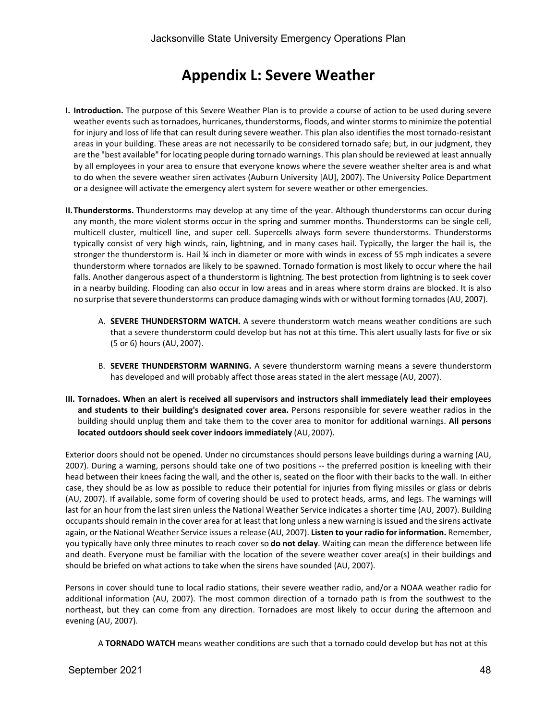### **Appendix L: Severe Weather**

- **I. Introduction.** The purpose of this Severe Weather Plan is to provide a course of action to be used during severe weather events such astornadoes, hurricanes, thunderstorms, floods, and winterstormsto minimize the potential for injury and loss of life that can result during severe weather. This plan also identifies the most tornado-resistant areas in your building. These areas are not necessarily to be considered tornado safe; but, in our judgment, they are the "best available" for locating people during tornado warnings. This plan should be reviewed at least annually by all employees in your area to ensure that everyone knows where the severe weather shelter area is and what to do when the severe weather siren activates (Auburn University [AU], 2007). The University Police Department or a designee will activate the emergency alert system for severe weather or other emergencies.
- **II.Thunderstorms.** Thunderstorms may develop at any time of the year. Although thunderstorms can occur during any month, the more violent storms occur in the spring and summer months. Thunderstorms can be single cell, multicell cluster, multicell line, and super cell. Supercells always form severe thunderstorms. Thunderstorms typically consist of very high winds, rain, lightning, and in many cases hail. Typically, the larger the hail is, the stronger the thunderstorm is. Hail ¾ inch in diameter or more with winds in excess of 55 mph indicates a severe thunderstorm where tornados are likely to be spawned. Tornado formation is most likely to occur where the hail falls. Another dangerous aspect of a thunderstorm is lightning. The best protection from lightning is to seek cover in a nearby building. Flooding can also occur in low areas and in areas where storm drains are blocked. It is also no surprise that severe thunderstorms can produce damaging winds with or without forming tornados (AU, 2007).
	- A. **SEVERE THUNDERSTORM WATCH.** A severe thunderstorm watch means weather conditions are such that a severe thunderstorm could develop but has not at this time. This alert usually lasts for five or six (5 or 6) hours (AU, 2007).
	- B. **SEVERE THUNDERSTORM WARNING.** A severe thunderstorm warning means a severe thunderstorm has developed and will probably affect those areas stated in the alert message (AU, 2007).
- **III. Tornadoes. When an alert is received all supervisors and instructors shall immediately lead their employees and students to their building's designated cover area.** Persons responsible for severe weather radios in the building should unplug them and take them to the cover area to monitor for additional warnings. **All persons located outdoors should seek cover indoors immediately** (AU,2007).

Exterior doors should not be opened. Under no circumstances should persons leave buildings during a warning (AU, 2007). During a warning, persons should take one of two positions -- the preferred position is kneeling with their head between their knees facing the wall, and the other is, seated on the floor with their backs to the wall. In either case, they should be as low as possible to reduce their potential for injuries from flying missiles or glass or debris (AU, 2007). If available, some form of covering should be used to protect heads, arms, and legs. The warnings will last for an hour from the last siren unless the National Weather Service indicates a shorter time (AU, 2007). Building occupants should remain in the cover area for at least that long unless a new warning is issued and the sirens activate again, or the National Weather Service issues a release (AU, 2007). **Listen to your radio for information.** Remember, you typically have only three minutes to reach cover so **do not delay**. Waiting can mean the difference between life and death. Everyone must be familiar with the location of the severe weather cover area(s) in their buildings and should be briefed on what actions to take when the sirens have sounded (AU, 2007).

Persons in cover should tune to local radio stations, their severe weather radio, and/or a NOAA weather radio for additional information (AU, 2007). The most common direction of a tornado path is from the southwest to the northeast, but they can come from any direction. Tornadoes are most likely to occur during the afternoon and evening (AU, 2007).

A **TORNADO WATCH** means weather conditions are such that a tornado could develop but has not at this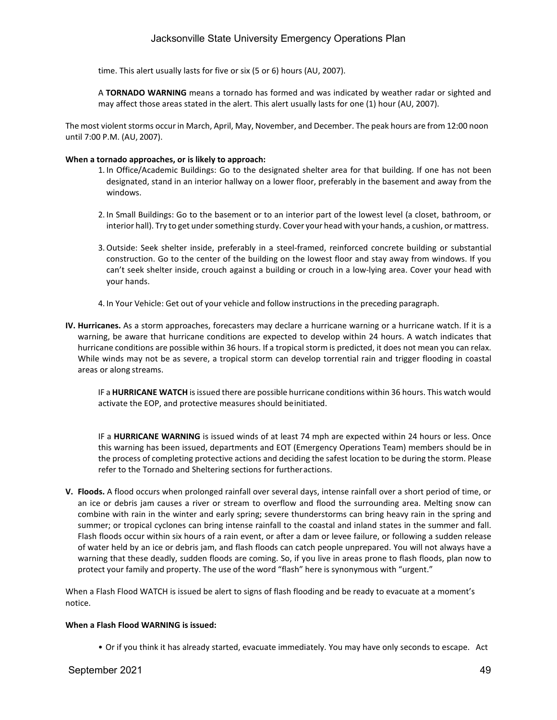time. This alert usually lasts for five or six (5 or 6) hours (AU, 2007).

A **TORNADO WARNING** means a tornado has formed and was indicated by weather radar or sighted and may affect those areas stated in the alert. This alert usually lasts for one (1) hour (AU, 2007).

The most violent storms occur in March, April, May, November, and December. The peak hours are from 12:00 noon until 7:00 P.M. (AU, 2007).

### **When a tornado approaches, or is likely to approach:**

- 1. In Office/Academic Buildings: Go to the designated shelter area for that building. If one has not been designated, stand in an interior hallway on a lower floor, preferably in the basement and away from the windows.
- 2. In Small Buildings: Go to the basement or to an interior part of the lowest level (a closet, bathroom, or interior hall). Try to get under something sturdy. Cover your head with your hands, a cushion, or mattress.
- 3.Outside: Seek shelter inside, preferably in a steel-framed, reinforced concrete building or substantial construction. Go to the center of the building on the lowest floor and stay away from windows. If you can't seek shelter inside, crouch against a building or crouch in a low-lying area. Cover your head with your hands.
- 4. In Your Vehicle: Get out of your vehicle and follow instructions in the preceding paragraph.
- **IV. Hurricanes.** As a storm approaches, forecasters may declare a hurricane warning or a hurricane watch. If it is a warning, be aware that hurricane conditions are expected to develop within 24 hours. A watch indicates that hurricane conditions are possible within 36 hours. If a tropical storm is predicted, it does not mean you can relax. While winds may not be as severe, a tropical storm can develop torrential rain and trigger flooding in coastal areas or along streams.

IF a **HURRICANE WATCH** isissued there are possible hurricane conditions within 36 hours. This watch would activate the EOP, and protective measures should beinitiated.

IF a **HURRICANE WARNING** is issued winds of at least 74 mph are expected within 24 hours or less. Once this warning has been issued, departments and EOT (Emergency Operations Team) members should be in the process of completing protective actions and deciding the safest location to be during the storm. Please refer to the Tornado and Sheltering sections for furtheractions.

**V. Floods.** A flood occurs when prolonged rainfall over several days, intense rainfall over a short period of time, or an ice or debris jam causes a river or stream to overflow and flood the surrounding area. Melting snow can combine with rain in the winter and early spring; severe thunderstorms can bring heavy rain in the spring and summer; or tropical cyclones can bring intense rainfall to the coastal and inland states in the summer and fall. Flash floods occur within six hours of a rain event, or after a dam or levee failure, or following a sudden release of water held by an ice or debris jam, and flash floods can catch people unprepared. You will not always have a warning that these deadly, sudden floods are coming. So, if you live in areas prone to flash floods, plan now to protect your family and property. The use of the word "flash" here is synonymous with "urgent."

When a Flash Flood WATCH is issued be alert to signs of flash flooding and be ready to evacuate at a moment's notice.

### **When a Flash Flood WARNING is issued:**

• Or if you think it has already started, evacuate immediately. You may have only seconds to escape. Act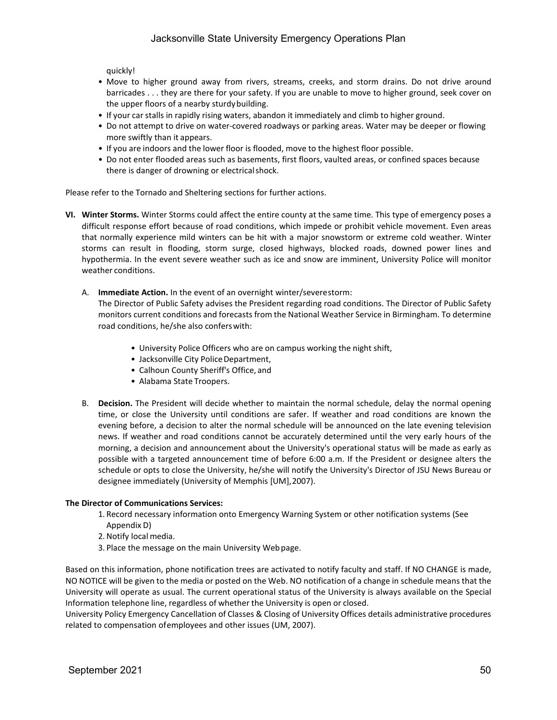quickly!

- Move to higher ground away from rivers, streams, creeks, and storm drains. Do not drive around barricades . . . they are there for your safety. If you are unable to move to higher ground, seek cover on the upper floors of a nearby sturdybuilding.
- If your car stalls in rapidly rising waters, abandon it immediately and climb to higher ground.
- Do not attempt to drive on water-covered roadways or parking areas. Water may be deeper or flowing more swiftly than it appears.
- If you are indoors and the lower floor is flooded, move to the highest floor possible.
- Do not enter flooded areas such as basements, first floors, vaulted areas, or confined spaces because there is danger of drowning or electricalshock.

Please refer to the Tornado and Sheltering sections for further actions.

- **VI. Winter Storms.** Winter Storms could affect the entire county at the same time. This type of emergency poses a difficult response effort because of road conditions, which impede or prohibit vehicle movement. Even areas that normally experience mild winters can be hit with a major snowstorm or extreme cold weather. Winter storms can result in flooding, storm surge, closed highways, blocked roads, downed power lines and hypothermia. In the event severe weather such as ice and snow are imminent, University Police will monitor weather conditions.
	- A. **Immediate Action.** In the event of an overnight winter/severestorm:

The Director of Public Safety advises the President regarding road conditions. The Director of Public Safety monitors current conditions and forecasts from the National Weather Service in Birmingham. To determine road conditions, he/she also conferswith:

- University Police Officers who are on campus working the night shift,
- Jacksonville City Police Department,
- Calhoun County Sheriff's Office, and
- Alabama State Troopers.
- B. **Decision.** The President will decide whether to maintain the normal schedule, delay the normal opening time, or close the University until conditions are safer. If weather and road conditions are known the evening before, a decision to alter the normal schedule will be announced on the late evening television news. If weather and road conditions cannot be accurately determined until the very early hours of the morning, a decision and announcement about the University's operational status will be made as early as possible with a targeted announcement time of before 6:00 a.m. If the President or designee alters the schedule or opts to close the University, he/she will notify the University's Director of JSU News Bureau or designee immediately (University of Memphis [UM],2007).

#### **The Director of Communications Services:**

- 1. Record necessary information onto Emergency Warning System or other notification systems (See Appendix D)
- 2.Notify local media.
- 3. Place the message on the main University Webpage.

Based on this information, phone notification trees are activated to notify faculty and staff. If NO CHANGE is made, NO NOTICE will be given to the media or posted on the Web. NO notification of a change in schedule means that the University will operate as usual. The current operational status of the University is always available on the Special Information telephone line, regardless of whether the University is open or closed.

University Policy Emergency Cancellation of Classes & Closing of University Offices details administrative procedures related to compensation ofemployees and other issues (UM, 2007).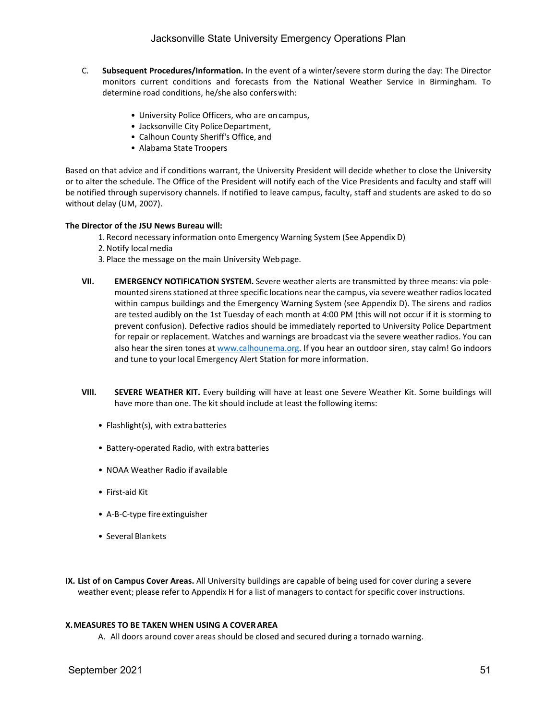- C. **Subsequent Procedures/Information.** In the event of a winter/severe storm during the day: The Director monitors current conditions and forecasts from the National Weather Service in Birmingham. To determine road conditions, he/she also conferswith:
	- University Police Officers, who are on campus,
	- Jacksonville City Police Department,
	- Calhoun County Sheriff's Office, and
	- Alabama State Troopers

Based on that advice and if conditions warrant, the University President will decide whether to close the University or to alter the schedule. The Office of the President will notify each of the Vice Presidents and faculty and staff will be notified through supervisory channels. If notified to leave campus, faculty, staff and students are asked to do so without delay (UM, 2007).

### **The Director of the JSU News Bureau will:**

- 1. Record necessary information onto Emergency Warning System (See Appendix D)
- 2.Notify local media
- 3. Place the message on the main University Webpage.
- **VII. EMERGENCY NOTIFICATION SYSTEM.** Severe weather alerts are transmitted by three means: via polemounted sirens stationed at three specific locations near the campus, via severe weather radios located within campus buildings and the Emergency Warning System (see Appendix D). The sirens and radios are tested audibly on the 1st Tuesday of each month at 4:00 PM (this will not occur if it is storming to prevent confusion). Defective radios should be immediately reported to University Police Department for repair or replacement. Watches and warnings are broadcast via the severe weather radios. You can also hear the siren tones at [www.calhounema.org.](http://www.calhounema.org/) If you hear an outdoor siren, stay calm! Go indoors and tune to your local Emergency Alert Station for more information.
- **VIII. SEVERE WEATHER KIT.** Every building will have at least one Severe Weather Kit. Some buildings will have more than one. The kit should include at least the following items:
	- Flashlight(s), with extra batteries
	- Battery-operated Radio, with extrabatteries
	- NOAA Weather Radio if available
	- First-aid Kit
	- A-B-C-type fire extinguisher
	- Several Blankets
- **IX. List of on Campus Cover Areas.** All University buildings are capable of being used for cover during a severe weather event; please refer to Appendix H for a list of managers to contact for specific cover instructions.

### **X.MEASURES TO BE TAKEN WHEN USING A COVERAREA**

A. All doors around cover areas should be closed and secured during a tornado warning.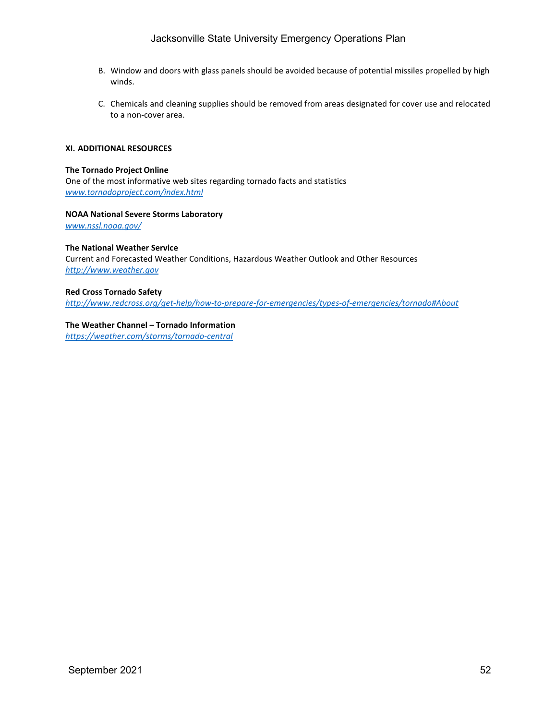- B. Window and doors with glass panels should be avoided because of potential missiles propelled by high winds.
- C. Chemicals and cleaning supplies should be removed from areas designated for cover use and relocated to a non-cover area.

### **XI. ADDITIONAL RESOURCES**

#### **The Tornado Project Online**

One of the most informative web sites regarding tornado facts and statistics *[www.tornadoproject.com/index.html](http://www.tornadoproject.com/index.html)*

### **NOAA National Severe Storms Laboratory**

*[www.nssl.noaa.gov/](http://www.nssl.noaa.gov/)*

### **The National Weather Service**

Current and Forecasted Weather Conditions, Hazardous Weather Outlook and Other Resources *[http://www.weather.gov](http://www.weather.gov/)*

### **Red Cross Tornado Safety**

*<http://www.redcross.org/get-help/how-to-prepare-for-emergencies/types-of-emergencies/tornado#About>*

### **The Weather Channel – Tornado Information**

*<https://weather.com/storms/tornado-central>*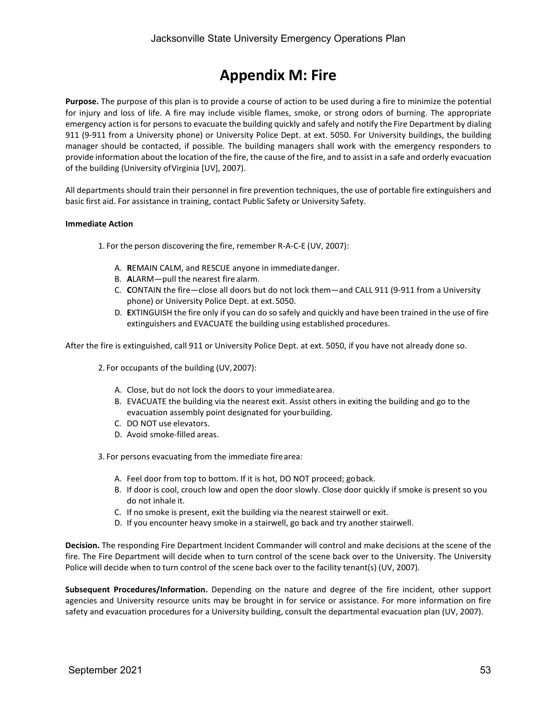### **Appendix M: Fire**

**Purpose.** The purpose of this plan is to provide a course of action to be used during a fire to minimize the potential for injury and loss of life. A fire may include visible flames, smoke, or strong odors of burning. The appropriate emergency action is for persons to evacuate the building quickly and safely and notify the Fire Department by dialing 911 (9-911 from a University phone) or University Police Dept. at ext. 5050. For University buildings, the building manager should be contacted, if possible. The building managers shall work with the emergency responders to provide information about the location of the fire, the cause of the fire, and to assist in a safe and orderly evacuation of the building (University ofVirginia [UV], 2007).

All departments should train their personnel in fire prevention techniques, the use of portable fire extinguishers and basic first aid. For assistance in training, contact Public Safety or University Safety.

### **Immediate Action**

1. For the person discovering the fire, remember R-A-C-E (UV, 2007):

- A. **R**EMAIN CALM, and RESCUE anyone in immediatedanger.
- B. **A**LARM—pull the nearest fire alarm.
- C. **C**ONTAIN the fire—close all doors but do not lock them—and CALL 911 (9-911 from a University phone) or University Police Dept. at ext.5050.
- D. **E**XTINGUISH the fire only if you can do so safely and quickly and have been trained in the use of fire extinguishers and EVACUATE the building using established procedures.

After the fire is extinguished, call 911 or University Police Dept. at ext. 5050, if you have not already done so.

2. For occupants of the building (UV,2007):

- A. Close, but do not lock the doors to your immediatearea.
- B. EVACUATE the building via the nearest exit. Assist others in exiting the building and go to the evacuation assembly point designated for yourbuilding.
- C. DO NOT use elevators.
- D. Avoid smoke-filled areas.

3. For persons evacuating from the immediate firearea:

- A. Feel door from top to bottom. If it is hot, DO NOT proceed; goback.
- B. If door is cool, crouch low and open the door slowly. Close door quickly if smoke is present so you do not inhale it.
- C. If no smoke is present, exit the building via the nearest stairwell or exit.
- D. If you encounter heavy smoke in a stairwell, go back and try another stairwell.

**Decision.** The responding Fire Department Incident Commander will control and make decisions at the scene of the fire. The Fire Department will decide when to turn control of the scene back over to the University. The University Police will decide when to turn control of the scene back over to the facility tenant(s) (UV, 2007).

**Subsequent Procedures/Information.** Depending on the nature and degree of the fire incident, other support agencies and University resource units may be brought in for service or assistance. For more information on fire safety and evacuation procedures for a University building, consult the departmental evacuation plan (UV, 2007).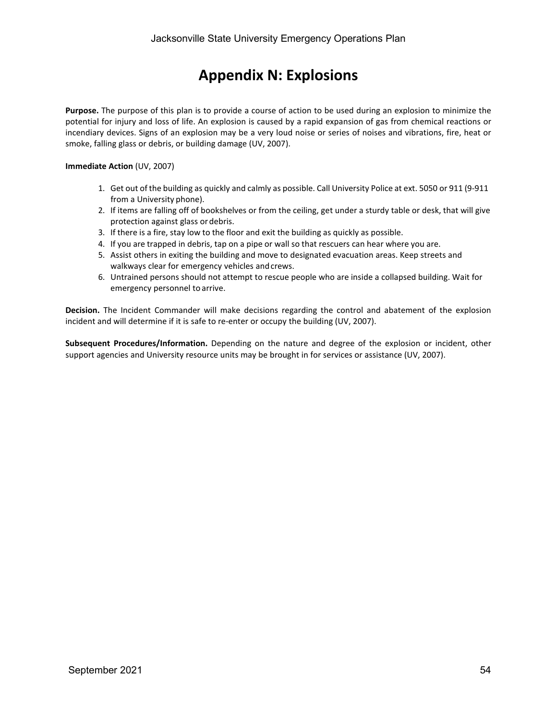## **Appendix N: Explosions**

**Purpose.** The purpose of this plan is to provide a course of action to be used during an explosion to minimize the potential for injury and loss of life. An explosion is caused by a rapid expansion of gas from chemical reactions or incendiary devices. Signs of an explosion may be a very loud noise or series of noises and vibrations, fire, heat or smoke, falling glass or debris, or building damage (UV, 2007).

### **Immediate Action** (UV, 2007)

- 1. Get out of the building as quickly and calmly as possible. Call University Police at ext. 5050 or 911 (9-911 from a University phone).
- 2. If items are falling off of bookshelves or from the ceiling, get under a sturdy table or desk, that will give protection against glass or debris.
- 3. If there is a fire, stay low to the floor and exit the building as quickly as possible.
- 4. If you are trapped in debris, tap on a pipe or wall so that rescuers can hear where you are.
- 5. Assist others in exiting the building and move to designated evacuation areas. Keep streets and walkways clear for emergency vehicles and crews.
- 6. Untrained persons should not attempt to rescue people who are inside a collapsed building. Wait for emergency personnel to arrive.

**Decision.** The Incident Commander will make decisions regarding the control and abatement of the explosion incident and will determine if it is safe to re-enter or occupy the building (UV, 2007).

**Subsequent Procedures/Information.** Depending on the nature and degree of the explosion or incident, other support agencies and University resource units may be brought in for services or assistance (UV, 2007).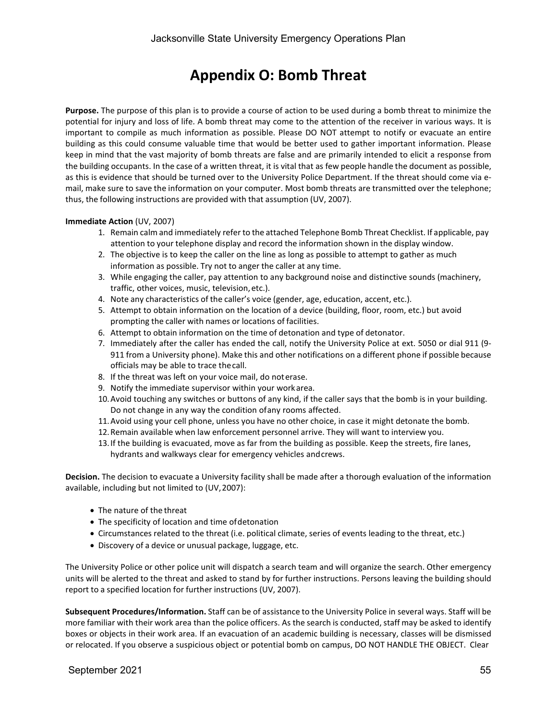### **Appendix O: Bomb Threat**

**Purpose.** The purpose of this plan is to provide a course of action to be used during a bomb threat to minimize the potential for injury and loss of life. A bomb threat may come to the attention of the receiver in various ways. It is important to compile as much information as possible. Please DO NOT attempt to notify or evacuate an entire building as this could consume valuable time that would be better used to gather important information. Please keep in mind that the vast majority of bomb threats are false and are primarily intended to elicit a response from the building occupants. In the case of a written threat, it is vital that as few people handle the document as possible, as this is evidence that should be turned over to the University Police Department. If the threat should come via email, make sure to save the information on your computer. Most bomb threats are transmitted over the telephone; thus, the following instructions are provided with that assumption (UV, 2007).

### **Immediate Action** (UV, 2007)

- 1. Remain calm and immediately refer to the attached Telephone Bomb Threat Checklist. If applicable, pay attention to your telephone display and record the information shown in the display window.
- 2. The objective is to keep the caller on the line as long as possible to attempt to gather as much information as possible. Try not to anger the caller at any time.
- 3. While engaging the caller, pay attention to any background noise and distinctive sounds (machinery, traffic, other voices, music, television,etc.).
- 4. Note any characteristics of the caller's voice (gender, age, education, accent, etc.).
- 5. Attempt to obtain information on the location of a device (building, floor, room, etc.) but avoid prompting the caller with names or locations of facilities.
- 6. Attempt to obtain information on the time of detonation and type of detonator.
- 7. Immediately after the caller has ended the call, notify the University Police at ext. 5050 or dial 911 (9- 911 from a University phone). Make this and other notifications on a different phone if possible because officials may be able to trace thecall.
- 8. If the threat was left on your voice mail, do noterase.
- 9. Notify the immediate supervisor within your workarea.
- 10.Avoid touching any switches or buttons of any kind, if the caller says that the bomb is in your building. Do not change in any way the condition ofany rooms affected.
- 11.Avoid using your cell phone, unless you have no other choice, in case it might detonate the bomb.
- 12.Remain available when law enforcement personnel arrive. They will want to interview you.
- 13.If the building is evacuated, move as far from the building as possible. Keep the streets, fire lanes, hydrants and walkways clear for emergency vehicles andcrews.

**Decision.** The decision to evacuate a University facility shall be made after a thorough evaluation of the information available, including but not limited to (UV,2007):

- The nature of the threat
- The specificity of location and time ofdetonation
- Circumstances related to the threat (i.e. political climate, series of events leading to the threat, etc.)
- Discovery of a device or unusual package, luggage, etc.

The University Police or other police unit will dispatch a search team and will organize the search. Other emergency units will be alerted to the threat and asked to stand by for further instructions. Persons leaving the building should report to a specified location for further instructions (UV, 2007).

**Subsequent Procedures/Information.** Staff can be of assistance to the University Police in several ways. Staff will be more familiar with their work area than the police officers. As the search is conducted, staff may be asked to identify boxes or objects in their work area. If an evacuation of an academic building is necessary, classes will be dismissed or relocated. If you observe a suspicious object or potential bomb on campus, DO NOT HANDLE THE OBJECT. Clear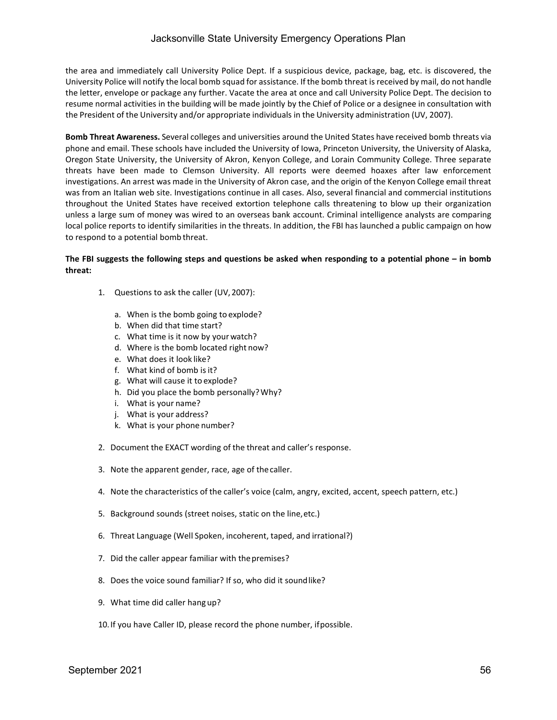the area and immediately call University Police Dept. If a suspicious device, package, bag, etc. is discovered, the University Police will notify the local bomb squad for assistance. If the bomb threat is received by mail, do not handle the letter, envelope or package any further. Vacate the area at once and call University Police Dept. The decision to resume normal activities in the building will be made jointly by the Chief of Police or a designee in consultation with the President of the University and/or appropriate individuals in the University administration (UV, 2007).

**Bomb Threat Awareness.** Several colleges and universities around the United States have received bomb threats via phone and email. These schools have included the University of Iowa, Princeton University, the University of Alaska, Oregon State University, the University of Akron, Kenyon College, and Lorain Community College. Three separate threats have been made to Clemson University. All reports were deemed hoaxes after law enforcement investigations. An arrest was made in the University of Akron case, and the origin of the Kenyon College email threat was from an Italian web site. Investigations continue in all cases. Also, several financial and commercial institutions throughout the United States have received extortion telephone calls threatening to blow up their organization unless a large sum of money was wired to an overseas bank account. Criminal intelligence analysts are comparing local police reports to identify similarities in the threats. In addition, the FBI has launched a public campaign on how to respond to a potential bomb threat.

### **The FBI suggests the following steps and questions be asked when responding to a potential phone – in bomb threat:**

- 1. Questions to ask the caller (UV,2007):
	- a. When is the bomb going to explode?
	- b. When did that time start?
	- c. What time is it now by yourwatch?
	- d. Where is the bomb located right now?
	- e. What does it look like?
	- f. What kind of bomb isit?
	- g. What will cause it to explode?
	- h. Did you place the bomb personally?Why?
	- i. What is your name?
	- j. What is your address?
	- k. What is your phone number?
- 2. Document the EXACT wording of the threat and caller's response.
- 3. Note the apparent gender, race, age of thecaller.
- 4. Note the characteristics of the caller's voice (calm, angry, excited, accent, speech pattern, etc.)
- 5. Background sounds (street noises, static on the line,etc.)
- 6. Threat Language (Well Spoken, incoherent, taped, and irrational?)
- 7. Did the caller appear familiar with thepremises?
- 8. Does the voice sound familiar? If so, who did it soundlike?
- 9. What time did caller hang up?
- 10.If you have Caller ID, please record the phone number, ifpossible.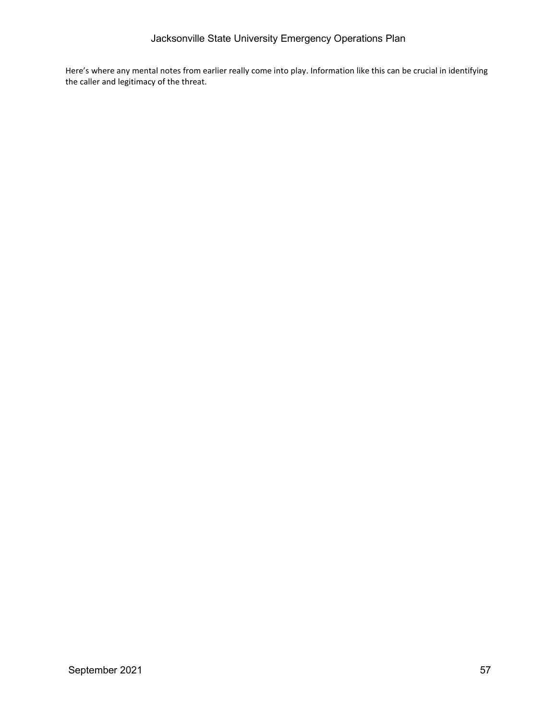Here's where any mental notes from earlier really come into play. Information like this can be crucial in identifying the caller and legitimacy of the threat.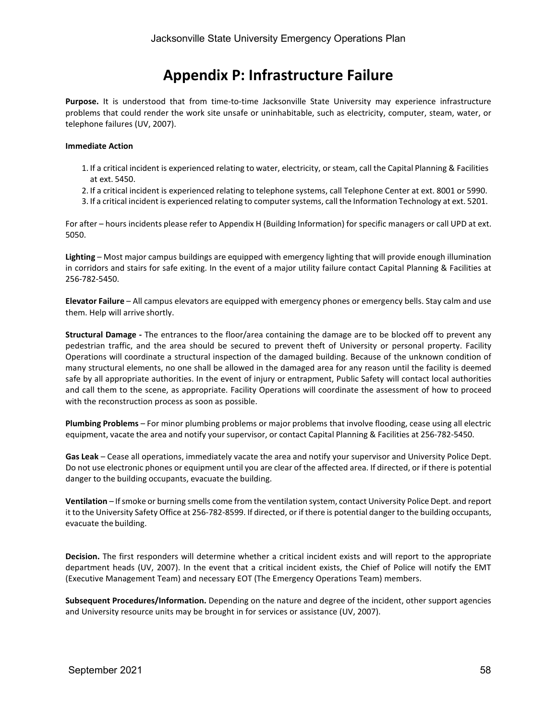### **Appendix P: Infrastructure Failure**

**Purpose.** It is understood that from time-to-time Jacksonville State University may experience infrastructure problems that could render the work site unsafe or uninhabitable, such as electricity, computer, steam, water, or telephone failures (UV, 2007).

### **Immediate Action**

- 1. If a critical incident is experienced relating to water, electricity, orsteam, call the Capital Planning & Facilities at ext. 5450.
- 2. If a critical incident is experienced relating to telephone systems, call Telephone Center at ext. 8001 or 5990.
- 3. If a critical incident is experienced relating to computer systems, call the Information Technology at ext. 5201.

For after – hours incidents please refer to Appendix H (Building Information) for specific managers or call UPD at ext. 5050.

**Lighting** – Most major campus buildings are equipped with emergency lighting that will provide enough illumination in corridors and stairs for safe exiting. In the event of a major utility failure contact Capital Planning & Facilities at 256-782-5450.

**Elevator Failure** – All campus elevators are equipped with emergency phones or emergency bells. Stay calm and use them. Help will arrive shortly.

**Structural Damage -** The entrances to the floor/area containing the damage are to be blocked off to prevent any pedestrian traffic, and the area should be secured to prevent theft of University or personal property. Facility Operations will coordinate a structural inspection of the damaged building. Because of the unknown condition of many structural elements, no one shall be allowed in the damaged area for any reason until the facility is deemed safe by all appropriate authorities. In the event of injury or entrapment, Public Safety will contact local authorities and call them to the scene, as appropriate. Facility Operations will coordinate the assessment of how to proceed with the reconstruction process as soon as possible.

**Plumbing Problems** – For minor plumbing problems or major problems that involve flooding, cease using all electric equipment, vacate the area and notify yoursupervisor, or contact Capital Planning & Facilities at 256-782-5450.

**Gas Leak** – Cease all operations, immediately vacate the area and notify your supervisor and University Police Dept. Do not use electronic phones or equipment until you are clear of the affected area. If directed, or if there is potential danger to the building occupants, evacuate the building.

**Ventilation** – Ifsmoke or burning smells come from the ventilation system, contact University Police Dept. and report it to the University Safety Office at 256-782-8599. If directed, or if there is potential danger to the building occupants, evacuate the building.

**Decision.** The first responders will determine whether a critical incident exists and will report to the appropriate department heads (UV, 2007). In the event that a critical incident exists, the Chief of Police will notify the EMT (Executive Management Team) and necessary EOT (The Emergency Operations Team) members.

**Subsequent Procedures/Information.** Depending on the nature and degree of the incident, other support agencies and University resource units may be brought in for services or assistance (UV, 2007).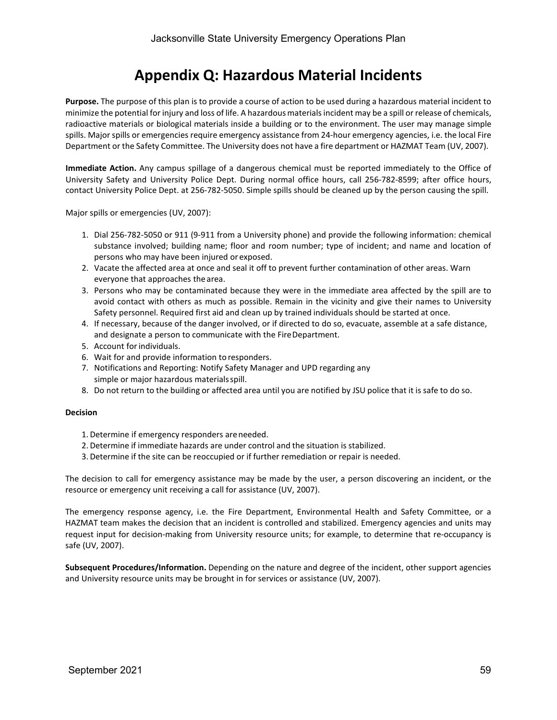### **Appendix Q: Hazardous Material Incidents**

**Purpose.** The purpose of this plan is to provide a course of action to be used during a hazardous material incident to minimize the potential for injury and loss of life. A hazardous materialsincident may be a spill or release of chemicals, radioactive materials or biological materials inside a building or to the environment. The user may manage simple spills. Major spills or emergencies require emergency assistance from 24-hour emergency agencies, i.e. the local Fire Department or the Safety Committee. The University does not have a fire department or HAZMAT Team (UV, 2007).

**Immediate Action.** Any campus spillage of a dangerous chemical must be reported immediately to the Office of University Safety and University Police Dept. During normal office hours, call 256-782-8599; after office hours, contact University Police Dept. at 256-782-5050. Simple spills should be cleaned up by the person causing the spill.

Major spills or emergencies (UV, 2007):

- 1. Dial 256-782-5050 or 911 (9-911 from a University phone) and provide the following information: chemical substance involved; building name; floor and room number; type of incident; and name and location of persons who may have been injured or exposed.
- 2. Vacate the affected area at once and seal it off to prevent further contamination of other areas. Warn everyone that approaches the area.
- 3. Persons who may be contaminated because they were in the immediate area affected by the spill are to avoid contact with others as much as possible. Remain in the vicinity and give their names to University Safety personnel. Required first aid and clean up by trained individuals should be started at once.
- 4. If necessary, because of the danger involved, or if directed to do so, evacuate, assemble at a safe distance, and designate a person to communicate with the FireDepartment.
- 5. Account for individuals.
- 6. Wait for and provide information to responders.
- 7. Notifications and Reporting: Notify Safety Manager and UPD regarding any simple or major hazardous materialsspill.
- 8. Do not return to the building or affected area until you are notified by JSU police that it is safe to do so.

#### **Decision**

- 1. Determine if emergency responders areneeded.
- 2. Determine if immediate hazards are under control and the situation is stabilized.
- 3. Determine if the site can be reoccupied or if further remediation or repair is needed.

The decision to call for emergency assistance may be made by the user, a person discovering an incident, or the resource or emergency unit receiving a call for assistance (UV, 2007).

The emergency response agency, i.e. the Fire Department, Environmental Health and Safety Committee, or a HAZMAT team makes the decision that an incident is controlled and stabilized. Emergency agencies and units may request input for decision-making from University resource units; for example, to determine that re-occupancy is safe (UV, 2007).

**Subsequent Procedures/Information.** Depending on the nature and degree of the incident, other support agencies and University resource units may be brought in for services or assistance (UV, 2007).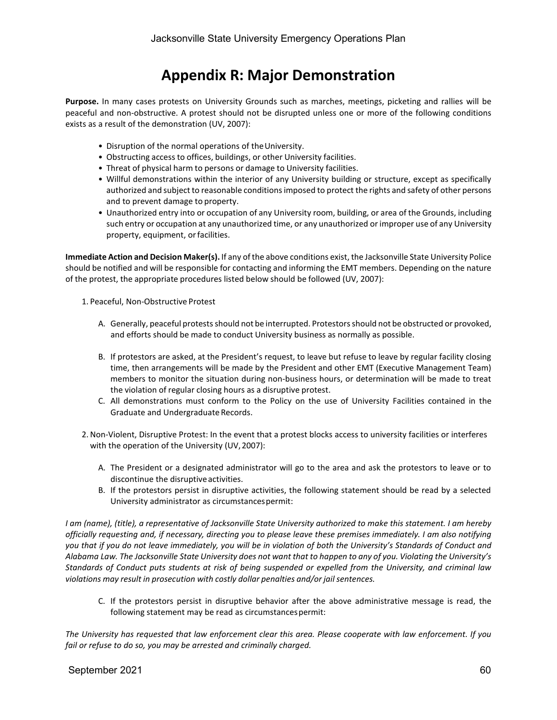### **Appendix R: Major Demonstration**

**Purpose.** In many cases protests on University Grounds such as marches, meetings, picketing and rallies will be peaceful and non-obstructive. A protest should not be disrupted unless one or more of the following conditions exists as a result of the demonstration (UV, 2007):

- Disruption of the normal operations of theUniversity.
- Obstructing access to offices, buildings, or other University facilities.
- Threat of physical harm to persons or damage to University facilities.
- Willful demonstrations within the interior of any University building or structure, except as specifically authorized and subject to reasonable conditionsimposed to protect the rights and safety of other persons and to prevent damage to property.
- Unauthorized entry into or occupation of any University room, building, or area of the Grounds, including such entry or occupation at any unauthorized time, or any unauthorized or improper use of any University property, equipment, orfacilities.

**Immediate Action and Decision Maker(s).** If any of the above conditions exist, the Jacksonville State University Police should be notified and will be responsible for contacting and informing the EMT members. Depending on the nature of the protest, the appropriate procedures listed below should be followed (UV, 2007):

- 1. Peaceful, Non-Obstructive Protest
	- A. Generally, peaceful protests should not be interrupted. Protestors should not be obstructed or provoked, and efforts should be made to conduct University business as normally as possible.
	- B. If protestors are asked, at the President's request, to leave but refuse to leave by regular facility closing time, then arrangements will be made by the President and other EMT (Executive Management Team) members to monitor the situation during non-business hours, or determination will be made to treat the violation of regular closing hours as a disruptive protest.
	- C. All demonstrations must conform to the Policy on the use of University Facilities contained in the Graduate and Undergraduate Records.
- 2.Non-Violent, Disruptive Protest: In the event that a protest blocks access to university facilities or interferes with the operation of the University (UV,2007):
	- A. The President or a designated administrator will go to the area and ask the protestors to leave or to discontinue the disruptive activities.
	- B. If the protestors persist in disruptive activities, the following statement should be read by a selected University administrator as circumstancespermit:

*I am (name), (title), a representative of Jacksonville State University authorized to make this statement. I am hereby officially requesting and, if necessary, directing you to please leave these premises immediately. I am also notifying you that if you do not leave immediately, you will be in violation of both the University's Standards of Conduct and*  Alabama Law. The Jacksonville State University does not want that to happen to any of you. Violatina the University's *Standards of Conduct puts students at risk of being suspended or expelled from the University, and criminal law violations may result in prosecution with costly dollar penalties and/or jail sentences.*

C. If the protestors persist in disruptive behavior after the above administrative message is read, the following statement may be read as circumstances permit:

*The University has requested that law enforcement clear this area. Please cooperate with law enforcement. If you fail or refuse to do so, you may be arrested and criminally charged.*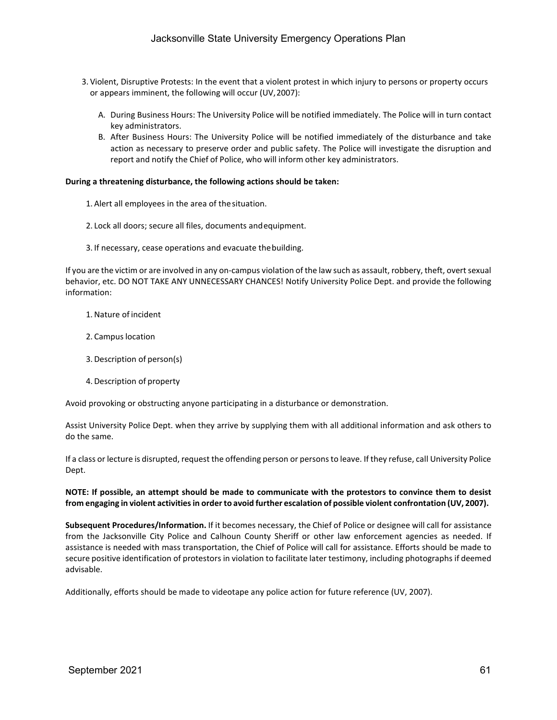- 3. Violent, Disruptive Protests: In the event that a violent protest in which injury to persons or property occurs or appears imminent, the following will occur (UV,2007):
	- A. During Business Hours: The University Police will be notified immediately. The Police will in turn contact key administrators.
	- B. After Business Hours: The University Police will be notified immediately of the disturbance and take action as necessary to preserve order and public safety. The Police will investigate the disruption and report and notify the Chief of Police, who will inform other key administrators.

### **During a threatening disturbance, the following actions should be taken:**

- 1. Alert all employees in the area of thesituation.
- 2. Lock all doors; secure all files, documents andequipment.
- 3. If necessary, cease operations and evacuate thebuilding.

If you are the victim or are involved in any on-campus violation of the law such as assault, robbery, theft, overt sexual behavior, etc. DO NOT TAKE ANY UNNECESSARY CHANCES! Notify University Police Dept. and provide the following information:

- 1.Nature of incident
- 2. Campus location
- 3. Description of person(s)
- 4. Description of property

Avoid provoking or obstructing anyone participating in a disturbance or demonstration.

Assist University Police Dept. when they arrive by supplying them with all additional information and ask others to do the same.

If a class or lecture is disrupted, request the offending person or personsto leave. If they refuse, call University Police Dept.

### **NOTE: If possible, an attempt should be made to communicate with the protestors to convince them to desist from engaging in violent activitiesin orderto avoid further escalation of possible violent confrontation (UV, 2007).**

**Subsequent Procedures/Information.** If it becomes necessary, the Chief of Police or designee will call for assistance from the Jacksonville City Police and Calhoun County Sheriff or other law enforcement agencies as needed. If assistance is needed with mass transportation, the Chief of Police will call for assistance. Efforts should be made to secure positive identification of protestors in violation to facilitate later testimony, including photographs if deemed advisable.

Additionally, efforts should be made to videotape any police action for future reference (UV, 2007).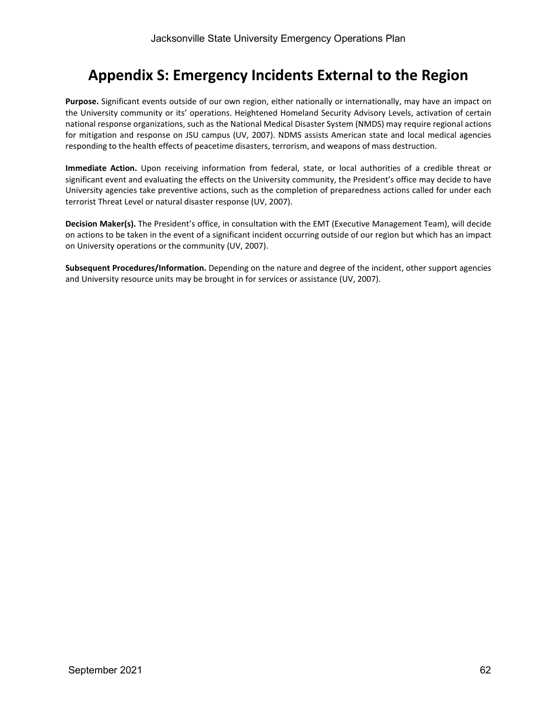### **Appendix S: Emergency Incidents External to the Region**

**Purpose.** Significant events outside of our own region, either nationally or internationally, may have an impact on the University community or its' operations. Heightened Homeland Security Advisory Levels, activation of certain national response organizations, such as the National Medical Disaster System (NMDS) may require regional actions for mitigation and response on JSU campus (UV, 2007). NDMS assists American state and local medical agencies responding to the health effects of peacetime disasters, terrorism, and weapons of mass destruction.

**Immediate Action.** Upon receiving information from federal, state, or local authorities of a credible threat or significant event and evaluating the effects on the University community, the President's office may decide to have University agencies take preventive actions, such as the completion of preparedness actions called for under each terrorist Threat Level or natural disaster response (UV, 2007).

**Decision Maker(s).** The President's office, in consultation with the EMT (Executive Management Team), will decide on actions to be taken in the event of a significant incident occurring outside of our region but which has an impact on University operations or the community (UV, 2007).

**Subsequent Procedures/Information.** Depending on the nature and degree of the incident, other support agencies and University resource units may be brought in for services or assistance (UV, 2007).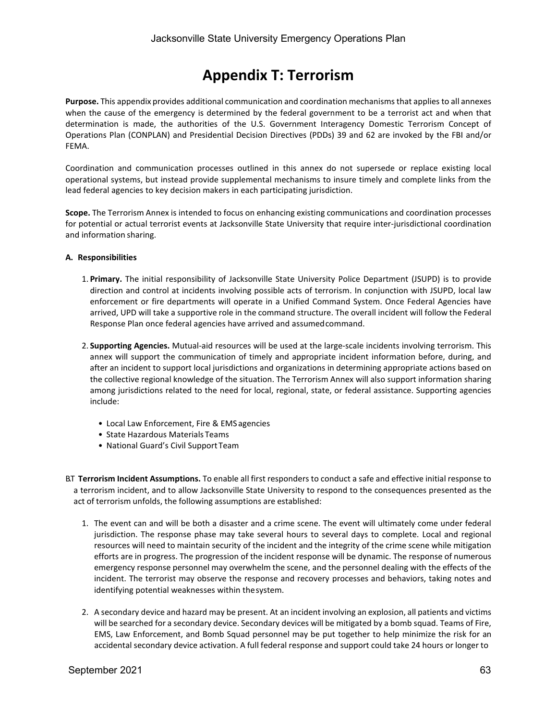### **Appendix T: Terrorism**

**Purpose.** This appendix provides additional communication and coordination mechanisms that applies to all annexes when the cause of the emergency is determined by the federal government to be a terrorist act and when that determination is made, the authorities of the U.S. Government Interagency Domestic Terrorism Concept of Operations Plan (CONPLAN) and Presidential Decision Directives (PDDs) 39 and 62 are invoked by the FBI and/or FEMA.

Coordination and communication processes outlined in this annex do not supersede or replace existing local operational systems, but instead provide supplemental mechanisms to insure timely and complete links from the lead federal agencies to key decision makers in each participating jurisdiction.

**Scope.** The Terrorism Annex is intended to focus on enhancing existing communications and coordination processes for potential or actual terrorist events at Jacksonville State University that require inter-jurisdictional coordination and information sharing.

### **A. Responsibilities**

- 1. **Primary.** The initial responsibility of Jacksonville State University Police Department (JSUPD) is to provide direction and control at incidents involving possible acts of terrorism. In conjunction with JSUPD, local law enforcement or fire departments will operate in a Unified Command System. Once Federal Agencies have arrived, UPD will take a supportive role in the command structure. The overall incident will follow the Federal Response Plan once federal agencies have arrived and assumedcommand.
- 2. **Supporting Agencies.** Mutual-aid resources will be used at the large-scale incidents involving terrorism. This annex will support the communication of timely and appropriate incident information before, during, and after an incident to support local jurisdictions and organizations in determining appropriate actions based on the collective regional knowledge of the situation. The Terrorism Annex will also support information sharing among jurisdictions related to the need for local, regional, state, or federal assistance. Supporting agencies include:
	- Local Law Enforcement, Fire & EMS agencies
	- State Hazardous Materials Teams
	- National Guard's Civil Support Team
- B.T **Terrorism Incident Assumptions.** To enable all first responders to conduct a safe and effective initial response to a terrorism incident, and to allow Jacksonville State University to respond to the consequences presented as the act of terrorism unfolds, the following assumptions are established:
	- 1. The event can and will be both a disaster and a crime scene. The event will ultimately come under federal jurisdiction. The response phase may take several hours to several days to complete. Local and regional resources will need to maintain security of the incident and the integrity of the crime scene while mitigation efforts are in progress. The progression of the incident response will be dynamic. The response of numerous emergency response personnel may overwhelm the scene, and the personnel dealing with the effects of the incident. The terrorist may observe the response and recovery processes and behaviors, taking notes and identifying potential weaknesses within thesystem.
	- 2. A secondary device and hazard may be present. At an incident involving an explosion, all patients and victims will be searched for a secondary device. Secondary devices will be mitigated by a bomb squad. Teams of Fire, EMS, Law Enforcement, and Bomb Squad personnel may be put together to help minimize the risk for an accidental secondary device activation. A full federal response and support could take 24 hours or longer to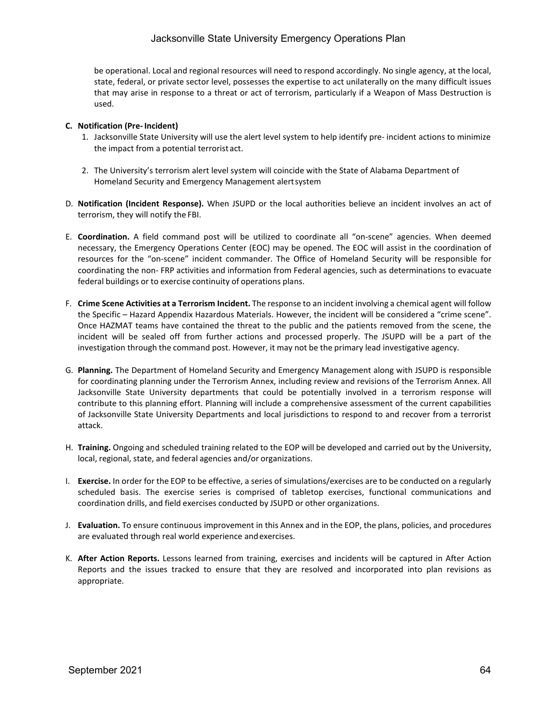### Jacksonville State University Emergency Operations Plan

be operational. Local and regional resources will need to respond accordingly. No single agency, at the local, state, federal, or private sector level, possesses the expertise to act unilaterally on the many difficult issues that may arise in response to a threat or act of terrorism, particularly if a Weapon of Mass Destruction is used.

### **C. Notification (Pre- Incident)**

- 1. Jacksonville State University will use the alert level system to help identify pre- incident actions to minimize the impact from a potential terrorist act.
- 2. The University's terrorism alert level system will coincide with the State of Alabama Department of Homeland Security and Emergency Management alertsystem
- D. **Notification (Incident Response).** When JSUPD or the local authorities believe an incident involves an act of terrorism, they will notify the FBI.
- E. **Coordination.** A field command post will be utilized to coordinate all "on-scene" agencies. When deemed necessary, the Emergency Operations Center (EOC) may be opened. The EOC will assist in the coordination of resources for the "on-scene" incident commander. The Office of Homeland Security will be responsible for coordinating the non- FRP activities and information from Federal agencies, such as determinations to evacuate federal buildings or to exercise continuity of operations plans.
- F. **Crime Scene Activities at a Terrorism Incident.** The response to an incident involving a chemical agent will follow the Specific – Hazard Appendix Hazardous Materials. However, the incident will be considered a "crime scene". Once HAZMAT teams have contained the threat to the public and the patients removed from the scene, the incident will be sealed off from further actions and processed properly. The JSUPD will be a part of the investigation through the command post. However, it may not be the primary lead investigative agency.
- G. **Planning.** The Department of Homeland Security and Emergency Management along with JSUPD is responsible for coordinating planning under the Terrorism Annex, including review and revisions of the Terrorism Annex. All Jacksonville State University departments that could be potentially involved in a terrorism response will contribute to this planning effort. Planning will include a comprehensive assessment of the current capabilities of Jacksonville State University Departments and local jurisdictions to respond to and recover from a terrorist attack.
- H. **Training.** Ongoing and scheduled training related to the EOP will be developed and carried out by the University, local, regional, state, and federal agencies and/or organizations.
- I. **Exercise.** In order for the EOP to be effective, a series of simulations/exercises are to be conducted on a regularly scheduled basis. The exercise series is comprised of tabletop exercises, functional communications and coordination drills, and field exercises conducted by JSUPD or other organizations.
- J. **Evaluation.** To ensure continuous improvement in this Annex and in the EOP, the plans, policies, and procedures are evaluated through real world experience andexercises.
- K. **After Action Reports.** Lessons learned from training, exercises and incidents will be captured in After Action Reports and the issues tracked to ensure that they are resolved and incorporated into plan revisions as appropriate.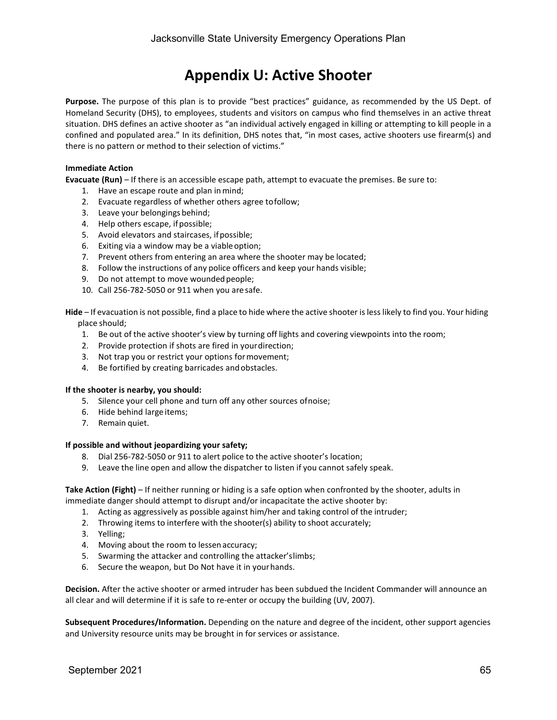### **Appendix U: Active Shooter**

**Purpose.** The purpose of this plan is to provide "best practices" guidance, as recommended by the US Dept. of Homeland Security (DHS), to employees, students and visitors on campus who find themselves in an active threat situation. DHS defines an active shooter as "an individual actively engaged in killing or attempting to kill people in a confined and populated area." In its definition, DHS notes that, "in most cases, active shooters use firearm(s) and there is no pattern or method to their selection of victims."

### **Immediate Action**

**Evacuate (Run)** – If there is an accessible escape path, attempt to evacuate the premises. Be sure to:

- 1. Have an escape route and plan inmind;
- 2. Evacuate regardless of whether others agree tofollow;
- 3. Leave your belongings behind;
- 4. Help others escape, if possible;
- 5. Avoid elevators and staircases, ifpossible;
- 6. Exiting via a window may be a viableoption;
- 7. Prevent others from entering an area where the shooter may be located;
- 8. Follow the instructions of any police officers and keep your hands visible;
- 9. Do not attempt to move wounded people;
- 10. Call 256-782-5050 or 911 when you are safe.

**Hide** – If evacuation is not possible, find a place to hide where the active shooter is less likely to find you. Your hiding place should;

- 1. Be out of the active shooter's view by turning off lights and covering viewpoints into the room;
- 2. Provide protection if shots are fired in yourdirection;
- 3. Not trap you or restrict your options formovement;
- 4. Be fortified by creating barricades andobstacles.

#### **If the shooter is nearby, you should:**

- 5. Silence your cell phone and turn off any other sources ofnoise;
- 6. Hide behind large items;
- 7. Remain quiet.

#### **If possible and without jeopardizing your safety;**

- 8. Dial 256-782-5050 or 911 to alert police to the active shooter's location;
- 9. Leave the line open and allow the dispatcher to listen if you cannot safely speak.

### **Take Action (Fight)** – If neither running or hiding is a safe option when confronted by the shooter, adults in immediate danger should attempt to disrupt and/or incapacitate the active shooter by:

- 1. Acting as aggressively as possible against him/her and taking control of the intruder;
- 2. Throwing items to interfere with the shooter(s) ability to shoot accurately;
- 3. Yelling;
- 4. Moving about the room to lessen accuracy;
- 5. Swarming the attacker and controlling the attacker'slimbs;
- 6. Secure the weapon, but Do Not have it in yourhands.

**Decision.** After the active shooter or armed intruder has been subdued the Incident Commander will announce an all clear and will determine if it is safe to re-enter or occupy the building (UV, 2007).

**Subsequent Procedures/Information.** Depending on the nature and degree of the incident, other support agencies and University resource units may be brought in for services or assistance.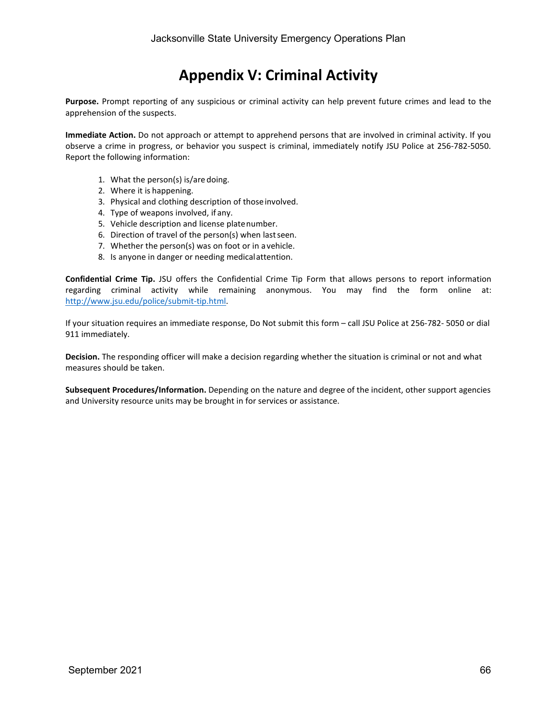### **Appendix V: Criminal Activity**

**Purpose.** Prompt reporting of any suspicious or criminal activity can help prevent future crimes and lead to the apprehension of the suspects.

**Immediate Action.** Do not approach or attempt to apprehend persons that are involved in criminal activity. If you observe a crime in progress, or behavior you suspect is criminal, immediately notify JSU Police at 256-782-5050. Report the following information:

- 1. What the person(s) is/are doing.
- 2. Where it is happening.
- 3. Physical and clothing description of thoseinvolved.
- 4. Type of weapons involved, if any.
- 5. Vehicle description and license platenumber.
- 6. Direction of travel of the person(s) when lastseen.
- 7. Whether the person(s) was on foot or in a vehicle.
- 8. Is anyone in danger or needing medicalattention.

**Confidential Crime Tip.** JSU offers the Confidential Crime Tip Form that allows persons to report information regarding criminal activity while remaining anonymous. You may find the form online at: [http://www.jsu.edu/police/submit-tip.html.](http://www.jsu.edu/police/submit-tip.html)

If your situation requires an immediate response, Do Not submit this form – call JSU Police at 256-782- 5050 or dial 911 immediately.

**Decision.** The responding officer will make a decision regarding whether the situation is criminal or not and what measures should be taken.

**Subsequent Procedures/Information.** Depending on the nature and degree of the incident, other support agencies and University resource units may be brought in for services or assistance.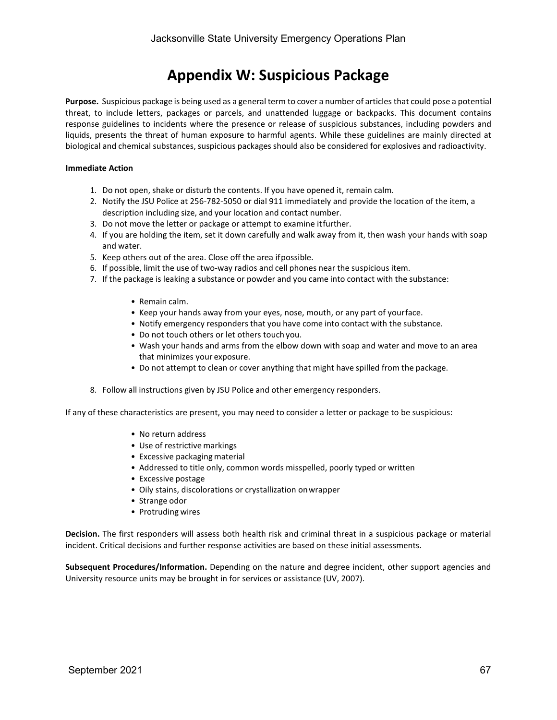### **Appendix W: Suspicious Package**

**Purpose.** Suspicious package is being used as a general term to cover a number of articles that could pose a potential threat, to include letters, packages or parcels, and unattended luggage or backpacks. This document contains response guidelines to incidents where the presence or release of suspicious substances, including powders and liquids, presents the threat of human exposure to harmful agents. While these guidelines are mainly directed at biological and chemical substances, suspicious packages should also be considered for explosives and radioactivity.

### **Immediate Action**

- 1. Do not open, shake or disturb the contents. If you have opened it, remain calm.
- 2. Notify the JSU Police at 256-782-5050 or dial 911 immediately and provide the location of the item, a description including size, and your location and contact number.
- 3. Do not move the letter or package or attempt to examine itfurther.
- 4. If you are holding the item, set it down carefully and walk away from it, then wash your hands with soap and water.
- 5. Keep others out of the area. Close off the area ifpossible.
- 6. If possible, limit the use of two-way radios and cell phones near the suspicious item.
- 7. If the package is leaking a substance or powder and you came into contact with the substance:
	- Remain calm.
	- Keep your hands away from your eyes, nose, mouth, or any part of yourface.
	- Notify emergency responders that you have come into contact with the substance.
	- Do not touch others or let others touch you.
	- Wash your hands and arms from the elbow down with soap and water and move to an area that minimizes your exposure.
	- Do not attempt to clean or cover anything that might have spilled from the package.
- 8. Follow all instructions given by JSU Police and other emergency responders.

If any of these characteristics are present, you may need to consider a letter or package to be suspicious:

- No return address
- Use of restrictive markings
- Excessive packaging material
- Addressed to title only, common words misspelled, poorly typed or written
- Excessive postage
- Oily stains, discolorations or crystallization onwrapper
- Strange odor
- Protruding wires

**Decision.** The first responders will assess both health risk and criminal threat in a suspicious package or material incident. Critical decisions and further response activities are based on these initial assessments.

**Subsequent Procedures/Information.** Depending on the nature and degree incident, other support agencies and University resource units may be brought in for services or assistance (UV, 2007).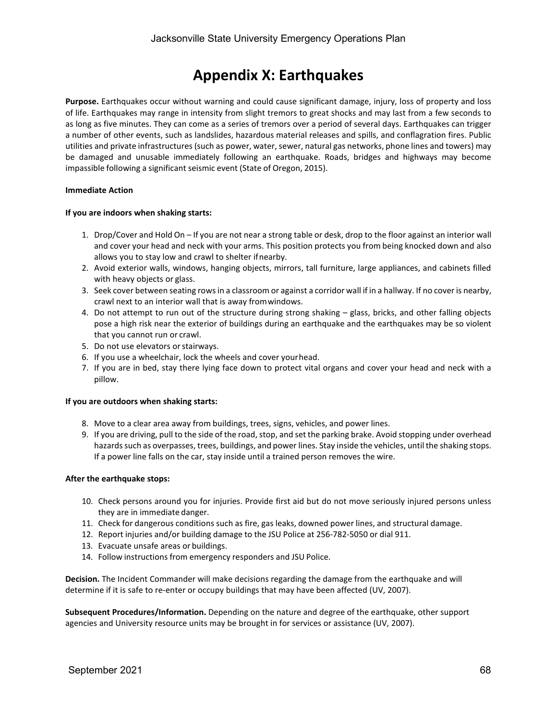### **Appendix X: Earthquakes**

**Purpose.** Earthquakes occur without warning and could cause significant damage, injury, loss of property and loss of life. Earthquakes may range in intensity from slight tremors to great shocks and may last from a few seconds to as long as five minutes. They can come as a series of tremors over a period of several days. Earthquakes can trigger a number of other events, such as landslides, hazardous material releases and spills, and conflagration fires. Public utilities and private infrastructures (such as power, water, sewer, natural gas networks, phone lines and towers) may be damaged and unusable immediately following an earthquake. Roads, bridges and highways may become impassible following a significant seismic event (State of Oregon, 2015).

### **Immediate Action**

### **If you are indoors when shaking starts:**

- 1. Drop/Cover and Hold On If you are not near a strong table or desk, drop to the floor against an interior wall and cover your head and neck with your arms. This position protects you from being knocked down and also allows you to stay low and crawl to shelter ifnearby.
- 2. Avoid exterior walls, windows, hanging objects, mirrors, tall furniture, large appliances, and cabinets filled with heavy objects or glass.
- 3. Seek cover between seating rowsin a classroom or against a corridor wall if in a hallway. If no cover is nearby, crawl next to an interior wall that is away fromwindows.
- 4. Do not attempt to run out of the structure during strong shaking glass, bricks, and other falling objects pose a high risk near the exterior of buildings during an earthquake and the earthquakes may be so violent that you cannot run or crawl.
- 5. Do not use elevators or stairways.
- 6. If you use a wheelchair, lock the wheels and cover yourhead.
- 7. If you are in bed, stay there lying face down to protect vital organs and cover your head and neck with a pillow.

#### **If you are outdoors when shaking starts:**

- 8. Move to a clear area away from buildings, trees, signs, vehicles, and power lines.
- 9. If you are driving, pull to the side of the road, stop, and set the parking brake. Avoid stopping under overhead hazards such as overpasses, trees, buildings, and power lines. Stay inside the vehicles, until the shaking stops. If a power line falls on the car, stay inside until a trained person removes the wire.

#### **After the earthquake stops:**

- 10. Check persons around you for injuries. Provide first aid but do not move seriously injured persons unless they are in immediate danger.
- 11. Check for dangerous conditions such as fire, gas leaks, downed power lines, and structural damage.
- 12. Report injuries and/or building damage to the JSU Police at 256-782-5050 or dial 911.
- 13. Evacuate unsafe areas or buildings.
- 14. Follow instructions from emergency responders and JSU Police.

**Decision.** The Incident Commander will make decisions regarding the damage from the earthquake and will determine if it is safe to re-enter or occupy buildings that may have been affected (UV, 2007).

**Subsequent Procedures/Information.** Depending on the nature and degree of the earthquake, other support agencies and University resource units may be brought in for services or assistance (UV, 2007).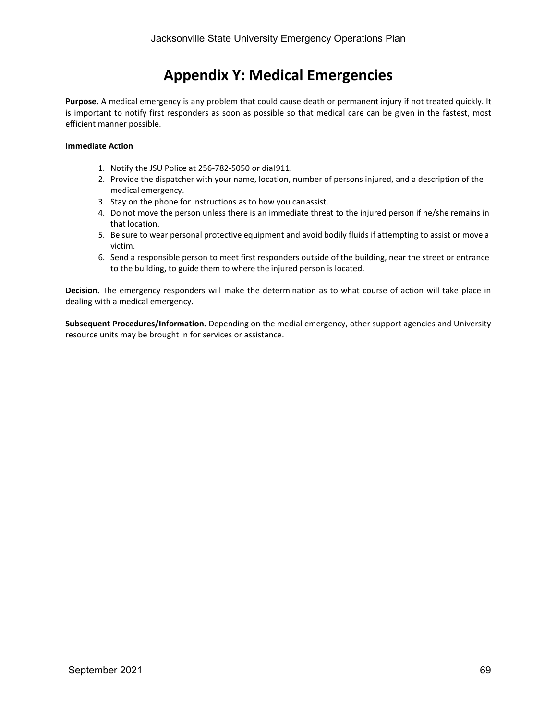### **Appendix Y: Medical Emergencies**

**Purpose.** A medical emergency is any problem that could cause death or permanent injury if not treated quickly. It is important to notify first responders as soon as possible so that medical care can be given in the fastest, most efficient manner possible.

### **Immediate Action**

- 1. Notify the JSU Police at 256-782-5050 or dial911.
- 2. Provide the dispatcher with your name, location, number of persons injured, and a description of the medical emergency.
- 3. Stay on the phone for instructions as to how you canassist.
- 4. Do not move the person unless there is an immediate threat to the injured person if he/she remains in that location.
- 5. Be sure to wear personal protective equipment and avoid bodily fluids if attempting to assist or move a victim.
- 6. Send a responsible person to meet first responders outside of the building, near the street or entrance to the building, to guide them to where the injured person is located.

**Decision.** The emergency responders will make the determination as to what course of action will take place in dealing with a medical emergency.

**Subsequent Procedures/Information.** Depending on the medial emergency, other support agencies and University resource units may be brought in for services or assistance.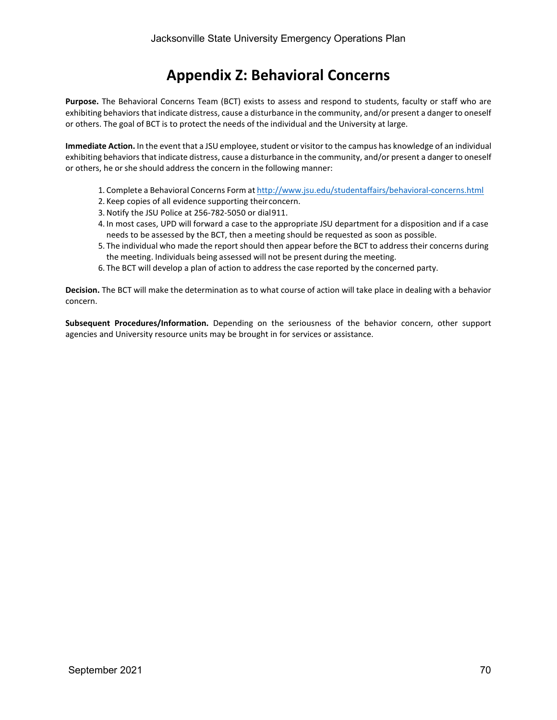### **Appendix Z: Behavioral Concerns**

**Purpose.** The Behavioral Concerns Team (BCT) exists to assess and respond to students, faculty or staff who are exhibiting behaviors that indicate distress, cause a disturbance in the community, and/or present a danger to oneself or others. The goal of BCT is to protect the needs of the individual and the University at large.

**Immediate Action.** In the event that a JSU employee, student or visitor to the campus has knowledge of an individual exhibiting behaviors that indicate distress, cause a disturbance in the community, and/or present a danger to oneself or others, he or she should address the concern in the following manner:

- 1. Complete a Behavioral Concerns Form at <http://www.jsu.edu/studentaffairs/behavioral-concerns.html>
- 2. Keep copies of all evidence supporting theirconcern.
- 3.Notify the JSU Police at 256-782-5050 or dial911.
- 4. In most cases, UPD will forward a case to the appropriate JSU department for a disposition and if a case needs to be assessed by the BCT, then a meeting should be requested as soon as possible.
- 5. The individual who made the report should then appear before the BCT to address their concerns during the meeting. Individuals being assessed will not be present during the meeting.
- 6. The BCT will develop a plan of action to address the case reported by the concerned party.

**Decision.** The BCT will make the determination as to what course of action will take place in dealing with a behavior concern.

**Subsequent Procedures/Information.** Depending on the seriousness of the behavior concern, other support agencies and University resource units may be brought in for services or assistance.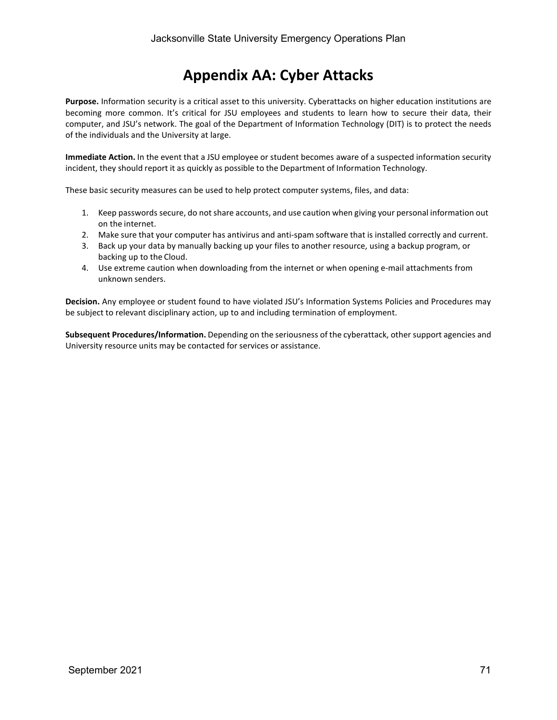### **Appendix AA: Cyber Attacks**

**Purpose.** Information security is a critical asset to this university. Cyberattacks on higher education institutions are becoming more common. It's critical for JSU employees and students to learn how to secure their data, their computer, and JSU's network. The goal of the Department of Information Technology (DIT) is to protect the needs of the individuals and the University at large.

**Immediate Action.** In the event that a JSU employee or student becomes aware of a suspected information security incident, they should report it as quickly as possible to the Department of Information Technology.

These basic security measures can be used to help protect computer systems, files, and data:

- 1. Keep passwords secure, do not share accounts, and use caution when giving your personal information out on the internet.
- 2. Make sure that your computer has antivirus and anti-spam software that is installed correctly and current.
- 3. Back up your data by manually backing up your files to another resource, using a backup program, or backing up to the Cloud.
- 4. Use extreme caution when downloading from the internet or when opening e-mail attachments from unknown senders.

**Decision.** Any employee or student found to have violated JSU's Information Systems Policies and Procedures may be subject to relevant disciplinary action, up to and including termination of employment.

**Subsequent Procedures/Information.** Depending on the seriousness of the cyberattack, other support agencies and University resource units may be contacted for services or assistance.